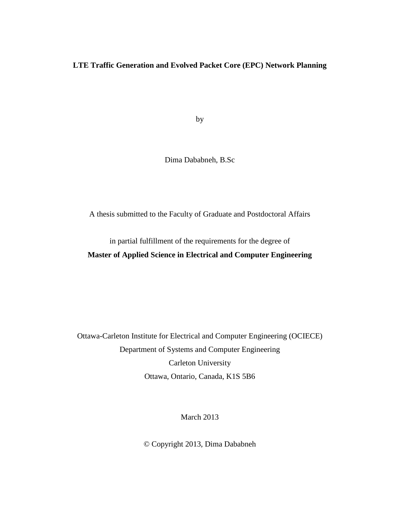#### **LTE Traffic Generation and Evolved Packet Core (EPC) Network Planning**

by

Dima Dababneh, B.Sc

A thesis submitted to the Faculty of Graduate and Postdoctoral Affairs

in partial fulfillment of the requirements for the degree of

**Master of Applied Science in Electrical and Computer Engineering**

Ottawa-Carleton Institute for Electrical and Computer Engineering (OCIECE) Department of Systems and Computer Engineering Carleton University Ottawa, Ontario, Canada, K1S 5B6

March 2013

© Copyright 2013, Dima Dababneh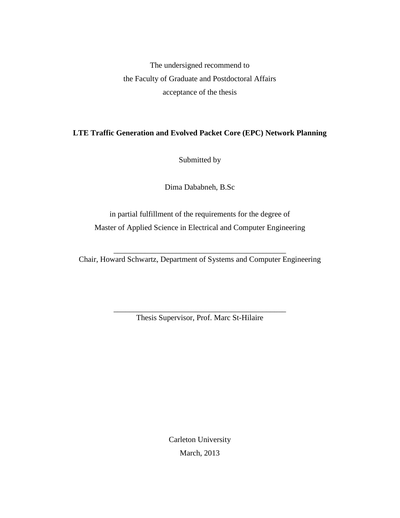The undersigned recommend to the Faculty of Graduate and Postdoctoral Affairs acceptance of the thesis

## **LTE Traffic Generation and Evolved Packet Core (EPC) Network Planning**

Submitted by

Dima Dababneh, B.Sc

in partial fulfillment of the requirements for the degree of Master of Applied Science in Electrical and Computer Engineering

\_\_\_\_\_\_\_\_\_\_\_\_\_\_\_\_\_\_\_\_\_\_\_\_\_\_\_\_\_\_\_\_\_\_\_\_\_\_\_\_\_\_\_\_ Chair, Howard Schwartz, Department of Systems and Computer Engineering

> \_\_\_\_\_\_\_\_\_\_\_\_\_\_\_\_\_\_\_\_\_\_\_\_\_\_\_\_\_\_\_\_\_\_\_\_\_\_\_\_\_\_\_\_ Thesis Supervisor, Prof. Marc St-Hilaire

> > Carleton University March, 2013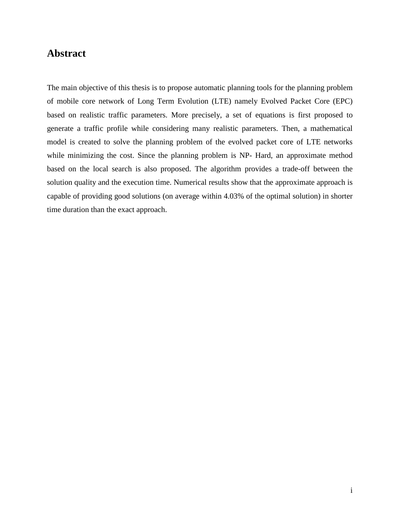# **Abstract**

The main objective of this thesis is to propose automatic planning tools for the planning problem of mobile core network of Long Term Evolution (LTE) namely Evolved Packet Core (EPC) based on realistic traffic parameters. More precisely, a set of equations is first proposed to generate a traffic profile while considering many realistic parameters. Then, a mathematical model is created to solve the planning problem of the evolved packet core of LTE networks while minimizing the cost. Since the planning problem is NP- Hard, an approximate method based on the local search is also proposed. The algorithm provides a trade-off between the solution quality and the execution time. Numerical results show that the approximate approach is capable of providing good solutions (on average within 4.03% of the optimal solution) in shorter time duration than the exact approach.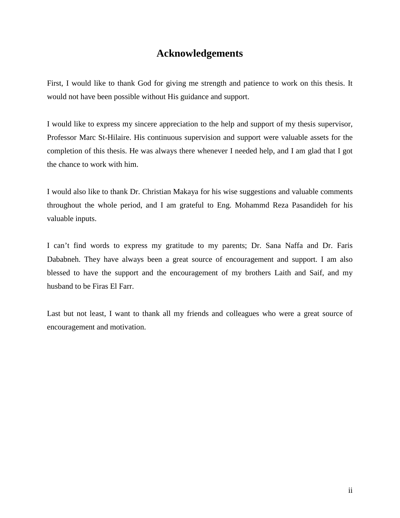# **Acknowledgements**

First, I would like to thank God for giving me strength and patience to work on this thesis. It would not have been possible without His guidance and support.

I would like to express my sincere appreciation to the help and support of my thesis supervisor, Professor Marc St-Hilaire. His continuous supervision and support were valuable assets for the completion of this thesis. He was always there whenever I needed help, and I am glad that I got the chance to work with him.

I would also like to thank Dr. Christian Makaya for his wise suggestions and valuable comments throughout the whole period, and I am grateful to Eng. Mohammd Reza Pasandideh for his valuable inputs.

I can't find words to express my gratitude to my parents; Dr. Sana Naffa and Dr. Faris Dababneh. They have always been a great source of encouragement and support. I am also blessed to have the support and the encouragement of my brothers Laith and Saif, and my husband to be Firas El Farr.

Last but not least, I want to thank all my friends and colleagues who were a great source of encouragement and motivation.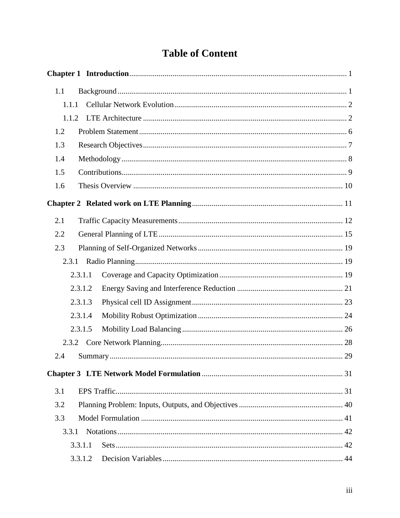# **Table of Content**

| 1.1   |         |
|-------|---------|
| 1.1.1 |         |
| 1.1.2 |         |
| 1.2   |         |
| 1.3   |         |
| 1.4   |         |
| 1.5   |         |
| 1.6   |         |
|       |         |
| 2.1   |         |
| 2.2   |         |
| 2.3   |         |
|       |         |
|       | 2.3.1.1 |
|       | 2.3.1.2 |
|       | 2.3.1.3 |
|       | 2.3.1.4 |
|       | 2.3.1.5 |
| 2.3.2 |         |
| 2.4   |         |
|       |         |
| 3.1   |         |
| 3.2   |         |
| 3.3   |         |
| 3.3.1 |         |
|       | 3.3.1.1 |
|       | 3.3.1.2 |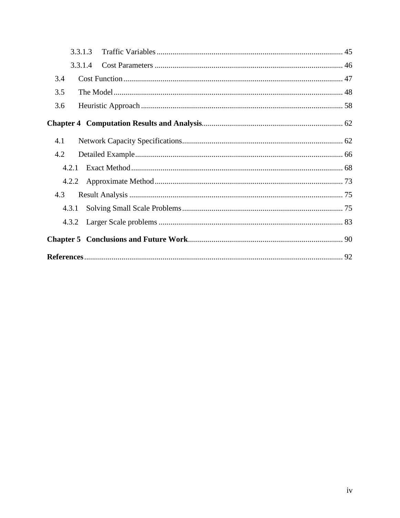|       | 3.3.1.3 |  |
|-------|---------|--|
|       | 3.3.1.4 |  |
| 3.4   |         |  |
| 3.5   |         |  |
| 3.6   |         |  |
|       |         |  |
| 4.1   |         |  |
| 4.2   |         |  |
|       |         |  |
|       |         |  |
| 4.3   |         |  |
| 4.3.1 |         |  |
| 4.3.2 |         |  |
|       |         |  |
|       |         |  |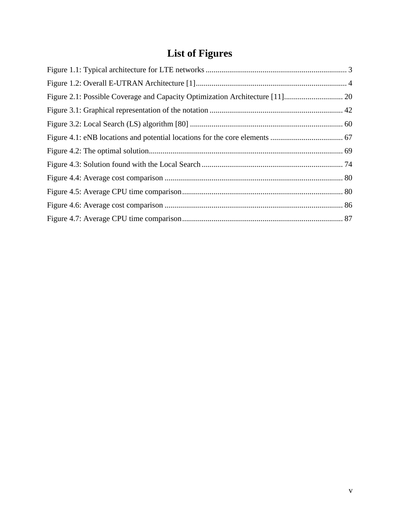# **List of Figures**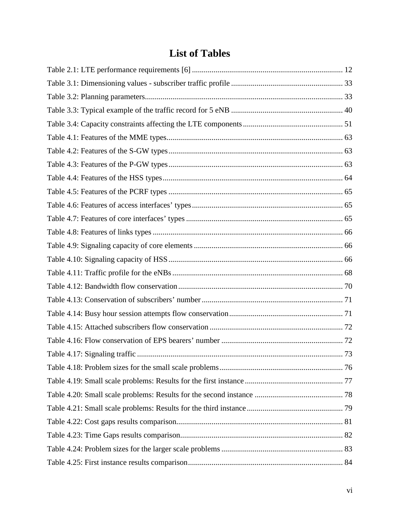# **List of Tables**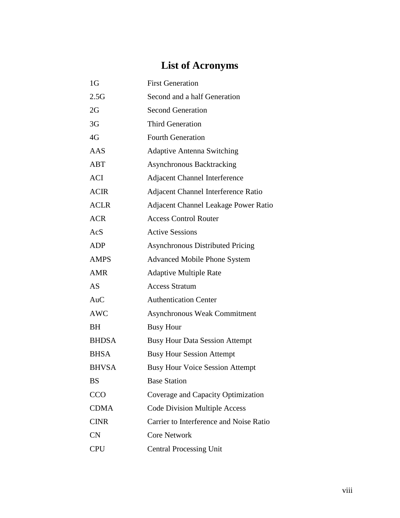# **List of Acronyms**

| 1 <sub>G</sub> | <b>First Generation</b>                 |  |
|----------------|-----------------------------------------|--|
| 2.5G           | Second and a half Generation            |  |
| 2G             | <b>Second Generation</b>                |  |
| 3G             | <b>Third Generation</b>                 |  |
| 4G             | <b>Fourth Generation</b>                |  |
| AAS            | <b>Adaptive Antenna Switching</b>       |  |
| ABT            | <b>Asynchronous Backtracking</b>        |  |
| ACI            | <b>Adjacent Channel Interference</b>    |  |
| <b>ACIR</b>    | Adjacent Channel Interference Ratio     |  |
| <b>ACLR</b>    | Adjacent Channel Leakage Power Ratio    |  |
| <b>ACR</b>     | <b>Access Control Router</b>            |  |
| AcS            | <b>Active Sessions</b>                  |  |
| <b>ADP</b>     | <b>Asynchronous Distributed Pricing</b> |  |
| <b>AMPS</b>    | <b>Advanced Mobile Phone System</b>     |  |
| <b>AMR</b>     | <b>Adaptive Multiple Rate</b>           |  |
| AS             | <b>Access Stratum</b>                   |  |
| AuC            | <b>Authentication Center</b>            |  |
| <b>AWC</b>     | <b>Asynchronous Weak Commitment</b>     |  |
| <b>BH</b>      | <b>Busy Hour</b>                        |  |
| <b>BHDSA</b>   | <b>Busy Hour Data Session Attempt</b>   |  |
| <b>BHSA</b>    | <b>Busy Hour Session Attempt</b>        |  |
| <b>BHVSA</b>   | <b>Busy Hour Voice Session Attempt</b>  |  |
| <b>BS</b>      | <b>Base Station</b>                     |  |
| <b>CCO</b>     | Coverage and Capacity Optimization      |  |
| <b>CDMA</b>    | <b>Code Division Multiple Access</b>    |  |
| <b>CINR</b>    | Carrier to Interference and Noise Ratio |  |
| CN             | <b>Core Network</b>                     |  |
| <b>CPU</b>     | <b>Central Processing Unit</b>          |  |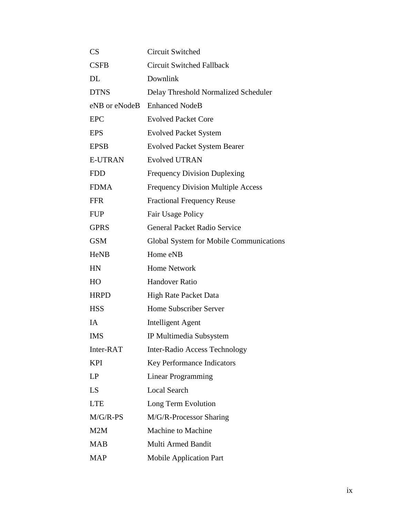| CS             | <b>Circuit Switched</b>                   |
|----------------|-------------------------------------------|
| <b>CSFB</b>    | <b>Circuit Switched Fallback</b>          |
| <b>DL</b>      | Downlink                                  |
| <b>DTNS</b>    | Delay Threshold Normalized Scheduler      |
| eNB or eNodeB  | <b>Enhanced NodeB</b>                     |
| <b>EPC</b>     | <b>Evolved Packet Core</b>                |
| <b>EPS</b>     | <b>Evolved Packet System</b>              |
| <b>EPSB</b>    | <b>Evolved Packet System Bearer</b>       |
| <b>E-UTRAN</b> | <b>Evolved UTRAN</b>                      |
| <b>FDD</b>     | <b>Frequency Division Duplexing</b>       |
| <b>FDMA</b>    | <b>Frequency Division Multiple Access</b> |
| <b>FFR</b>     | <b>Fractional Frequency Reuse</b>         |
| <b>FUP</b>     | Fair Usage Policy                         |
| <b>GPRS</b>    | <b>General Packet Radio Service</b>       |
| <b>GSM</b>     | Global System for Mobile Communications   |
| <b>HeNB</b>    | Home eNB                                  |
| HN             | <b>Home Network</b>                       |
| HO             | <b>Handover Ratio</b>                     |
| <b>HRPD</b>    | High Rate Packet Data                     |
| <b>HSS</b>     | Home Subscriber Server                    |
| IA             | Intelligent Agent                         |
| <b>IMS</b>     | IP Multimedia Subsystem                   |
| Inter-RAT      | <b>Inter-Radio Access Technology</b>      |
| <b>KPI</b>     | Key Performance Indicators                |
| LP             | Linear Programming                        |
| LS             | <b>Local Search</b>                       |
| <b>LTE</b>     | Long Term Evolution                       |
| $M/G/R-PS$     | M/G/R-Processor Sharing                   |
| M2M            | <b>Machine to Machine</b>                 |
| <b>MAB</b>     | Multi Armed Bandit                        |
| <b>MAP</b>     | <b>Mobile Application Part</b>            |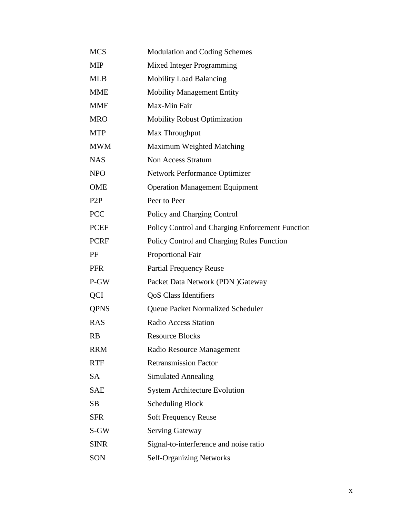| <b>MCS</b>       | <b>Modulation and Coding Schemes</b>              |
|------------------|---------------------------------------------------|
| <b>MIP</b>       | <b>Mixed Integer Programming</b>                  |
| <b>MLB</b>       | <b>Mobility Load Balancing</b>                    |
| <b>MME</b>       | <b>Mobility Management Entity</b>                 |
| <b>MMF</b>       | Max-Min Fair                                      |
| <b>MRO</b>       | <b>Mobility Robust Optimization</b>               |
| <b>MTP</b>       | Max Throughput                                    |
| <b>MWM</b>       | Maximum Weighted Matching                         |
| <b>NAS</b>       | <b>Non Access Stratum</b>                         |
| <b>NPO</b>       | <b>Network Performance Optimizer</b>              |
| OME              | <b>Operation Management Equipment</b>             |
| P <sub>2</sub> P | Peer to Peer                                      |
| <b>PCC</b>       | Policy and Charging Control                       |
| <b>PCEF</b>      | Policy Control and Charging Enforcement Function  |
| <b>PCRF</b>      | <b>Policy Control and Charging Rules Function</b> |
| PF               | <b>Proportional Fair</b>                          |
| <b>PFR</b>       | <b>Partial Frequency Reuse</b>                    |
| P-GW             | Packet Data Network (PDN) Gateway                 |
| <b>QCI</b>       | <b>QoS</b> Class Identifiers                      |
| <b>QPNS</b>      | Queue Packet Normalized Scheduler                 |
| <b>RAS</b>       | <b>Radio Access Station</b>                       |
| <b>RB</b>        | <b>Resource Blocks</b>                            |
| <b>RRM</b>       | Radio Resource Management                         |
| <b>RTF</b>       | <b>Retransmission Factor</b>                      |
| <b>SA</b>        | <b>Simulated Annealing</b>                        |
| <b>SAE</b>       | <b>System Architecture Evolution</b>              |
| <b>SB</b>        | <b>Scheduling Block</b>                           |
| <b>SFR</b>       | <b>Soft Frequency Reuse</b>                       |
| S-GW             | <b>Serving Gateway</b>                            |
| <b>SINR</b>      | Signal-to-interference and noise ratio            |
| SON              | <b>Self-Organizing Networks</b>                   |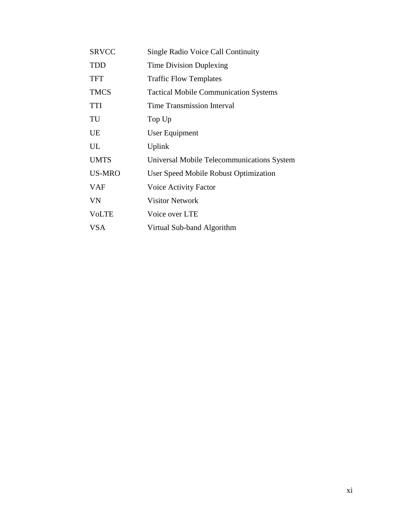| <b>SRVCC</b> | <b>Single Radio Voice Call Continuity</b>    |
|--------------|----------------------------------------------|
| <b>TDD</b>   | Time Division Duplexing                      |
| <b>TFT</b>   | <b>Traffic Flow Templates</b>                |
| <b>TMCS</b>  | <b>Tactical Mobile Communication Systems</b> |
| <b>TTI</b>   | <b>Time Transmission Interval</b>            |
| TU           | Top Up                                       |
| UE           | User Equipment                               |
| UL           | Uplink                                       |
| <b>UMTS</b>  | Universal Mobile Telecommunications System   |
| US-MRO       | User Speed Mobile Robust Optimization        |
| <b>VAF</b>   | <b>Voice Activity Factor</b>                 |
| <b>VN</b>    | <b>Visitor Network</b>                       |
| <b>VoLTE</b> | Voice over LTE                               |
| <b>VSA</b>   | Virtual Sub-band Algorithm                   |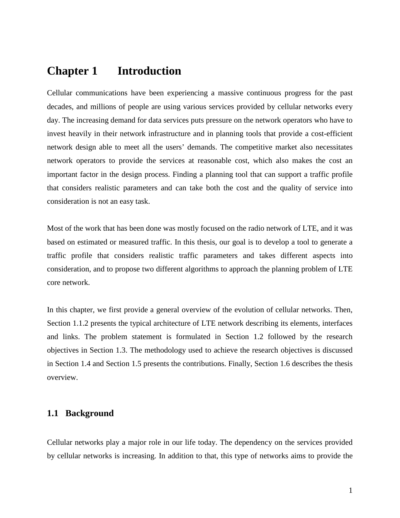# **Chapter 1 Introduction**

Cellular communications have been experiencing a massive continuous progress for the past decades, and millions of people are using various services provided by cellular networks every day. The increasing demand for data services puts pressure on the network operators who have to invest heavily in their network infrastructure and in planning tools that provide a cost-efficient network design able to meet all the users' demands. The competitive market also necessitates network operators to provide the services at reasonable cost, which also makes the cost an important factor in the design process. Finding a planning tool that can support a traffic profile that considers realistic parameters and can take both the cost and the quality of service into consideration is not an easy task.

Most of the work that has been done was mostly focused on the radio network of LTE, and it was based on estimated or measured traffic. In this thesis, our goal is to develop a tool to generate a traffic profile that considers realistic traffic parameters and takes different aspects into consideration, and to propose two different algorithms to approach the planning problem of LTE core network.

In this chapter, we first provide a general overview of the evolution of cellular networks. Then, Section 1.1.2 presents the typical architecture of LTE network describing its elements, interfaces and links. The problem statement is formulated in Section 1.2 followed by the research objectives in Section 1.3. The methodology used to achieve the research objectives is discussed in Section 1.4 and Section 1.5 presents the contributions. Finally, Section 1.6 describes the thesis overview.

### **1.1 Background**

Cellular networks play a major role in our life today. The dependency on the services provided by cellular networks is increasing. In addition to that, this type of networks aims to provide the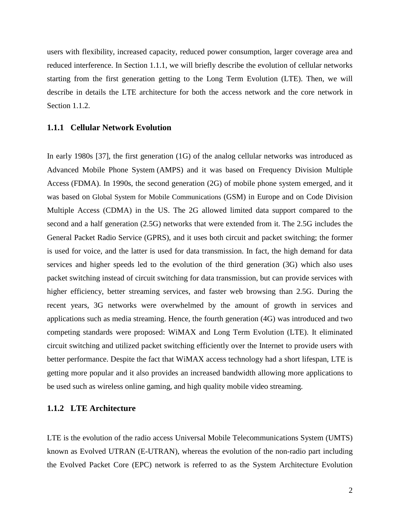users with flexibility, increased capacity, reduced power consumption, larger coverage area and reduced interference. In Section 1.1.1, we will briefly describe the evolution of cellular networks starting from the first generation getting to the Long Term Evolution (LTE). Then, we will describe in details the LTE architecture for both the access network and the core network in Section 1.1.2.

#### **1.1.1 Cellular Network Evolution**

In early 1980s [37], the first generation (1G) of the analog cellular networks was introduced as Advanced Mobile Phone System (AMPS) and it was based on Frequency Division Multiple Access (FDMA). In 1990s, the second generation (2G) of mobile phone system emerged, and it was based on Global System for Mobile Communications (GSM) in Europe and on Code Division Multiple Access (CDMA) in the US. The 2G allowed limited data support compared to the second and a half generation (2.5G) networks that were extended from it. The 2.5G includes the General Packet Radio Service (GPRS), and it uses both circuit and packet switching; the former is used for voice, and the latter is used for data transmission. In fact, the high demand for data services and higher speeds led to the evolution of the third generation (3G) which also uses packet switching instead of circuit switching for data transmission, but can provide services with higher efficiency, better streaming services, and faster web browsing than 2.5G. During the recent years, 3G networks were overwhelmed by the amount of growth in services and applications such as media streaming. Hence, the fourth generation (4G) was introduced and two competing standards were proposed: WiMAX and Long Term Evolution (LTE). It eliminated circuit switching and utilized packet switching efficiently over the Internet to provide users with better performance. Despite the fact that WiMAX access technology had a short lifespan, LTE is getting more popular and it also provides an increased bandwidth allowing more applications to be used such as wireless online gaming, and high quality mobile video streaming.

#### **1.1.2 LTE Architecture**

LTE is the evolution of the radio access Universal Mobile Telecommunications System (UMTS) known as Evolved UTRAN (E-UTRAN), whereas the evolution of the non-radio part including the Evolved Packet Core (EPC) network is referred to as the System Architecture Evolution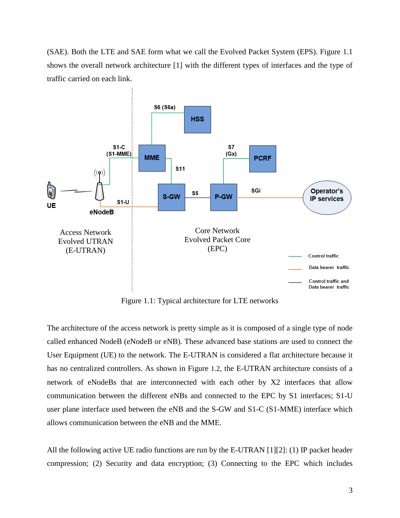(SAE). Both the LTE and SAE form what we call the Evolved Packet System (EPS). Figure 1.1 shows the overall network architecture [1] with the different types of interfaces and the type of traffic carried on each link.



Figure 1.1: Typical architecture for LTE networks

The architecture of the access network is pretty simple as it is composed of a single type of node called enhanced NodeB (eNodeB or eNB). These advanced base stations are used to connect the User Equipment (UE) to the network. The E-UTRAN is considered a flat architecture because it has no centralized controllers. As shown in Figure 1.2, the E-UTRAN architecture consists of a network of eNodeBs that are interconnected with each other by X2 interfaces that allow communication between the different eNBs and connected to the EPC by S1 interfaces; S1-U user plane interface used between the eNB and the S-GW and S1-C (S1-MME) interface which allows communication between the eNB and the MME.

All the following active UE radio functions are run by the E-UTRAN [1][2]: (1) IP packet header compression; (2) Security and data encryption; (3) Connecting to the EPC which includes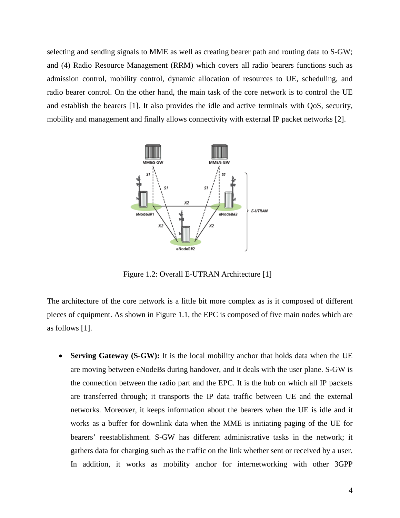selecting and sending signals to MME as well as creating bearer path and routing data to S-GW; and (4) Radio Resource Management (RRM) which covers all radio bearers functions such as admission control, mobility control, dynamic allocation of resources to UE, scheduling, and radio bearer control. On the other hand, the main task of the core network is to control the UE and establish the bearers [1]. It also provides the idle and active terminals with QoS, security, mobility and management and finally allows connectivity with external IP packet networks [2].



Figure 1.2: Overall E-UTRAN Architecture [1]

The architecture of the core network is a little bit more complex as is it composed of different pieces of equipment. As shown in Figure 1.1, the EPC is composed of five main nodes which are as follows [1].

• **Serving Gateway (S-GW):** It is the local mobility anchor that holds data when the UE are moving between eNodeBs during handover, and it deals with the user plane. S-GW is the connection between the radio part and the EPC. It is the hub on which all IP packets are transferred through; it transports the IP data traffic between UE and the external networks. Moreover, it keeps information about the bearers when the UE is idle and it works as a buffer for downlink data when the MME is initiating paging of the UE for bearers' reestablishment. S-GW has different administrative tasks in the network; it gathers data for charging such as the traffic on the link whether sent or received by a user. In addition, it works as mobility anchor for internetworking with other 3GPP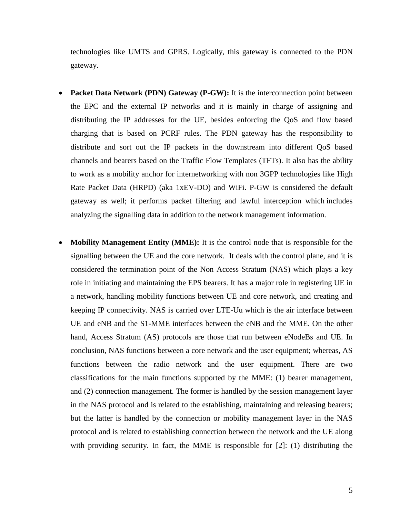technologies like UMTS and GPRS. Logically, this gateway is connected to the PDN gateway.

- **Packet Data Network (PDN) Gateway (P-GW):** It is the interconnection point between the EPC and the external IP networks and it is mainly in charge of assigning and distributing the IP addresses for the UE, besides enforcing the QoS and flow based charging that is based on PCRF rules. The PDN gateway has the responsibility to distribute and sort out the IP packets in the downstream into different QoS based channels and bearers based on the Traffic Flow Templates (TFTs). It also has the ability to work as a mobility anchor for internetworking with non 3GPP technologies like High Rate Packet Data (HRPD) (aka 1xEV-DO) and WiFi. P-GW is considered the default gateway as well; it performs packet filtering and lawful interception which includes analyzing the signalling data in addition to the network management information.
- **Mobility Management Entity (MME):** It is the control node that is responsible for the signalling between the UE and the core network. It deals with the control plane, and it is considered the termination point of the Non Access Stratum (NAS) which plays a key role in initiating and maintaining the EPS bearers. It has a major role in registering UE in a network, handling mobility functions between UE and core network, and creating and keeping IP connectivity. NAS is carried over LTE-Uu which is the air interface between UE and eNB and the S1-MME interfaces between the eNB and the MME. On the other hand, Access Stratum (AS) protocols are those that run between eNodeBs and UE. In conclusion, NAS functions between a core network and the user equipment; whereas, AS functions between the radio network and the user equipment. There are two classifications for the main functions supported by the MME: (1) bearer management, and (2) connection management. The former is handled by the session management layer in the NAS protocol and is related to the establishing, maintaining and releasing bearers; but the latter is handled by the connection or mobility management layer in the NAS protocol and is related to establishing connection between the network and the UE along with providing security. In fact, the MME is responsible for [2]: (1) distributing the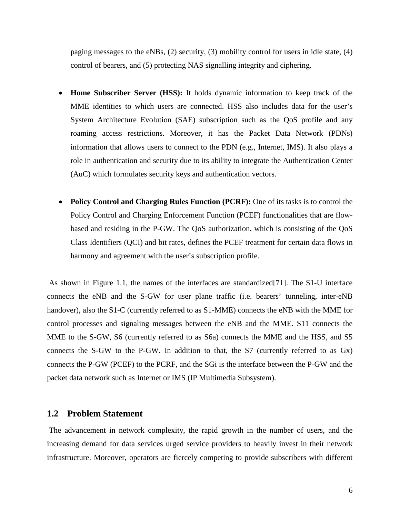paging messages to the eNBs,  $(2)$  security,  $(3)$  mobility control for users in idle state,  $(4)$ control of bearers, and (5) protecting NAS signalling integrity and ciphering.

- **Home Subscriber Server (HSS):** It holds dynamic information to keep track of the MME identities to which users are connected. HSS also includes data for the user's System Architecture Evolution (SAE) subscription such as the QoS profile and any roaming access restrictions. Moreover, it has the Packet Data Network (PDNs) information that allows users to connect to the PDN (e.g., Internet, IMS). It also plays a role in authentication and security due to its ability to integrate the Authentication Center (AuC) which formulates security keys and authentication vectors.
- **Policy Control and Charging Rules Function (PCRF):** One of its tasks is to control the Policy Control and Charging Enforcement Function (PCEF) functionalities that are flowbased and residing in the P-GW. The QoS authorization, which is consisting of the QoS Class Identifiers (QCI) and bit rates, defines the PCEF treatment for certain data flows in harmony and agreement with the user's subscription profile.

As shown in Figure 1.1, the names of the interfaces are standardized[71]. The S1-U interface connects the eNB and the S-GW for user plane traffic (i.e. bearers' tunneling, inter-eNB handover), also the S1-C (currently referred to as S1-MME) connects the eNB with the MME for control processes and signaling messages between the eNB and the MME. S11 connects the MME to the S-GW, S6 (currently referred to as S6a) connects the MME and the HSS, and S5 connects the S-GW to the P-GW. In addition to that, the S7 (currently referred to as Gx) connects the P-GW (PCEF) to the PCRF, and the SGi is the interface between the P-GW and the packet data network such as Internet or IMS (IP Multimedia Subsystem).

#### **1.2 Problem Statement**

The advancement in network complexity, the rapid growth in the number of users, and the increasing demand for data services urged service providers to heavily invest in their network infrastructure. Moreover, operators are fiercely competing to provide subscribers with different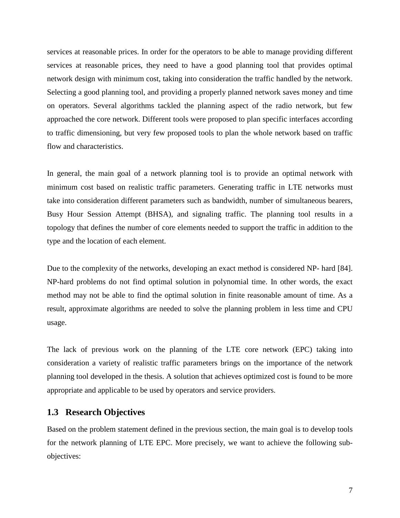services at reasonable prices. In order for the operators to be able to manage providing different services at reasonable prices, they need to have a good planning tool that provides optimal network design with minimum cost, taking into consideration the traffic handled by the network. Selecting a good planning tool, and providing a properly planned network saves money and time on operators. Several algorithms tackled the planning aspect of the radio network, but few approached the core network. Different tools were proposed to plan specific interfaces according to traffic dimensioning, but very few proposed tools to plan the whole network based on traffic flow and characteristics.

In general, the main goal of a network planning tool is to provide an optimal network with minimum cost based on realistic traffic parameters. Generating traffic in LTE networks must take into consideration different parameters such as bandwidth, number of simultaneous bearers, Busy Hour Session Attempt (BHSA), and signaling traffic. The planning tool results in a topology that defines the number of core elements needed to support the traffic in addition to the type and the location of each element.

Due to the complexity of the networks, developing an exact method is considered NP- hard [84]. NP-hard problems do not find optimal solution in polynomial time. In other words, the exact method may not be able to find the optimal solution in finite reasonable amount of time. As a result, approximate algorithms are needed to solve the planning problem in less time and CPU usage.

The lack of previous work on the planning of the LTE core network (EPC) taking into consideration a variety of realistic traffic parameters brings on the importance of the network planning tool developed in the thesis. A solution that achieves optimized cost is found to be more appropriate and applicable to be used by operators and service providers.

### **1.3 Research Objectives**

Based on the problem statement defined in the previous section, the main goal is to develop tools for the network planning of LTE EPC. More precisely, we want to achieve the following subobjectives: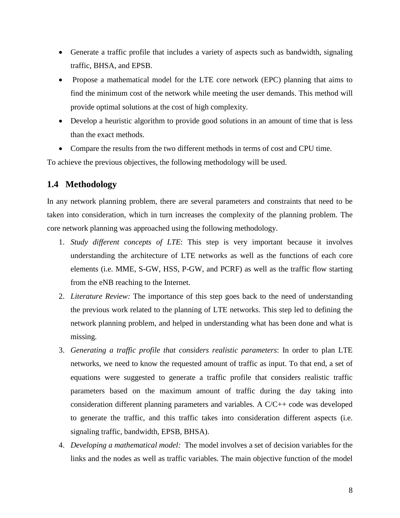- Generate a traffic profile that includes a variety of aspects such as bandwidth, signaling traffic, BHSA, and EPSB.
- Propose a mathematical model for the LTE core network (EPC) planning that aims to find the minimum cost of the network while meeting the user demands. This method will provide optimal solutions at the cost of high complexity.
- Develop a heuristic algorithm to provide good solutions in an amount of time that is less than the exact methods.
- Compare the results from the two different methods in terms of cost and CPU time.

To achieve the previous objectives, the following methodology will be used.

## **1.4 Methodology**

In any network planning problem, there are several parameters and constraints that need to be taken into consideration, which in turn increases the complexity of the planning problem. The core network planning was approached using the following methodology.

- 1. *Study different concepts of LTE*: This step is very important because it involves understanding the architecture of LTE networks as well as the functions of each core elements (i.e. MME, S-GW, HSS, P-GW, and PCRF) as well as the traffic flow starting from the eNB reaching to the Internet.
- 2. *Literature Review:* The importance of this step goes back to the need of understanding the previous work related to the planning of LTE networks. This step led to defining the network planning problem, and helped in understanding what has been done and what is missing.
- 3. *Generating a traffic profile that considers realistic parameters*: In order to plan LTE networks, we need to know the requested amount of traffic as input. To that end, a set of equations were suggested to generate a traffic profile that considers realistic traffic parameters based on the maximum amount of traffic during the day taking into consideration different planning parameters and variables. A C/C++ code was developed to generate the traffic, and this traffic takes into consideration different aspects (i.e. signaling traffic, bandwidth, EPSB, BHSA).
- 4. *Developing a mathematical model:* The model involves a set of decision variables for the links and the nodes as well as traffic variables. The main objective function of the model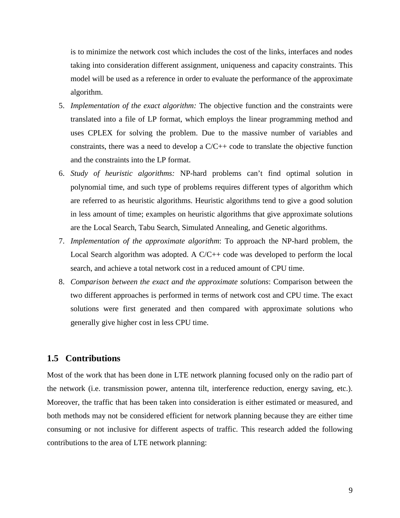is to minimize the network cost which includes the cost of the links, interfaces and nodes taking into consideration different assignment, uniqueness and capacity constraints. This model will be used as a reference in order to evaluate the performance of the approximate algorithm.

- 5. *Implementation of the exact algorithm:* The objective function and the constraints were translated into a file of LP format, which employs the linear programming method and uses CPLEX for solving the problem. Due to the massive number of variables and constraints, there was a need to develop a  $C/C++$  code to translate the objective function and the constraints into the LP format.
- 6. *Study of heuristic algorithms:* NP-hard problems can't find optimal solution in polynomial time, and such type of problems requires different types of algorithm which are referred to as heuristic algorithms. Heuristic algorithms tend to give a good solution in less amount of time; examples on heuristic algorithms that give approximate solutions are the Local Search, Tabu Search, Simulated Annealing, and Genetic algorithms.
- 7. *Implementation of the approximate algorithm*: To approach the NP-hard problem, the Local Search algorithm was adopted. A  $C/C++$  code was developed to perform the local search, and achieve a total network cost in a reduced amount of CPU time.
- 8. *Comparison between the exact and the approximate solutions*: Comparison between the two different approaches is performed in terms of network cost and CPU time. The exact solutions were first generated and then compared with approximate solutions who generally give higher cost in less CPU time.

### **1.5 Contributions**

Most of the work that has been done in LTE network planning focused only on the radio part of the network (i.e. transmission power, antenna tilt, interference reduction, energy saving, etc.). Moreover, the traffic that has been taken into consideration is either estimated or measured, and both methods may not be considered efficient for network planning because they are either time consuming or not inclusive for different aspects of traffic. This research added the following contributions to the area of LTE network planning: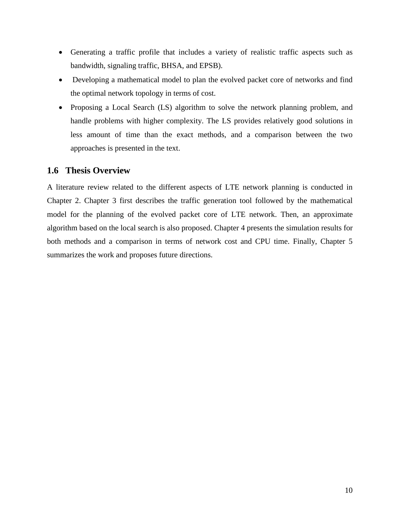- Generating a traffic profile that includes a variety of realistic traffic aspects such as bandwidth, signaling traffic, BHSA, and EPSB).
- Developing a mathematical model to plan the evolved packet core of networks and find the optimal network topology in terms of cost.
- Proposing a Local Search (LS) algorithm to solve the network planning problem, and handle problems with higher complexity. The LS provides relatively good solutions in less amount of time than the exact methods, and a comparison between the two approaches is presented in the text.

## **1.6 Thesis Overview**

A literature review related to the different aspects of LTE network planning is conducted in Chapter 2. Chapter 3 first describes the traffic generation tool followed by the mathematical model for the planning of the evolved packet core of LTE network. Then, an approximate algorithm based on the local search is also proposed. Chapter 4 presents the simulation results for both methods and a comparison in terms of network cost and CPU time. Finally, Chapter 5 summarizes the work and proposes future directions.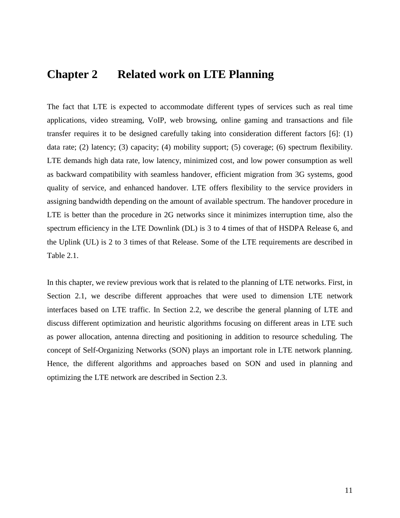# **Chapter 2 Related work on LTE Planning**

The fact that LTE is expected to accommodate different types of services such as real time applications, video streaming, VoIP, web browsing, online gaming and transactions and file transfer requires it to be designed carefully taking into consideration different factors [6]: (1) data rate; (2) latency; (3) capacity; (4) mobility support; (5) coverage; (6) spectrum flexibility. LTE demands high data rate, low latency, minimized cost, and low power consumption as well as backward compatibility with seamless handover, efficient migration from 3G systems, good quality of service, and enhanced handover. LTE offers flexibility to the service providers in assigning bandwidth depending on the amount of available spectrum. The handover procedure in LTE is better than the procedure in 2G networks since it minimizes interruption time, also the spectrum efficiency in the LTE Downlink (DL) is 3 to 4 times of that of HSDPA Release 6, and the Uplink (UL) is 2 to 3 times of that Release. Some of the LTE requirements are described in Table 2.1.

In this chapter, we review previous work that is related to the planning of LTE networks. First, in Section 2.1, we describe different approaches that were used to dimension LTE network interfaces based on LTE traffic. In Section 2.2, we describe the general planning of LTE and discuss different optimization and heuristic algorithms focusing on different areas in LTE such as power allocation, antenna directing and positioning in addition to resource scheduling. The concept of Self-Organizing Networks (SON) plays an important role in LTE network planning. Hence, the different algorithms and approaches based on SON and used in planning and optimizing the LTE network are described in Section 2.3.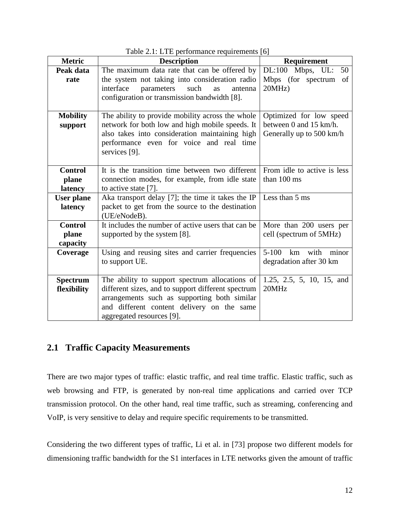| <b>Metric</b>     | <b>Description</b>                                                 | - 1<br><b>Requirement</b>   |
|-------------------|--------------------------------------------------------------------|-----------------------------|
| Peak data         | The maximum data rate that can be offered by                       | DL:100<br>Mbps, UL:<br>50   |
| rate              | the system not taking into consideration radio                     | Mbps (for spectrum<br>of    |
|                   | interface<br>parameters<br>such<br>antenna<br>as                   | 20MHz                       |
|                   | configuration or transmission bandwidth [8].                       |                             |
|                   |                                                                    |                             |
| <b>Mobility</b>   | The ability to provide mobility across the whole                   | Optimized for low speed     |
| support           | network for both low and high mobile speeds. It                    | between 0 and 15 km/h.      |
|                   | also takes into consideration maintaining high                     | Generally up to 500 km/h    |
|                   | performance even for voice and real time                           |                             |
|                   | services [9].                                                      |                             |
|                   |                                                                    |                             |
| <b>Control</b>    | It is the transition time between two different                    | From idle to active is less |
| plane             | connection modes, for example, from idle state                     | than 100 ms                 |
| latency           | to active state $[7]$ .                                            |                             |
| <b>User plane</b> | Aka transport delay [7]; the time it takes the IP                  | Less than 5 ms              |
| latency           | packet to get from the source to the destination                   |                             |
| <b>Control</b>    | (UE/eNodeB).<br>It includes the number of active users that can be |                             |
| plane             |                                                                    | More than 200 users per     |
| capacity          | supported by the system [8].                                       | cell (spectrum of 5MHz)     |
| Coverage          | Using and reusing sites and carrier frequencies                    | km with minor<br>$5 - 100$  |
|                   | to support UE.                                                     | degradation after 30 km     |
|                   |                                                                    |                             |
| <b>Spectrum</b>   | The ability to support spectrum allocations of                     | 1.25, 2.5, 5, 10, 15, and   |
| flexibility       | different sizes, and to support different spectrum                 | 20MHz                       |
|                   | arrangements such as supporting both similar                       |                             |
|                   | and different content delivery on the same                         |                             |
|                   | aggregated resources [9].                                          |                             |

Table 2.1: LTE performance requirements [6]

## **2.1 Traffic Capacity Measurements**

There are two major types of traffic: elastic traffic, and real time traffic. Elastic traffic, such as web browsing and FTP, is generated by non-real time applications and carried over TCP transmission protocol. On the other hand, real time traffic, such as streaming, conferencing and VoIP, is very sensitive to delay and require specific requirements to be transmitted.

Considering the two different types of traffic, Li et al. in [73] propose two different models for dimensioning traffic bandwidth for the S1 interfaces in LTE networks given the amount of traffic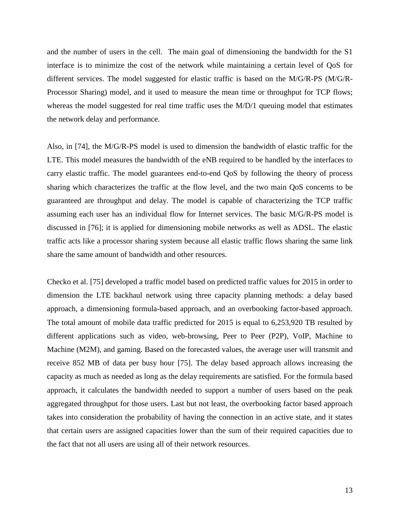and the number of users in the cell. The main goal of dimensioning the bandwidth for the S1 interface is to minimize the cost of the network while maintaining a certain level of QoS for different services. The model suggested for elastic traffic is based on the M/G/R-PS (M/G/R-Processor Sharing) model, and it used to measure the mean time or throughput for TCP flows; whereas the model suggested for real time traffic uses the M/D/1 queuing model that estimates the network delay and performance.

Also, in [74], the M/G/R-PS model is used to dimension the bandwidth of elastic traffic for the LTE. This model measures the bandwidth of the eNB required to be handled by the interfaces to carry elastic traffic. The model guarantees end-to-end QoS by following the theory of process sharing which characterizes the traffic at the flow level, and the two main QoS concerns to be guaranteed are throughput and delay. The model is capable of characterizing the TCP traffic assuming each user has an individual flow for Internet services. The basic M/G/R-PS model is discussed in [76]; it is applied for dimensioning mobile networks as well as ADSL. The elastic traffic acts like a processor sharing system because all elastic traffic flows sharing the same link share the same amount of bandwidth and other resources.

Checko et al. [75] developed a traffic model based on predicted traffic values for 2015 in order to dimension the LTE backhaul network using three capacity planning methods: a delay based approach, a dimensioning formula-based approach, and an overbooking factor-based approach. The total amount of mobile data traffic predicted for 2015 is equal to 6,253,920 TB resulted by different applications such as video, web-browsing, Peer to Peer (P2P), VoIP, Machine to Machine (M2M), and gaming. Based on the forecasted values, the average user will transmit and receive 852 MB of data per busy hour [75]. The delay based approach allows increasing the capacity as much as needed as long as the delay requirements are satisfied. For the formula based approach, it calculates the bandwidth needed to support a number of users based on the peak aggregated throughput for those users. Last but not least, the overbooking factor based approach takes into consideration the probability of having the connection in an active state, and it states that certain users are assigned capacities lower than the sum of their required capacities due to the fact that not all users are using all of their network resources.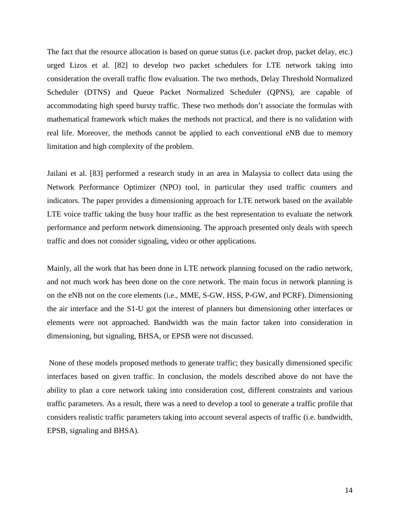The fact that the resource allocation is based on queue status (i.e. packet drop, packet delay, etc.) urged Lizos et al. [82] to develop two packet schedulers for LTE network taking into consideration the overall traffic flow evaluation. The two methods, Delay Threshold Normalized Scheduler (DTNS) and Queue Packet Normalized Scheduler (QPNS), are capable of accommodating high speed bursty traffic. These two methods don't associate the formulas with mathematical framework which makes the methods not practical, and there is no validation with real life. Moreover, the methods cannot be applied to each conventional eNB due to memory limitation and high complexity of the problem.

Jailani et al. [83] performed a research study in an area in Malaysia to collect data using the Network Performance Optimizer (NPO) tool, in particular they used traffic counters and indicators. The paper provides a dimensioning approach for LTE network based on the available LTE voice traffic taking the busy hour traffic as the best representation to evaluate the network performance and perform network dimensioning. The approach presented only deals with speech traffic and does not consider signaling, video or other applications.

Mainly, all the work that has been done in LTE network planning focused on the radio network, and not much work has been done on the core network. The main focus in network planning is on the eNB not on the core elements (i.e., MME, S-GW, HSS, P-GW, and PCRF). Dimensioning the air interface and the S1-U got the interest of planners but dimensioning other interfaces or elements were not approached. Bandwidth was the main factor taken into consideration in dimensioning, but signaling, BHSA, or EPSB were not discussed.

None of these models proposed methods to generate traffic; they basically dimensioned specific interfaces based on given traffic. In conclusion, the models described above do not have the ability to plan a core network taking into consideration cost, different constraints and various traffic parameters. As a result, there was a need to develop a tool to generate a traffic profile that considers realistic traffic parameters taking into account several aspects of traffic (i.e. bandwidth, EPSB, signaling and BHSA).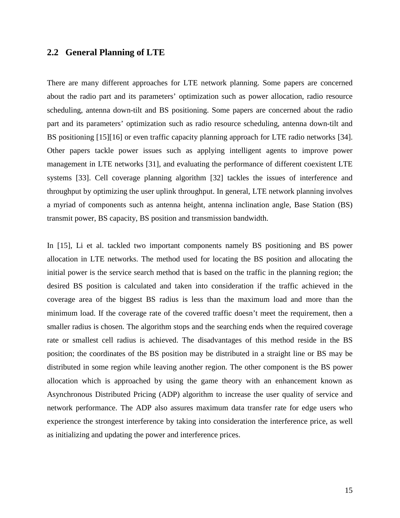### **2.2 General Planning of LTE**

There are many different approaches for LTE network planning. Some papers are concerned about the radio part and its parameters' optimization such as power allocation, radio resource scheduling, antenna down-tilt and BS positioning. Some papers are concerned about the radio part and its parameters' optimization such as radio resource scheduling, antenna down-tilt and BS positioning [15][16] or even traffic capacity planning approach for LTE radio networks [34]. Other papers tackle power issues such as applying intelligent agents to improve power management in LTE networks [31], and evaluating the performance of different coexistent LTE systems [33]. Cell coverage planning algorithm [32] tackles the issues of interference and throughput by optimizing the user uplink throughput. In general, LTE network planning involves a myriad of components such as antenna height, antenna inclination angle, Base Station (BS) transmit power, BS capacity, BS position and transmission bandwidth.

In [15], Li et al. tackled two important components namely BS positioning and BS power allocation in LTE networks. The method used for locating the BS position and allocating the initial power is the service search method that is based on the traffic in the planning region; the desired BS position is calculated and taken into consideration if the traffic achieved in the coverage area of the biggest BS radius is less than the maximum load and more than the minimum load. If the coverage rate of the covered traffic doesn't meet the requirement, then a smaller radius is chosen. The algorithm stops and the searching ends when the required coverage rate or smallest cell radius is achieved. The disadvantages of this method reside in the BS position; the coordinates of the BS position may be distributed in a straight line or BS may be distributed in some region while leaving another region. The other component is the BS power allocation which is approached by using the game theory with an enhancement known as Asynchronous Distributed Pricing (ADP) algorithm to increase the user quality of service and network performance. The ADP also assures maximum data transfer rate for edge users who experience the strongest interference by taking into consideration the interference price, as well as initializing and updating the power and interference prices.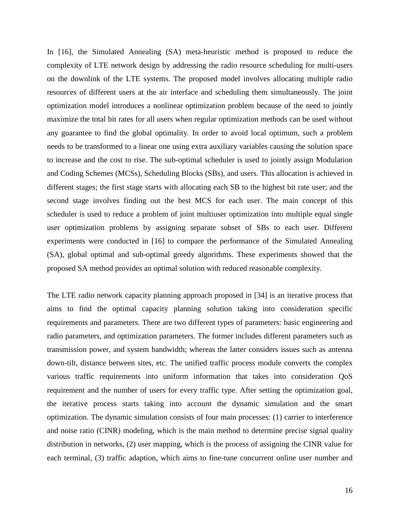In [16], the Simulated Annealing (SA) meta-heuristic method is proposed to reduce the complexity of LTE network design by addressing the radio resource scheduling for multi-users on the downlink of the LTE systems. The proposed model involves allocating multiple radio resources of different users at the air interface and scheduling them simultaneously. The joint optimization model introduces a nonlinear optimization problem because of the need to jointly maximize the total bit rates for all users when regular optimization methods can be used without any guarantee to find the global optimality. In order to avoid local optimum, such a problem needs to be transformed to a linear one using extra auxiliary variables causing the solution space to increase and the cost to rise. The sub-optimal scheduler is used to jointly assign Modulation and Coding Schemes (MCSs), Scheduling Blocks (SBs), and users. This allocation is achieved in different stages; the first stage starts with allocating each SB to the highest bit rate user; and the second stage involves finding out the best MCS for each user. The main concept of this scheduler is used to reduce a problem of joint multiuser optimization into multiple equal single user optimization problems by assigning separate subset of SBs to each user. Different experiments were conducted in [16] to compare the performance of the Simulated Annealing (SA), global optimal and sub-optimal greedy algorithms. These experiments showed that the proposed SA method provides an optimal solution with reduced reasonable complexity.

The LTE radio network capacity planning approach proposed in [34] is an iterative process that aims to find the optimal capacity planning solution taking into consideration specific requirements and parameters. There are two different types of parameters: basic engineering and radio parameters, and optimization parameters. The former includes different parameters such as transmission power, and system bandwidth; whereas the latter considers issues such as antenna down-tilt, distance between sites, etc. The unified traffic process module converts the complex various traffic requirements into uniform information that takes into consideration QoS requirement and the number of users for every traffic type. After setting the optimization goal, the iterative process starts taking into account the dynamic simulation and the smart optimization. The dynamic simulation consists of four main processes: (1) carrier to interference and noise ratio (CINR) modeling, which is the main method to determine precise signal quality distribution in networks, (2) user mapping, which is the process of assigning the CINR value for each terminal, (3) traffic adaption, which aims to fine-tune concurrent online user number and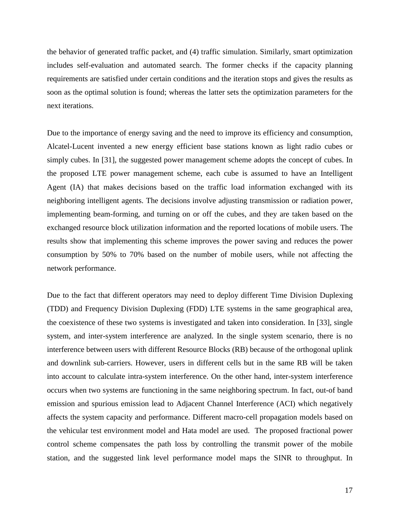the behavior of generated traffic packet, and (4) traffic simulation. Similarly, smart optimization includes self-evaluation and automated search. The former checks if the capacity planning requirements are satisfied under certain conditions and the iteration stops and gives the results as soon as the optimal solution is found; whereas the latter sets the optimization parameters for the next iterations.

Due to the importance of energy saving and the need to improve its efficiency and consumption, Alcatel-Lucent invented a new energy efficient base stations known as light radio cubes or simply cubes. In [31], the suggested power management scheme adopts the concept of cubes. In the proposed LTE power management scheme, each cube is assumed to have an Intelligent Agent (IA) that makes decisions based on the traffic load information exchanged with its neighboring intelligent agents. The decisions involve adjusting transmission or radiation power, implementing beam-forming, and turning on or off the cubes, and they are taken based on the exchanged resource block utilization information and the reported locations of mobile users. The results show that implementing this scheme improves the power saving and reduces the power consumption by 50% to 70% based on the number of mobile users, while not affecting the network performance.

Due to the fact that different operators may need to deploy different Time Division Duplexing (TDD) and Frequency Division Duplexing (FDD) LTE systems in the same geographical area, the coexistence of these two systems is investigated and taken into consideration. In [33], single system, and inter-system interference are analyzed. In the single system scenario, there is no interference between users with different Resource Blocks (RB) because of the orthogonal uplink and downlink sub-carriers. However, users in different cells but in the same RB will be taken into account to calculate intra-system interference. On the other hand, inter-system interference occurs when two systems are functioning in the same neighboring spectrum. In fact, out-of band emission and spurious emission lead to Adjacent Channel Interference (ACI) which negatively affects the system capacity and performance. Different macro-cell propagation models based on the vehicular test environment model and Hata model are used. The proposed fractional power control scheme compensates the path loss by controlling the transmit power of the mobile station, and the suggested link level performance model maps the SINR to throughput. In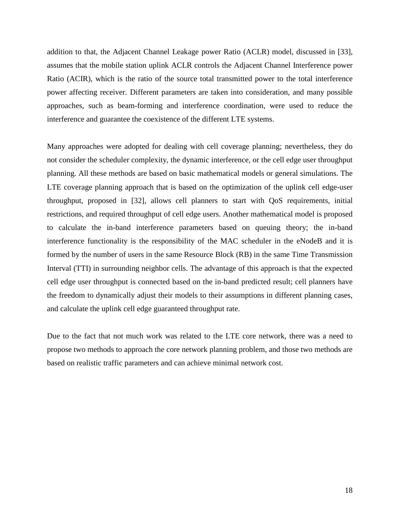addition to that, the Adjacent Channel Leakage power Ratio (ACLR) model, discussed in [33], assumes that the mobile station uplink ACLR controls the Adjacent Channel Interference power Ratio (ACIR), which is the ratio of the source total transmitted power to the total interference power affecting receiver. Different parameters are taken into consideration, and many possible approaches, such as beam-forming and interference coordination, were used to reduce the interference and guarantee the coexistence of the different LTE systems.

Many approaches were adopted for dealing with cell coverage planning; nevertheless, they do not consider the scheduler complexity, the dynamic interference, or the cell edge user throughput planning. All these methods are based on basic mathematical models or general simulations. The LTE coverage planning approach that is based on the optimization of the uplink cell edge-user throughput, proposed in [32], allows cell planners to start with QoS requirements, initial restrictions, and required throughput of cell edge users. Another mathematical model is proposed to calculate the in-band interference parameters based on queuing theory; the in-band interference functionality is the responsibility of the MAC scheduler in the eNodeB and it is formed by the number of users in the same Resource Block (RB) in the same Time Transmission Interval (TTI) in surrounding neighbor cells. The advantage of this approach is that the expected cell edge user throughput is connected based on the in-band predicted result; cell planners have the freedom to dynamically adjust their models to their assumptions in different planning cases, and calculate the uplink cell edge guaranteed throughput rate.

Due to the fact that not much work was related to the LTE core network, there was a need to propose two methods to approach the core network planning problem, and those two methods are based on realistic traffic parameters and can achieve minimal network cost.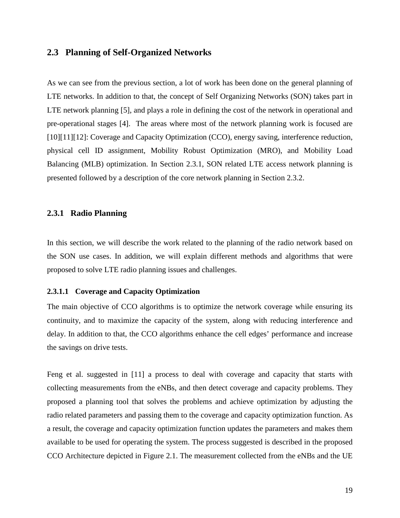## **2.3 Planning of Self-Organized Networks**

As we can see from the previous section, a lot of work has been done on the general planning of LTE networks. In addition to that, the concept of Self Organizing Networks (SON) takes part in LTE network planning [5], and plays a role in defining the cost of the network in operational and pre-operational stages [4]. The areas where most of the network planning work is focused are [10][11][12]: Coverage and Capacity Optimization (CCO), energy saving, interference reduction, physical cell ID assignment, Mobility Robust Optimization (MRO), and Mobility Load Balancing (MLB) optimization. In Section 2.3.1, SON related LTE access network planning is presented followed by a description of the core network planning in Section 2.3.2.

#### **2.3.1 Radio Planning**

In this section, we will describe the work related to the planning of the radio network based on the SON use cases. In addition, we will explain different methods and algorithms that were proposed to solve LTE radio planning issues and challenges.

#### **2.3.1.1 Coverage and Capacity Optimization**

The main objective of CCO algorithms is to optimize the network coverage while ensuring its continuity, and to maximize the capacity of the system, along with reducing interference and delay. In addition to that, the CCO algorithms enhance the cell edges' performance and increase the savings on drive tests.

Feng et al. suggested in [11] a process to deal with coverage and capacity that starts with collecting measurements from the eNBs, and then detect coverage and capacity problems. They proposed a planning tool that solves the problems and achieve optimization by adjusting the radio related parameters and passing them to the coverage and capacity optimization function. As a result, the coverage and capacity optimization function updates the parameters and makes them available to be used for operating the system. The process suggested is described in the proposed CCO Architecture depicted in Figure 2.1. The measurement collected from the eNBs and the UE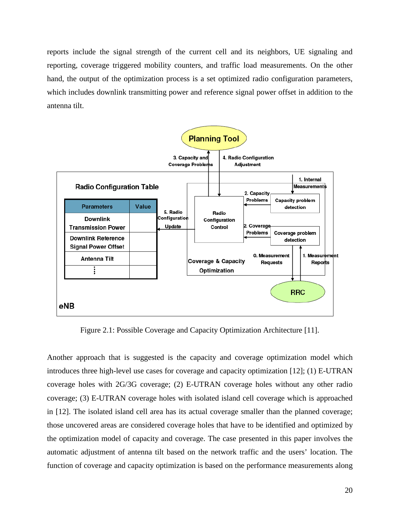reports include the signal strength of the current cell and its neighbors, UE signaling and reporting, coverage triggered mobility counters, and traffic load measurements. On the other hand, the output of the optimization process is a set optimized radio configuration parameters, which includes downlink transmitting power and reference signal power offset in addition to the antenna tilt.



Figure 2.1: Possible Coverage and Capacity Optimization Architecture [11].

Another approach that is suggested is the capacity and coverage optimization model which introduces three high-level use cases for coverage and capacity optimization [12]; (1) E-UTRAN coverage holes with 2G/3G coverage; (2) E-UTRAN coverage holes without any other radio coverage; (3) E-UTRAN coverage holes with isolated island cell coverage which is approached in [12]. The isolated island cell area has its actual coverage smaller than the planned coverage; those uncovered areas are considered coverage holes that have to be identified and optimized by the optimization model of capacity and coverage. The case presented in this paper involves the automatic adjustment of antenna tilt based on the network traffic and the users' location. The function of coverage and capacity optimization is based on the performance measurements along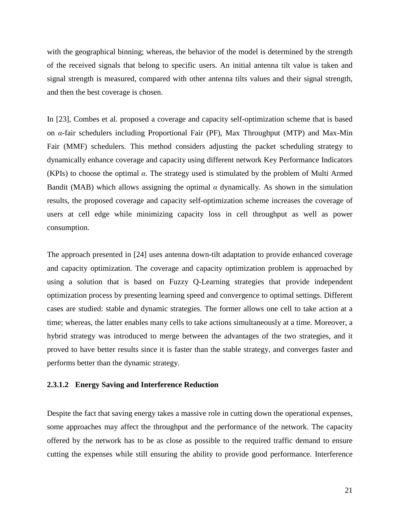with the geographical binning; whereas, the behavior of the model is determined by the strength of the received signals that belong to specific users. An initial antenna tilt value is taken and signal strength is measured, compared with other antenna tilts values and their signal strength, and then the best coverage is chosen.

In [23], Combes et al. proposed a coverage and capacity self-optimization scheme that is based on *α*-fair schedulers including Proportional Fair (PF), Max Throughput (MTP) and Max-Min Fair (MMF) schedulers. This method considers adjusting the packet scheduling strategy to dynamically enhance coverage and capacity using different network Key Performance Indicators (KPIs) to choose the optimal *α*. The strategy used is stimulated by the problem of Multi Armed Bandit (MAB) which allows assigning the optimal  $\alpha$  dynamically. As shown in the simulation results, the proposed coverage and capacity self-optimization scheme increases the coverage of users at cell edge while minimizing capacity loss in cell throughput as well as power consumption.

The approach presented in [24] uses antenna down-tilt adaptation to provide enhanced coverage and capacity optimization. The coverage and capacity optimization problem is approached by using a solution that is based on Fuzzy Q-Learning strategies that provide independent optimization process by presenting learning speed and convergence to optimal settings. Different cases are studied: stable and dynamic strategies. The former allows one cell to take action at a time; whereas, the latter enables many cells to take actions simultaneously at a time. Moreover, a hybrid strategy was introduced to merge between the advantages of the two strategies, and it proved to have better results since it is faster than the stable strategy, and converges faster and performs better than the dynamic strategy.

#### **2.3.1.2 Energy Saving and Interference Reduction**

Despite the fact that saving energy takes a massive role in cutting down the operational expenses, some approaches may affect the throughput and the performance of the network. The capacity offered by the network has to be as close as possible to the required traffic demand to ensure cutting the expenses while still ensuring the ability to provide good performance. Interference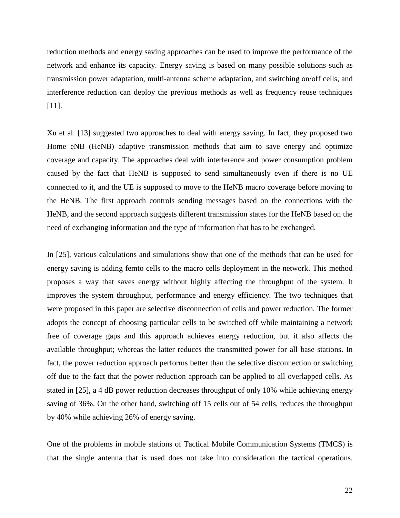reduction methods and energy saving approaches can be used to improve the performance of the network and enhance its capacity. Energy saving is based on many possible solutions such as transmission power adaptation, multi-antenna scheme adaptation, and switching on/off cells, and interference reduction can deploy the previous methods as well as frequency reuse techniques [11].

Xu et al. [13] suggested two approaches to deal with energy saving. In fact, they proposed two Home eNB (HeNB) adaptive transmission methods that aim to save energy and optimize coverage and capacity. The approaches deal with interference and power consumption problem caused by the fact that HeNB is supposed to send simultaneously even if there is no UE connected to it, and the UE is supposed to move to the HeNB macro coverage before moving to the HeNB. The first approach controls sending messages based on the connections with the HeNB, and the second approach suggests different transmission states for the HeNB based on the need of exchanging information and the type of information that has to be exchanged.

In [25], various calculations and simulations show that one of the methods that can be used for energy saving is adding femto cells to the macro cells deployment in the network. This method proposes a way that saves energy without highly affecting the throughput of the system. It improves the system throughput, performance and energy efficiency. The two techniques that were proposed in this paper are selective disconnection of cells and power reduction. The former adopts the concept of choosing particular cells to be switched off while maintaining a network free of coverage gaps and this approach achieves energy reduction, but it also affects the available throughput; whereas the latter reduces the transmitted power for all base stations. In fact, the power reduction approach performs better than the selective disconnection or switching off due to the fact that the power reduction approach can be applied to all overlapped cells. As stated in [25], a 4 dB power reduction decreases throughput of only 10% while achieving energy saving of 36%. On the other hand, switching off 15 cells out of 54 cells, reduces the throughput by 40% while achieving 26% of energy saving.

One of the problems in mobile stations of Tactical Mobile Communication Systems (TMCS) is that the single antenna that is used does not take into consideration the tactical operations.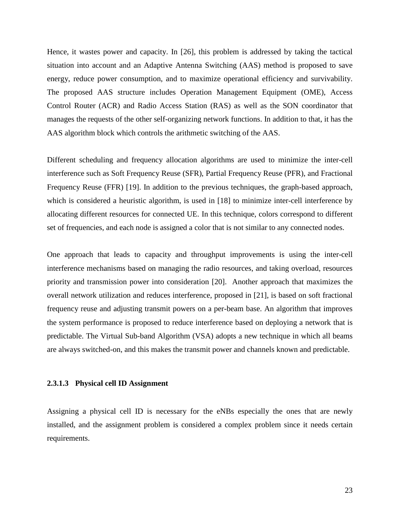Hence, it wastes power and capacity. In [26], this problem is addressed by taking the tactical situation into account and an Adaptive Antenna Switching (AAS) method is proposed to save energy, reduce power consumption, and to maximize operational efficiency and survivability. The proposed AAS structure includes Operation Management Equipment (OME), Access Control Router (ACR) and Radio Access Station (RAS) as well as the SON coordinator that manages the requests of the other self-organizing network functions. In addition to that, it has the AAS algorithm block which controls the arithmetic switching of the AAS.

Different scheduling and frequency allocation algorithms are used to minimize the inter-cell interference such as Soft Frequency Reuse (SFR), Partial Frequency Reuse (PFR), and Fractional Frequency Reuse (FFR) [19]. In addition to the previous techniques, the graph-based approach, which is considered a heuristic algorithm, is used in [18] to minimize inter-cell interference by allocating different resources for connected UE. In this technique, colors correspond to different set of frequencies, and each node is assigned a color that is not similar to any connected nodes.

One approach that leads to capacity and throughput improvements is using the inter-cell interference mechanisms based on managing the radio resources, and taking overload, resources priority and transmission power into consideration [20]. Another approach that maximizes the overall network utilization and reduces interference, proposed in [21], is based on soft fractional frequency reuse and adjusting transmit powers on a per-beam base. An algorithm that improves the system performance is proposed to reduce interference based on deploying a network that is predictable. The Virtual Sub-band Algorithm (VSA) adopts a new technique in which all beams are always switched-on, and this makes the transmit power and channels known and predictable.

#### **2.3.1.3 Physical cell ID Assignment**

Assigning a physical cell ID is necessary for the eNBs especially the ones that are newly installed, and the assignment problem is considered a complex problem since it needs certain requirements.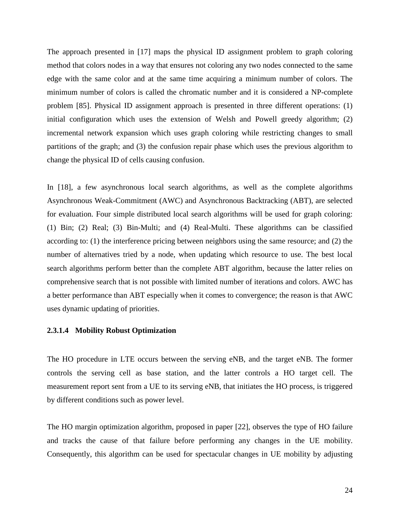The approach presented in [17] maps the physical ID assignment problem to graph coloring method that colors nodes in a way that ensures not coloring any two nodes connected to the same edge with the same color and at the same time acquiring a minimum number of colors. The minimum number of colors is called the chromatic number and it is considered a NP-complete problem [85]. Physical ID assignment approach is presented in three different operations: (1) initial configuration which uses the extension of Welsh and Powell greedy algorithm; (2) incremental network expansion which uses graph coloring while restricting changes to small partitions of the graph; and (3) the confusion repair phase which uses the previous algorithm to change the physical ID of cells causing confusion.

In [18], a few asynchronous local search algorithms, as well as the complete algorithms Asynchronous Weak-Commitment (AWC) and Asynchronous Backtracking (ABT), are selected for evaluation. Four simple distributed local search algorithms will be used for graph coloring: (1) Bin; (2) Real; (3) Bin-Multi; and (4) Real-Multi. These algorithms can be classified according to: (1) the interference pricing between neighbors using the same resource; and (2) the number of alternatives tried by a node, when updating which resource to use. The best local search algorithms perform better than the complete ABT algorithm, because the latter relies on comprehensive search that is not possible with limited number of iterations and colors. AWC has a better performance than ABT especially when it comes to convergence; the reason is that AWC uses dynamic updating of priorities.

#### **2.3.1.4 Mobility Robust Optimization**

The HO procedure in LTE occurs between the serving eNB, and the target eNB. The former controls the serving cell as base station, and the latter controls a HO target cell. The measurement report sent from a UE to its serving eNB, that initiates the HO process, is triggered by different conditions such as power level.

The HO margin optimization algorithm, proposed in paper [22], observes the type of HO failure and tracks the cause of that failure before performing any changes in the UE mobility. Consequently, this algorithm can be used for spectacular changes in UE mobility by adjusting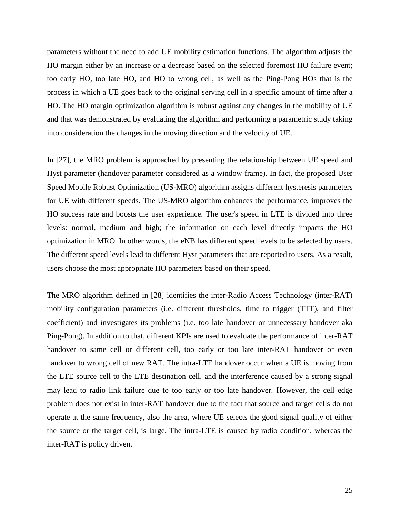parameters without the need to add UE mobility estimation functions. The algorithm adjusts the HO margin either by an increase or a decrease based on the selected foremost HO failure event; too early HO, too late HO, and HO to wrong cell, as well as the Ping-Pong HOs that is the process in which a UE goes back to the original serving cell in a specific amount of time after a HO. The HO margin optimization algorithm is robust against any changes in the mobility of UE and that was demonstrated by evaluating the algorithm and performing a parametric study taking into consideration the changes in the moving direction and the velocity of UE.

In [27], the MRO problem is approached by presenting the relationship between UE speed and Hyst parameter (handover parameter considered as a window frame). In fact, the proposed User Speed Mobile Robust Optimization (US-MRO) algorithm assigns different hysteresis parameters for UE with different speeds. The US-MRO algorithm enhances the performance, improves the HO success rate and boosts the user experience. The user's speed in LTE is divided into three levels: normal, medium and high; the information on each level directly impacts the HO optimization in MRO. In other words, the eNB has different speed levels to be selected by users. The different speed levels lead to different Hyst parameters that are reported to users. As a result, users choose the most appropriate HO parameters based on their speed.

The MRO algorithm defined in [28] identifies the inter-Radio Access Technology (inter-RAT) mobility configuration parameters (i.e. different thresholds, time to trigger (TTT), and filter coefficient) and investigates its problems (i.e. too late handover or unnecessary handover aka Ping-Pong). In addition to that, different KPIs are used to evaluate the performance of inter-RAT handover to same cell or different cell, too early or too late inter-RAT handover or even handover to wrong cell of new RAT. The intra-LTE handover occur when a UE is moving from the LTE source cell to the LTE destination cell, and the interference caused by a strong signal may lead to radio link failure due to too early or too late handover. However, the cell edge problem does not exist in inter-RAT handover due to the fact that source and target cells do not operate at the same frequency, also the area, where UE selects the good signal quality of either the source or the target cell, is large. The intra-LTE is caused by radio condition, whereas the inter-RAT is policy driven.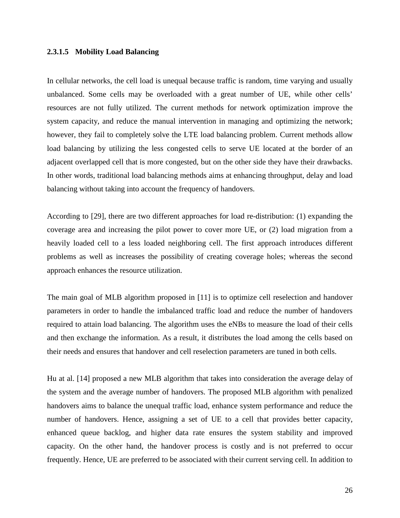#### **2.3.1.5 Mobility Load Balancing**

In cellular networks, the cell load is unequal because traffic is random, time varying and usually unbalanced. Some cells may be overloaded with a great number of UE, while other cells' resources are not fully utilized. The current methods for network optimization improve the system capacity, and reduce the manual intervention in managing and optimizing the network; however, they fail to completely solve the LTE load balancing problem. Current methods allow load balancing by utilizing the less congested cells to serve UE located at the border of an adjacent overlapped cell that is more congested, but on the other side they have their drawbacks. In other words, traditional load balancing methods aims at enhancing throughput, delay and load balancing without taking into account the frequency of handovers.

According to [29], there are two different approaches for load re-distribution: (1) expanding the coverage area and increasing the pilot power to cover more UE, or (2) load migration from a heavily loaded cell to a less loaded neighboring cell. The first approach introduces different problems as well as increases the possibility of creating coverage holes; whereas the second approach enhances the resource utilization.

The main goal of MLB algorithm proposed in [11] is to optimize cell reselection and handover parameters in order to handle the imbalanced traffic load and reduce the number of handovers required to attain load balancing. The algorithm uses the eNBs to measure the load of their cells and then exchange the information. As a result, it distributes the load among the cells based on their needs and ensures that handover and cell reselection parameters are tuned in both cells.

Hu at al. [14] proposed a new MLB algorithm that takes into consideration the average delay of the system and the average number of handovers. The proposed MLB algorithm with penalized handovers aims to balance the unequal traffic load, enhance system performance and reduce the number of handovers. Hence, assigning a set of UE to a cell that provides better capacity, enhanced queue backlog, and higher data rate ensures the system stability and improved capacity. On the other hand, the handover process is costly and is not preferred to occur frequently. Hence, UE are preferred to be associated with their current serving cell. In addition to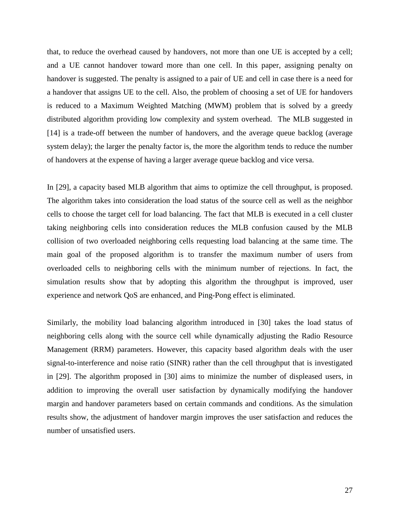that, to reduce the overhead caused by handovers, not more than one UE is accepted by a cell; and a UE cannot handover toward more than one cell. In this paper, assigning penalty on handover is suggested. The penalty is assigned to a pair of UE and cell in case there is a need for a handover that assigns UE to the cell. Also, the problem of choosing a set of UE for handovers is reduced to a Maximum Weighted Matching (MWM) problem that is solved by a greedy distributed algorithm providing low complexity and system overhead. The MLB suggested in [14] is a trade-off between the number of handovers, and the average queue backlog (average system delay); the larger the penalty factor is, the more the algorithm tends to reduce the number of handovers at the expense of having a larger average queue backlog and vice versa.

In [29], a capacity based MLB algorithm that aims to optimize the cell throughput, is proposed. The algorithm takes into consideration the load status of the source cell as well as the neighbor cells to choose the target cell for load balancing. The fact that MLB is executed in a cell cluster taking neighboring cells into consideration reduces the MLB confusion caused by the MLB collision of two overloaded neighboring cells requesting load balancing at the same time. The main goal of the proposed algorithm is to transfer the maximum number of users from overloaded cells to neighboring cells with the minimum number of rejections. In fact, the simulation results show that by adopting this algorithm the throughput is improved, user experience and network QoS are enhanced, and Ping-Pong effect is eliminated.

Similarly, the mobility load balancing algorithm introduced in [30] takes the load status of neighboring cells along with the source cell while dynamically adjusting the Radio Resource Management (RRM) parameters. However, this capacity based algorithm deals with the user signal-to-interference and noise ratio (SINR) rather than the cell throughput that is investigated in [29]. The algorithm proposed in [30] aims to minimize the number of displeased users, in addition to improving the overall user satisfaction by dynamically modifying the handover margin and handover parameters based on certain commands and conditions. As the simulation results show, the adjustment of handover margin improves the user satisfaction and reduces the number of unsatisfied users.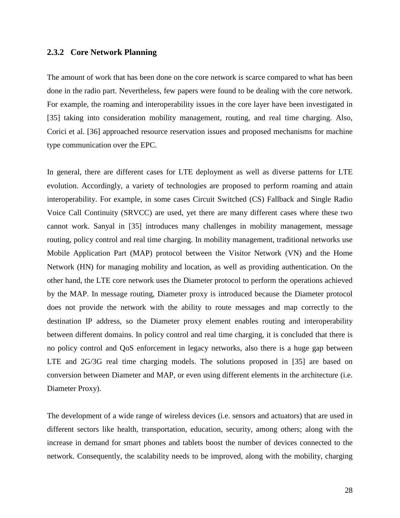#### **2.3.2 Core Network Planning**

The amount of work that has been done on the core network is scarce compared to what has been done in the radio part. Nevertheless, few papers were found to be dealing with the core network. For example, the roaming and interoperability issues in the core layer have been investigated in [35] taking into consideration mobility management, routing, and real time charging. Also, Corici et al. [36] approached resource reservation issues and proposed mechanisms for machine type communication over the EPC.

In general, there are different cases for LTE deployment as well as diverse patterns for LTE evolution. Accordingly, a variety of technologies are proposed to perform roaming and attain interoperability. For example, in some cases Circuit Switched (CS) Fallback and Single Radio Voice Call Continuity (SRVCC) are used, yet there are many different cases where these two cannot work. Sanyal in [35] introduces many challenges in mobility management, message routing, policy control and real time charging. In mobility management, traditional networks use Mobile Application Part (MAP) protocol between the Visitor Network (VN) and the Home Network (HN) for managing mobility and location, as well as providing authentication. On the other hand, the LTE core network uses the Diameter protocol to perform the operations achieved by the MAP. In message routing, Diameter proxy is introduced because the Diameter protocol does not provide the network with the ability to route messages and map correctly to the destination IP address, so the Diameter proxy element enables routing and interoperability between different domains. In policy control and real time charging, it is concluded that there is no policy control and QoS enforcement in legacy networks, also there is a huge gap between LTE and 2G/3G real time charging models. The solutions proposed in [35] are based on conversion between Diameter and MAP, or even using different elements in the architecture (i.e. Diameter Proxy).

The development of a wide range of wireless devices (i.e. sensors and actuators) that are used in different sectors like health, transportation, education, security, among others; along with the increase in demand for smart phones and tablets boost the number of devices connected to the network. Consequently, the scalability needs to be improved, along with the mobility, charging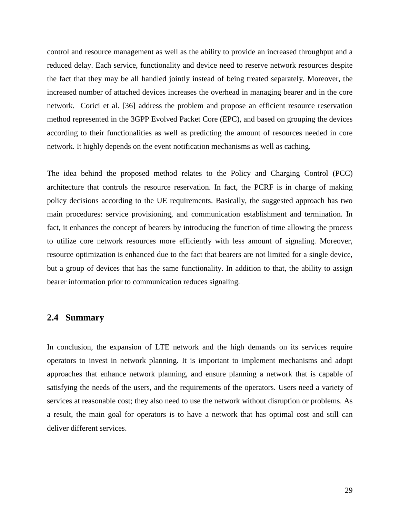control and resource management as well as the ability to provide an increased throughput and a reduced delay. Each service, functionality and device need to reserve network resources despite the fact that they may be all handled jointly instead of being treated separately. Moreover, the increased number of attached devices increases the overhead in managing bearer and in the core network. Corici et al. [36] address the problem and propose an efficient resource reservation method represented in the 3GPP Evolved Packet Core (EPC), and based on grouping the devices according to their functionalities as well as predicting the amount of resources needed in core network. It highly depends on the event notification mechanisms as well as caching.

The idea behind the proposed method relates to the Policy and Charging Control (PCC) architecture that controls the resource reservation. In fact, the PCRF is in charge of making policy decisions according to the UE requirements. Basically, the suggested approach has two main procedures: service provisioning, and communication establishment and termination. In fact, it enhances the concept of bearers by introducing the function of time allowing the process to utilize core network resources more efficiently with less amount of signaling. Moreover, resource optimization is enhanced due to the fact that bearers are not limited for a single device, but a group of devices that has the same functionality. In addition to that, the ability to assign bearer information prior to communication reduces signaling.

# **2.4 Summary**

In conclusion, the expansion of LTE network and the high demands on its services require operators to invest in network planning. It is important to implement mechanisms and adopt approaches that enhance network planning, and ensure planning a network that is capable of satisfying the needs of the users, and the requirements of the operators. Users need a variety of services at reasonable cost; they also need to use the network without disruption or problems. As a result, the main goal for operators is to have a network that has optimal cost and still can deliver different services.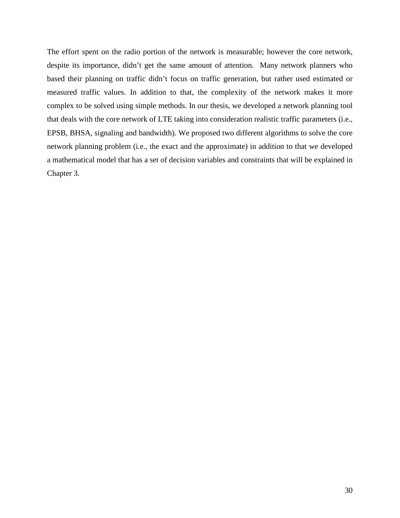The effort spent on the radio portion of the network is measurable; however the core network, despite its importance, didn't get the same amount of attention. Many network planners who based their planning on traffic didn't focus on traffic generation, but rather used estimated or measured traffic values. In addition to that, the complexity of the network makes it more complex to be solved using simple methods. In our thesis, we developed a network planning tool that deals with the core network of LTE taking into consideration realistic traffic parameters (i.e., EPSB, BHSA, signaling and bandwidth). We proposed two different algorithms to solve the core network planning problem (i.e., the exact and the approximate) in addition to that we developed a mathematical model that has a set of decision variables and constraints that will be explained in Chapter 3.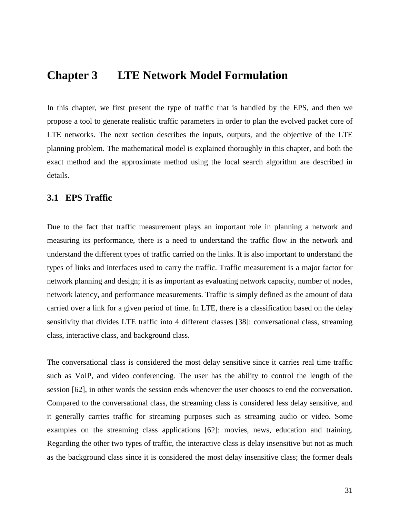# **Chapter 3 LTE Network Model Formulation**

In this chapter, we first present the type of traffic that is handled by the EPS, and then we propose a tool to generate realistic traffic parameters in order to plan the evolved packet core of LTE networks. The next section describes the inputs, outputs, and the objective of the LTE planning problem. The mathematical model is explained thoroughly in this chapter, and both the exact method and the approximate method using the local search algorithm are described in details.

## **3.1 EPS Traffic**

Due to the fact that traffic measurement plays an important role in planning a network and measuring its performance, there is a need to understand the traffic flow in the network and understand the different types of traffic carried on the links. It is also important to understand the types of links and interfaces used to carry the traffic. Traffic measurement is a major factor for network planning and design; it is as important as evaluating network capacity, number of nodes, network latency, and performance measurements. Traffic is simply defined as the amount of data carried over a link for a given period of time. In LTE, there is a classification based on the delay sensitivity that divides LTE traffic into 4 different classes [38]: conversational class, streaming class, interactive class, and background class.

The conversational class is considered the most delay sensitive since it carries real time traffic such as VoIP, and video conferencing. The user has the ability to control the length of the session [62], in other words the session ends whenever the user chooses to end the conversation. Compared to the conversational class, the streaming class is considered less delay sensitive, and it generally carries traffic for streaming purposes such as streaming audio or video. Some examples on the streaming class applications [62]: movies, news, education and training. Regarding the other two types of traffic, the interactive class is delay insensitive but not as much as the background class since it is considered the most delay insensitive class; the former deals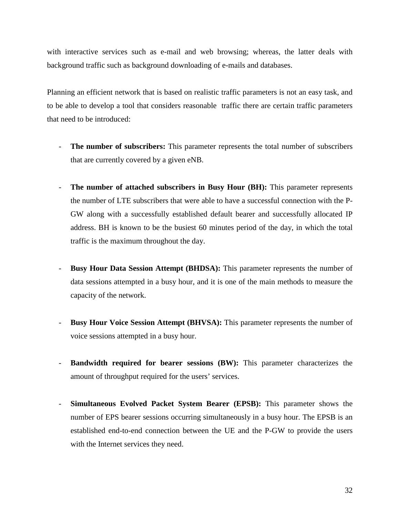with interactive services such as e-mail and web browsing; whereas, the latter deals with background traffic such as background downloading of e-mails and databases.

Planning an efficient network that is based on realistic traffic parameters is not an easy task, and to be able to develop a tool that considers reasonable traffic there are certain traffic parameters that need to be introduced:

- **The number of subscribers:** This parameter represents the total number of subscribers that are currently covered by a given eNB.
- **The number of attached subscribers in Busy Hour (BH):** This parameter represents the number of LTE subscribers that were able to have a successful connection with the P-GW along with a successfully established default bearer and successfully allocated IP address. BH is known to be the busiest 60 minutes period of the day, in which the total traffic is the maximum throughout the day.
- **Busy Hour Data Session Attempt (BHDSA):** This parameter represents the number of data sessions attempted in a busy hour, and it is one of the main methods to measure the capacity of the network.
- **Busy Hour Voice Session Attempt (BHVSA):** This parameter represents the number of voice sessions attempted in a busy hour.
- **Bandwidth required for bearer sessions (BW):** This parameter characterizes the amount of throughput required for the users' services.
- **Simultaneous Evolved Packet System Bearer (EPSB):** This parameter shows the number of EPS bearer sessions occurring simultaneously in a busy hour. The EPSB is an established end-to-end connection between the UE and the P-GW to provide the users with the Internet services they need.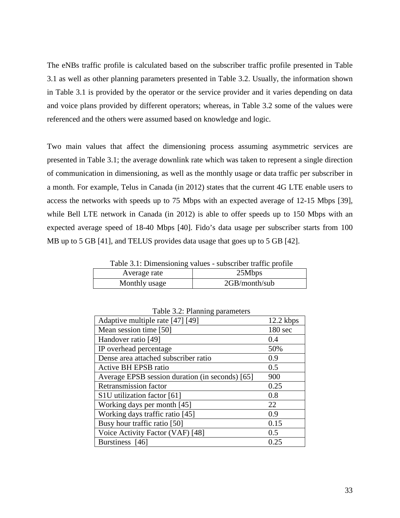The eNBs traffic profile is calculated based on the subscriber traffic profile presented in Table 3.1 as well as other planning parameters presented in Table 3.2. Usually, the information shown in Table 3.1 is provided by the operator or the service provider and it varies depending on data and voice plans provided by different operators; whereas, in Table 3.2 some of the values were referenced and the others were assumed based on knowledge and logic.

Two main values that affect the dimensioning process assuming asymmetric services are presented in Table 3.1; the average downlink rate which was taken to represent a single direction of communication in dimensioning, as well as the monthly usage or data traffic per subscriber in a month. For example, Telus in Canada (in 2012) states that the current 4G LTE enable users to access the networks with speeds up to 75 Mbps with an expected average of 12-15 Mbps [39], while Bell LTE network in Canada (in 2012) is able to offer speeds up to 150 Mbps with an expected average speed of 18-40 Mbps [40]. Fido's data usage per subscriber starts from 100 MB up to 5 GB [41], and TELUS provides data usage that goes up to 5 GB [42].

Table 3.1: Dimensioning values - subscriber traffic profile

| 25Mbps<br>Average rate         |  |
|--------------------------------|--|
| 2GB/month/sub<br>Monthly usage |  |

| Adaptive multiple rate [47] [49]                | 12.2 kbps          |
|-------------------------------------------------|--------------------|
| Mean session time [50]                          | 180 <sub>sec</sub> |
| Handover ratio [49]                             | 0.4                |
| IP overhead percentage                          | 50%                |
| Dense area attached subscriber ratio            | 0.9                |
| <b>Active BH EPSB ratio</b>                     | 0.5                |
| Average EPSB session duration (in seconds) [65] | 900                |
| <b>Retransmission factor</b>                    | 0.25               |
| S1U utilization factor [61]                     | 0.8                |
| Working days per month [45]                     | 22                 |
| Working days traffic ratio [45]                 | 0.9                |
| Busy hour traffic ratio [50]                    | 0.15               |
| Voice Activity Factor (VAF) [48]                | 0.5                |
| Burstiness [46]                                 | 0.25               |

Table 3.2: Planning parameters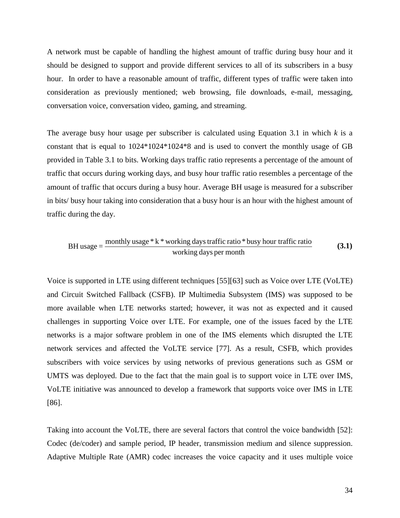A network must be capable of handling the highest amount of traffic during busy hour and it should be designed to support and provide different services to all of its subscribers in a busy hour. In order to have a reasonable amount of traffic, different types of traffic were taken into consideration as previously mentioned; web browsing, file downloads, e-mail, messaging, conversation voice, conversation video, gaming, and streaming.

The average busy hour usage per subscriber is calculated using Equation 3.1 in which *k* is a constant that is equal to 1024\*1024\*1024\*8 and is used to convert the monthly usage of GB provided in Table 3.1 to bits. Working days traffic ratio represents a percentage of the amount of traffic that occurs during working days, and busy hour traffic ratio resembles a percentage of the amount of traffic that occurs during a busy hour. Average BH usage is measured for a subscriber in bits/ busy hour taking into consideration that a busy hour is an hour with the highest amount of traffic during the day.

working days per month monthly usage \* <sup>k</sup> \* working days traffic ratio \* busy hour traffic ratio BH usage <sup>=</sup> **(3.1)**

Voice is supported in LTE using different techniques [55][63] such as Voice over LTE (VoLTE) and Circuit Switched Fallback (CSFB). IP Multimedia Subsystem (IMS) was supposed to be more available when LTE networks started; however, it was not as expected and it caused challenges in supporting Voice over LTE. For example, one of the issues faced by the LTE networks is a major software problem in one of the IMS elements which disrupted the LTE network services and affected the VoLTE service [77]. As a result, CSFB, which provides subscribers with voice services by using networks of previous generations such as GSM or UMTS was deployed. Due to the fact that the main goal is to support voice in LTE over IMS, VoLTE initiative was announced to develop a framework that supports voice over IMS in LTE [86].

Taking into account the VoLTE, there are several factors that control the voice bandwidth [52]: Codec (de/coder) and sample period, IP header, transmission medium and silence suppression. Adaptive Multiple Rate (AMR) codec increases the voice capacity and it uses multiple voice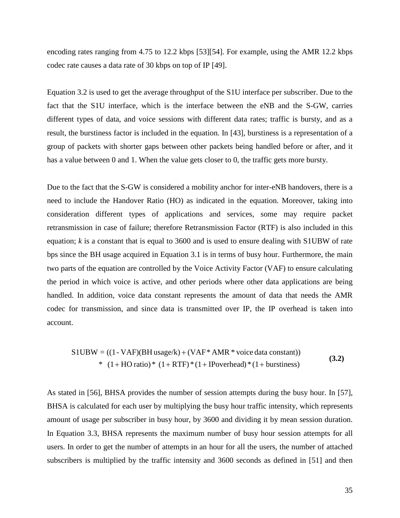encoding rates ranging from 4.75 to 12.2 kbps [53][54]. For example, using the AMR 12.2 kbps codec rate causes a data rate of 30 kbps on top of IP [49].

Equation 3.2 is used to get the average throughput of the S1U interface per subscriber. Due to the fact that the S1U interface, which is the interface between the eNB and the S-GW, carries different types of data, and voice sessions with different data rates; traffic is bursty, and as a result, the burstiness factor is included in the equation. In [43], burstiness is a representation of a group of packets with shorter gaps between other packets being handled before or after, and it has a value between 0 and 1. When the value gets closer to 0, the traffic gets more bursty.

Due to the fact that the S-GW is considered a mobility anchor for inter-eNB handovers, there is a need to include the Handover Ratio (HO) as indicated in the equation. Moreover, taking into consideration different types of applications and services, some may require packet retransmission in case of failure; therefore Retransmission Factor (RTF) is also included in this equation; *k* is a constant that is equal to 3600 and is used to ensure dealing with S1UBW of rate bps since the BH usage acquired in Equation 3.1 is in terms of busy hour. Furthermore, the main two parts of the equation are controlled by the Voice Activity Factor (VAF) to ensure calculating the period in which voice is active, and other periods where other data applications are being handled. In addition, voice data constant represents the amount of data that needs the AMR codec for transmission, and since data is transmitted over IP, the IP overhead is taken into account.

 \* (1 HO ratio) \* (1 RTF) \* (1 IPoverhead) \* (1 burstiness) S1UBW = ((1- VAF)(BH usage/k) (VAF\* AMR \* voice data constant)) + + + + + **(3.2)**

As stated in [56], BHSA provides the number of session attempts during the busy hour. In [57], BHSA is calculated for each user by multiplying the busy hour traffic intensity, which represents amount of usage per subscriber in busy hour, by 3600 and dividing it by mean session duration. In Equation 3.3, BHSA represents the maximum number of busy hour session attempts for all users. In order to get the number of attempts in an hour for all the users, the number of attached subscribers is multiplied by the traffic intensity and 3600 seconds as defined in [51] and then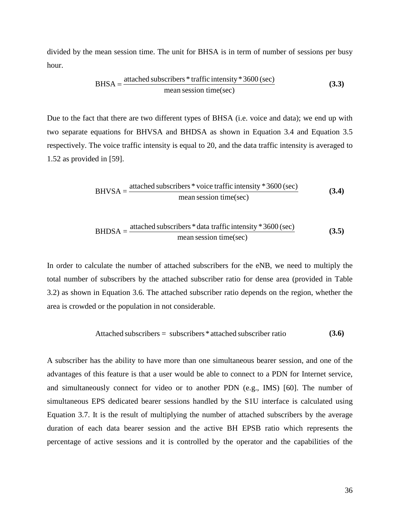divided by the mean session time. The unit for BHSA is in term of number of sessions per busy hour.

$$
BHSA = \frac{\text{attached subscripts} * \text{traffic intensity} * 3600 \text{ (sec)}}{\text{mean session time (sec)}}\tag{3.3}
$$

Due to the fact that there are two different types of BHSA (i.e. voice and data); we end up with two separate equations for BHVSA and BHDSA as shown in Equation 3.4 and Equation 3.5 respectively. The voice traffic intensity is equal to 20, and the data traffic intensity is averaged to 1.52 as provided in [59].

$$
BHVSA = \frac{\text{attached subscripts * voice traffic intensity * 3600 (sec)}}{\text{mean session time (sec)}}\tag{3.4}
$$

$$
BHDSA = \frac{\text{attached subscripts} * \text{data traffic intensity} * 3600 \text{ (sec)}}{\text{mean session time}(\text{sec})}
$$
(3.5)

In order to calculate the number of attached subscribers for the eNB, we need to multiply the total number of subscribers by the attached subscriber ratio for dense area (provided in Table 3.2) as shown in Equation 3.6. The attached subscriber ratio depends on the region, whether the area is crowded or the population in not considerable.

$$
Attached\ subscripts = \ subscripts * attached\ subscript\ error\ ratio
$$
\n(3.6)

A subscriber has the ability to have more than one simultaneous bearer session, and one of the advantages of this feature is that a user would be able to connect to a PDN for Internet service, and simultaneously connect for video or to another PDN (e.g., IMS) [60]. The number of simultaneous EPS dedicated bearer sessions handled by the S1U interface is calculated using Equation 3.7. It is the result of multiplying the number of attached subscribers by the average duration of each data bearer session and the active BH EPSB ratio which represents the percentage of active sessions and it is controlled by the operator and the capabilities of the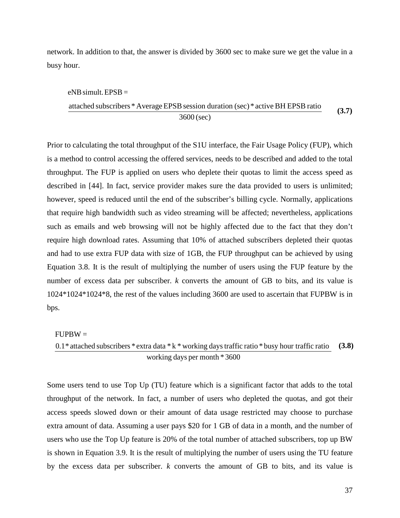network. In addition to that, the answer is divided by 3600 sec to make sure we get the value in a busy hour.

#### $eNB$  simult. EPSB =

3600 (sec) attached subscribers \* Average EPSB session duration (sec) \* active BH EPSB ratio **(3.7)** (3.7)

Prior to calculating the total throughput of the S1U interface, the Fair Usage Policy (FUP), which is a method to control accessing the offered services, needs to be described and added to the total throughput. The FUP is applied on users who deplete their quotas to limit the access speed as described in [44]. In fact, service provider makes sure the data provided to users is unlimited; however, speed is reduced until the end of the subscriber's billing cycle. Normally, applications that require high bandwidth such as video streaming will be affected; nevertheless, applications such as emails and web browsing will not be highly affected due to the fact that they don't require high download rates. Assuming that 10% of attached subscribers depleted their quotas and had to use extra FUP data with size of 1GB, the FUP throughput can be achieved by using Equation 3.8. It is the result of multiplying the number of users using the FUP feature by the number of excess data per subscriber. *k* converts the amount of GB to bits, and its value is 1024\*1024\*1024\*8, the rest of the values including 3600 are used to ascertain that FUPBW is in bps.

#### $FUPBW =$

working days per month \* 3600  $0.1*$  attached subscribers  $*$  extra data  $*$  k  $*$  working days traffic ratio  $*$  busy hour traffic ratio **(3.8)**

Some users tend to use Top Up (TU) feature which is a significant factor that adds to the total throughput of the network. In fact, a number of users who depleted the quotas, and got their access speeds slowed down or their amount of data usage restricted may choose to purchase extra amount of data. Assuming a user pays \$20 for 1 GB of data in a month, and the number of users who use the Top Up feature is 20% of the total number of attached subscribers, top up BW is shown in Equation 3.9. It is the result of multiplying the number of users using the TU feature by the excess data per subscriber. *k* converts the amount of GB to bits, and its value is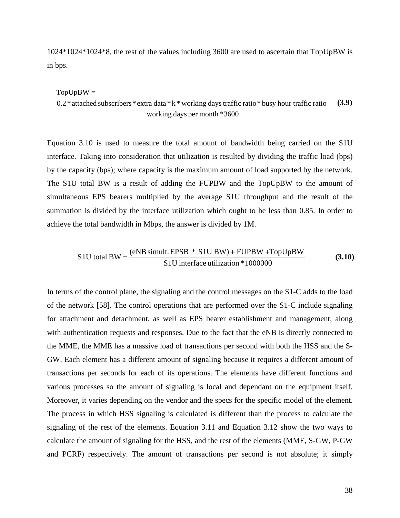1024\*1024\*1024\*8, the rest of the values including 3600 are used to ascertain that TopUpBW is in bps.

#### $TopUpBW =$

$$
\frac{0.2 \cdot \text{attached subscribers} \cdot \text{extra data} \cdot \text{k} \cdot \text{working days traffic ratio} \cdot \text{busy hour traffic ratio}}{\text{working days per month} \cdot 3600} \tag{3.9}
$$

Equation 3.10 is used to measure the total amount of bandwidth being carried on the S1U interface. Taking into consideration that utilization is resulted by dividing the traffic load (bps) by the capacity (bps); where capacity is the maximum amount of load supported by the network. The S1U total BW is a result of adding the FUPBW and the TopUpBW to the amount of simultaneous EPS bearers multiplied by the average S1U throughput and the result of the summation is divided by the interface utilization which ought to be less than 0.85. In order to achieve the total bandwidth in Mbps, the answer is divided by 1M.

S1U total BW = 
$$
\frac{(eNB \text{ simult. EPSB} * S1U BW) + FUPBW + TopUpBW}{S1U interface utilization * 1000000}
$$
 (3.10)

In terms of the control plane, the signaling and the control messages on the S1-C adds to the load of the network [58]. The control operations that are performed over the S1-C include signaling for attachment and detachment, as well as EPS bearer establishment and management, along with authentication requests and responses. Due to the fact that the eNB is directly connected to the MME, the MME has a massive load of transactions per second with both the HSS and the S-GW. Each element has a different amount of signaling because it requires a different amount of transactions per seconds for each of its operations. The elements have different functions and various processes so the amount of signaling is local and dependant on the equipment itself. Moreover, it varies depending on the vendor and the specs for the specific model of the element. The process in which HSS signaling is calculated is different than the process to calculate the signaling of the rest of the elements. Equation 3.11 and Equation 3.12 show the two ways to calculate the amount of signaling for the HSS, and the rest of the elements (MME, S-GW, P-GW and PCRF) respectively. The amount of transactions per second is not absolute; it simply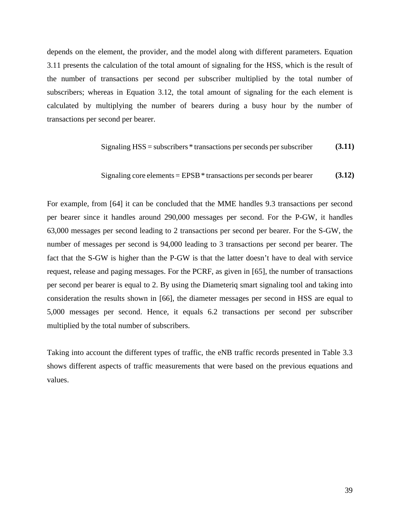depends on the element, the provider, and the model along with different parameters. Equation 3.11 presents the calculation of the total amount of signaling for the HSS, which is the result of the number of transactions per second per subscriber multiplied by the total number of subscribers; whereas in Equation 3.12, the total amount of signaling for the each element is calculated by multiplying the number of bearers during a busy hour by the number of transactions per second per bearer.

$$
Signaling HSS = subscripts * transactions per seconds per subscriber
$$
 (3.11)

$$
Signaling core elements = EPSB * transactions per seconds per bearer
$$
 (3.12)

For example, from [64] it can be concluded that the MME handles 9.3 transactions per second per bearer since it handles around 290,000 messages per second. For the P-GW, it handles 63,000 messages per second leading to 2 transactions per second per bearer. For the S-GW, the number of messages per second is 94,000 leading to 3 transactions per second per bearer. The fact that the S-GW is higher than the P-GW is that the latter doesn't have to deal with service request, release and paging messages. For the PCRF, as given in [65], the number of transactions per second per bearer is equal to 2. By using the Diameteriq smart signaling tool and taking into consideration the results shown in [66], the diameter messages per second in HSS are equal to 5,000 messages per second. Hence, it equals 6.2 transactions per second per subscriber multiplied by the total number of subscribers.

Taking into account the different types of traffic, the eNB traffic records presented in Table 3.3 shows different aspects of traffic measurements that were based on the previous equations and values.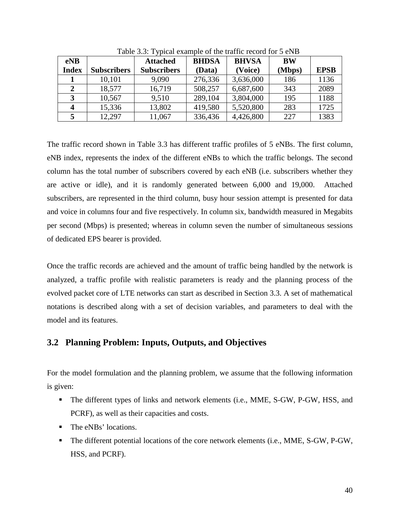| eNB          |                    | <b>Attached</b>    | <b>BHDSA</b> | <b>BHVSA</b> | <b>BW</b> |             |
|--------------|--------------------|--------------------|--------------|--------------|-----------|-------------|
| <b>Index</b> | <b>Subscribers</b> | <b>Subscribers</b> | (Data)       | (Voice)      | (Mbps)    | <b>EPSB</b> |
|              | 10,101             | 9,090              | 276,336      | 3,636,000    | 186       | 1136        |
| 2            | 18,577             | 16,719             | 508,257      | 6,687,600    | 343       | 2089        |
|              | 10,567             | 9,510              | 289,104      | 3,804,000    | 195       | 1188        |
| Δ            | 15,336             | 13,802             | 419,580      | 5,520,800    | 283       | 1725        |
|              | 12,297             | 11,067             | 336,436      | 4,426,800    | 227       | 1383        |

Table 3.3: Typical example of the traffic record for 5 eNB

The traffic record shown in Table 3.3 has different traffic profiles of 5 eNBs. The first column, eNB index, represents the index of the different eNBs to which the traffic belongs. The second column has the total number of subscribers covered by each eNB (i.e. subscribers whether they are active or idle), and it is randomly generated between 6,000 and 19,000. Attached subscribers, are represented in the third column, busy hour session attempt is presented for data and voice in columns four and five respectively. In column six, bandwidth measured in Megabits per second (Mbps) is presented; whereas in column seven the number of simultaneous sessions of dedicated EPS bearer is provided.

Once the traffic records are achieved and the amount of traffic being handled by the network is analyzed, a traffic profile with realistic parameters is ready and the planning process of the evolved packet core of LTE networks can start as described in Section 3.3. A set of mathematical notations is described along with a set of decision variables, and parameters to deal with the model and its features.

# **3.2 Planning Problem: Inputs, Outputs, and Objectives**

For the model formulation and the planning problem, we assume that the following information is given:

- The different types of links and network elements (i.e., MME, S-GW, P-GW, HSS, and PCRF), as well as their capacities and costs.
- The eNBs' locations.
- The different potential locations of the core network elements (i.e., MME, S-GW, P-GW, HSS, and PCRF).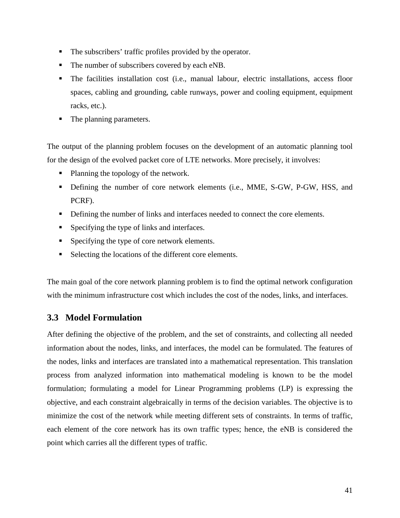- The subscribers' traffic profiles provided by the operator.
- The number of subscribers covered by each eNB.
- The facilities installation cost (i.e., manual labour, electric installations, access floor spaces, cabling and grounding, cable runways, power and cooling equipment, equipment racks, etc.).
- The planning parameters.

The output of the planning problem focuses on the development of an automatic planning tool for the design of the evolved packet core of LTE networks. More precisely, it involves:

- Planning the topology of the network.
- Defining the number of core network elements (i.e., MME, S-GW, P-GW, HSS, and PCRF).
- Defining the number of links and interfaces needed to connect the core elements.
- Specifying the type of links and interfaces.
- Specifying the type of core network elements.
- Selecting the locations of the different core elements.

The main goal of the core network planning problem is to find the optimal network configuration with the minimum infrastructure cost which includes the cost of the nodes, links, and interfaces.

# **3.3 Model Formulation**

After defining the objective of the problem, and the set of constraints, and collecting all needed information about the nodes, links, and interfaces, the model can be formulated. The features of the nodes, links and interfaces are translated into a mathematical representation. This translation process from analyzed information into mathematical modeling is known to be the model formulation; formulating a model for Linear Programming problems (LP) is expressing the objective, and each constraint algebraically in terms of the decision variables. The objective is to minimize the cost of the network while meeting different sets of constraints. In terms of traffic, each element of the core network has its own traffic types; hence, the eNB is considered the point which carries all the different types of traffic.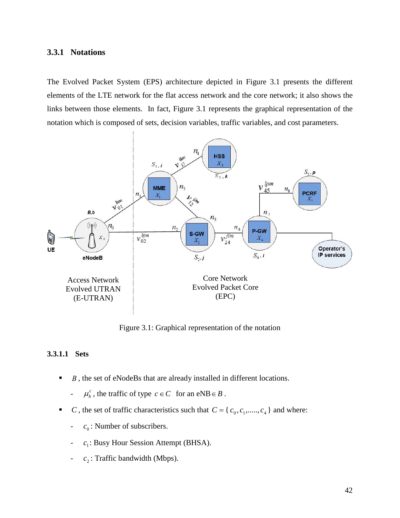### **3.3.1 Notations**

The Evolved Packet System (EPS) architecture depicted in Figure 3.1 presents the different elements of the LTE network for the flat access network and the core network; it also shows the links between those elements. In fact, Figure 3.1 represents the graphical representation of the notation which is composed of sets, decision variables, traffic variables, and cost parameters.



Figure 3.1: Graphical representation of the notation

#### **3.3.1.1 Sets**

■ *B*, the set of eNodeBs that are already installed in different locations.

-  $\mu_b^c$ , the traffic of type  $c \in C$  for an eNB $\in B$ .

- *C*, the set of traffic characteristics such that  $C = \{c_0, c_1, \ldots, c_4\}$  and where:
	- $c_0$ : Number of subscribers.
	- *c*<sub>1</sub>: Busy Hour Session Attempt (BHSA).
	- $c_2$ : Traffic bandwidth (Mbps).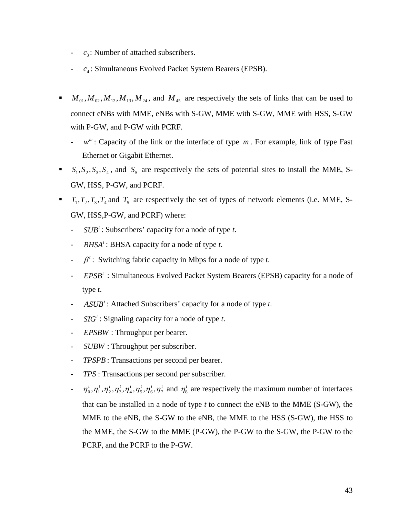- $-c_3$ : Number of attached subscribers.
- *c<sub>4</sub>*: Simultaneous Evolved Packet System Bearers (EPSB).
- $M_{01}$ ,  $M_{02}$ ,  $M_{12}$ ,  $M_{13}$ ,  $M_{24}$ , and  $M_{45}$  are respectively the sets of links that can be used to connect eNBs with MME, eNBs with S-GW, MME with S-GW, MME with HSS, S-GW with P-GW, and P-GW with PCRF.
	- $-w^m$ : Capacity of the link or the interface of type *m*. For example, link of type Fast Ethernet or Gigabit Ethernet.
- $\bullet$   $S_1, S_2, S_3, S_4$ , and  $S_5$  are respectively the sets of potential sites to install the MME, S-GW, HSS, P-GW, and PCRF.
- $T_1, T_2, T_3, T_4$  and  $T_5$  are respectively the set of types of network elements (i.e. MME, S-GW, HSS,P-GW, and PCRF) where:
	- *<sup>t</sup> SUB* : Subscribers' capacity for a node of type *t*.
	- *BHSA*<sup>*t*</sup>: BHSA capacity for a node of type *t*.
	- $\cdot$  *f*  $\cdot$  *f* switching fabric capacity in Mbps for a node of type *t*.
	- *EPSB<sup>t</sup>* : Simultaneous Evolved Packet System Bearers (EPSB) capacity for a node of type *t*.
	- *<sup>t</sup> ASUB* : Attached Subscribers' capacity for a node of type *t*.
	- *<sup>t</sup> SIG* : Signaling capacity for a node of type *t*.
	- *EPSBW* : Throughput per bearer.
	- *SUBW* : Throughput per subscriber.
	- *TPSPB* : Transactions per second per bearer.
	- *TPS* : Transactions per second per subscriber.
	- $t^2 = \eta_0^t, \eta_1^t, \eta_2^t, \eta_3^t, \eta_4^t, \eta_5^t, \eta_6^t, \eta_7^t$  and  $\eta_8^t$  are respectively the maximum number of interfaces that can be installed in a node of type *t* to connect the eNB to the MME (S-GW), the MME to the eNB, the S-GW to the eNB, the MME to the HSS (S-GW), the HSS to the MME, the S-GW to the MME (P-GW), the P-GW to the S-GW, the P-GW to the PCRF, and the PCRF to the P-GW.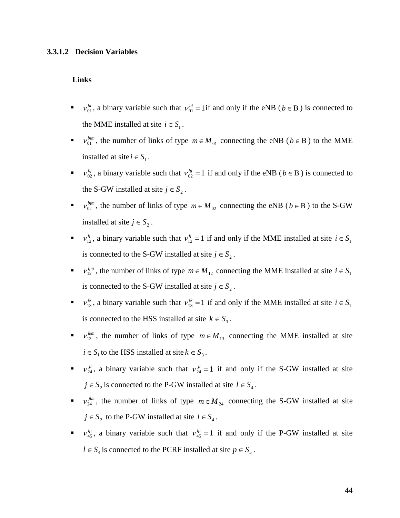#### **3.3.1.2 Decision Variables**

#### **Links**

- *bi* v<sub>01</sub>, a binary variable such that  $v_{01}^{bi} = 1$  if and only if the eNB ( $b \in B$ ) is connected to the MME installed at site  $i \in S_1$ .
- $v_{01}^{bim}$ , the number of links of type  $m \in M_{01}$  connecting the eNB ( $b \in B$ ) to the MME installed at site  $i \in S_1$ .
- $v_{02}^{bj}$ , a binary variable such that  $v_{02}^{bj} = 1$  if and only if the eNB ( $b \in B$ ) is connected to the S-GW installed at site  $j \in S_2$ .
- **•**  $v_{02}^{bjm}$ , the number of links of type  $m \in M_{02}$  connecting the eNB ( $b \in B$ ) to the S-GW installed at site  $j \in S_2$ .
- *ii* v<sub>12</sub>, a binary variable such that  $v_{12}^{ij} = 1$  if and only if the MME installed at site  $i \in S_1$ is connected to the S-GW installed at site  $j \in S_2$ .
- $v_{12}^{ijm}$ , the number of links of type  $m \in M_{12}$  connecting the MME installed at site  $i \in S_1$ is connected to the S-GW installed at site  $j \in S_2$ .
- *v*<sub>13</sub>, a binary variable such that  $v_{13}^{ik} = 1$  if and only if the MME installed at site  $i \in S_1$ is connected to the HSS installed at site  $k \in S_3$ .
- $v_{13}^{ikm}$ , the number of links of type  $m \in M_{13}$  connecting the MME installed at site  $i \in S_1$  to the HSS installed at site  $k \in S_3$ .
- $\bullet$   $v_{24}^{jl}$ , a binary variable such that  $v_{24}^{jl} = 1$  if and only if the S-GW installed at site  $j \in S_2$  is connected to the P-GW installed at site  $l \in S_4$ .
- $\bullet$  v<sup>*jlm*</sup>, the number of links of type  $m \in M_{24}$  connecting the S-GW installed at site  $j \in S_2$  to the P-GW installed at site  $l \in S_4$ .
- $\mathbf{v}_{45}^{lp}$ , a binary variable such that  $v_{45}^{lp} = 1$  if and only if the P-GW installed at site *l* ∈  $S_4$  is connected to the PCRF installed at site  $p \in S_5$ .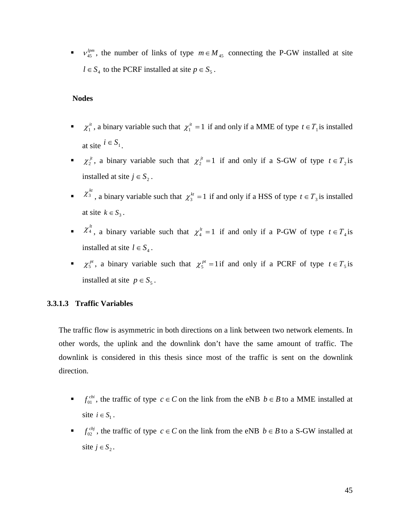*v*  $\psi_{45}^{lpm}$ , the number of links of type  $m \in M_{45}$  connecting the P-GW installed at site  $l ∈ S<sub>4</sub>$  to the PCRF installed at site  $p ∈ S<sub>5</sub>$ .

#### **Nodes**

- *ii*  $\chi_1^{it}$ , a binary variable such that  $\chi_1^{it} = 1$  if and only if a MME of type  $t \in T_1$  is installed at site  $i \in S_1$ .
- *z*<sup>*jt*</sup>, a binary variable such that  $\chi_2^{jt} = 1$  if and only if a S-GW of type  $t \in T_2$  is installed at site  $j \in S_2$ .
- $\chi_3^{kt}$ , a binary variable such that  $\chi_3^{kt} = 1$  if and only if a HSS of type  $t \in T_3$  is installed at site  $k \in S_3$ .
- *lt*  $\chi_4^h$ , a binary variable such that  $\chi_4^h = 1$  if and only if a P-GW of type  $t \in T_4$  is installed at site  $l \in S_4$ .
- *pt*, a binary variable such that  $\chi_5^{pt} = 1$  if and only if a PCRF of type  $t \in T_5$  is installed at site  $p \in S_5$ .

#### **3.3.1.3 Traffic Variables**

The traffic flow is asymmetric in both directions on a link between two network elements. In other words, the uplink and the downlink don't have the same amount of traffic. The downlink is considered in this thesis since most of the traffic is sent on the downlink direction.

- $f_{01}^{cbi}$ , the traffic of type  $c \in C$  on the link from the eNB  $b \in B$  to a MME installed at site  $i \in S_1$ .
- $f_{02}^{cbj}$ , the traffic of type  $c \in C$  on the link from the eNB  $b \in B$  to a S-GW installed at site  $j \in S_2$ .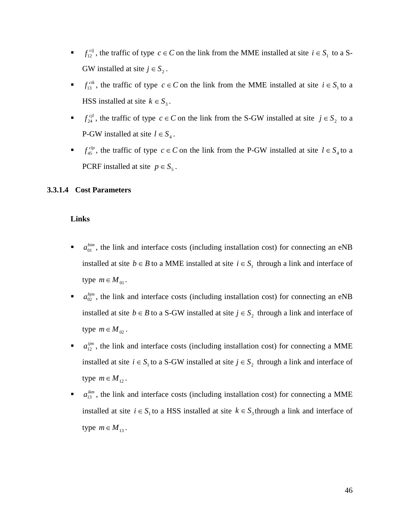- *cij*, the traffic of type  $c \in C$  on the link from the MME installed at site  $i \in S_1$  to a S-GW installed at site  $j \in S_2$ .
- $f_{13}^{cik}$ , the traffic of type  $c \in C$  on the link from the MME installed at site  $i \in S_1$  to a HSS installed at site  $k \in S_3$ .
- $f_{24}^{cjl}$ , the traffic of type  $c \in C$  on the link from the S-GW installed at site  $j \in S_2$  to a P-GW installed at site  $l \in S_4$ .
- *f*<sup> $clp$ </sup>, the traffic of type  $c \in C$  on the link from the P-GW installed at site  $l \in S_4$  to a PCRF installed at site  $p \in S_5$ .

### **3.3.1.4 Cost Parameters**

#### **Links**

- $\bullet$   $a_{01}^{bin}$ , the link and interface costs (including installation cost) for connecting an eNB installed at site  $b \in B$  to a MME installed at site  $i \in S_1$  through a link and interface of type  $m \in M_{01}$ .
- $\bullet$  *a*<sup>bjm</sup>, the link and interface costs (including installation cost) for connecting an eNB installed at site *b*  $\in$  *B* to a S-GW installed at site *j*  $\in$  *S*<sub>2</sub> through a link and interface of type  $m \in M_{02}$ .
- $\bullet$  *a*<sup>ijm</sup>, the link and interface costs (including installation cost) for connecting a MME installed at site  $i \in S_1$  to a S-GW installed at site  $j \in S_2$  through a link and interface of type  $m \in M_{12}$ .
- $\bullet$   $a_{13}^{ikm}$ , the link and interface costs (including installation cost) for connecting a MME installed at site  $i \in S_1$  to a HSS installed at site  $k \in S_3$  through a link and interface of type  $m \in M_{13}$ .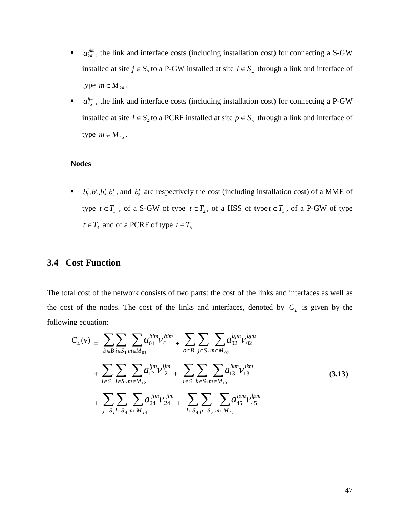- $\bullet$  *a*<sup>*jlm*</sup>, the link and interface costs (including installation cost) for connecting a S-GW installed at site  $j \in S_2$  to a P-GW installed at site  $l \in S_4$  through a link and interface of type  $m \in M_{24}$ .
- $\blacksquare$  *a*<sup>tpm</sup>, the link and interface costs (including installation cost) for connecting a P-GW installed at site  $l \in S_4$  to a PCRF installed at site  $p \in S_5$  through a link and interface of type  $m \in M_{45}$ .

#### **Nodes**

 $\bullet$  *b*<sub>1</sub><sup>*t*</sup>,*b*<sub>2</sub><sup>*t*</sup>,*b*<sub>3</sub><sup>*t*</sup>,*b*<sub>4</sub><sup>*t*</sup>, and *b*<sub>5</sub><sup>*t*</sup> are respectively the cost (including installation cost) of a MME of type  $t \in T_1$ , of a S-GW of type  $t \in T_2$ , of a HSS of type  $t \in T_3$ , of a P-GW of type  $t \in T_4$  and of a PCRF of type  $t \in T_5$ .

# **3.4 Cost Function**

The total cost of the network consists of two parts: the cost of the links and interfaces as well as the cost of the nodes. The cost of the links and interfaces, denoted by  $C_L$  is given by the following equation:

$$
C_{L}(\nu) = \sum_{b \in B} \sum_{i \in S_{1}} \sum_{m \in M_{01}} a_{01}^{bim} V_{01}^{bim} + \sum_{b \in B} \sum_{j \in S_{2}} \sum_{m \in M_{02}} a_{02}^{bjm} V_{02}^{bjm}
$$
  
+ 
$$
\sum_{i \in S_{1}} \sum_{j \in S_{2}} \sum_{m \in M_{12}} a_{12}^{ijm} V_{12}^{ijm} + \sum_{i \in S_{1}} \sum_{k \in S_{3}} \sum_{m \in M_{13}} a_{13}^{ikm} V_{13}^{ikm}
$$
  
+ 
$$
\sum_{j \in S_{2}} \sum_{l \in S_{4}} \sum_{m \in M_{24}} a_{24}^{jlm} V_{24}^{jlm} + \sum_{l \in S_{4}} \sum_{p \in S_{5}} \sum_{m \in M_{45}} a_{45}^{lpm} V_{45}^{lpm}
$$
(3.13)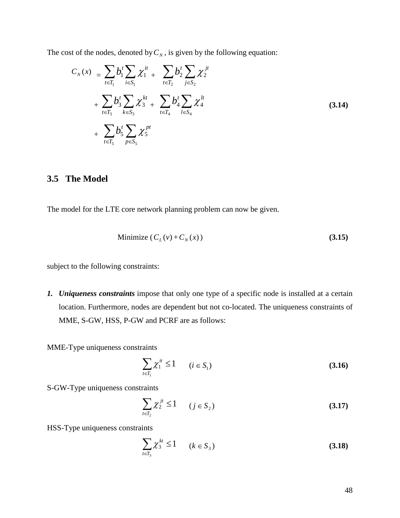The cost of the nodes, denoted by  $C_N$ , is given by the following equation:

$$
C_{N}(x) = \sum_{t \in T_{1}} b_{1}^{t} \sum_{i \in S_{1}} \chi_{1}^{it} + \sum_{t \in T_{2}} b_{2}^{t} \sum_{j \in S_{2}} \chi_{2}^{jt}
$$
  
+ 
$$
\sum_{t \in T_{3}} b_{3}^{t} \sum_{k \in S_{3}} \chi_{3}^{kt} + \sum_{t \in T_{4}} b_{4}^{t} \sum_{l \in S_{4}} \chi_{4}^{lt}
$$
  
+ 
$$
\sum_{t \in T_{5}} b_{5}^{t} \sum_{p \in S_{5}} \chi_{5}^{pt}
$$
 (3.14)

# **3.5 The Model**

The model for the LTE core network planning problem can now be given.

Minimize 
$$
(C_L(v) + C_N(x))
$$
 (3.15)

subject to the following constraints:

*1. Uniqueness constraints* impose that only one type of a specific node is installed at a certain location. Furthermore, nodes are dependent but not co-located. The uniqueness constraints of MME, S-GW, HSS, P-GW and PCRF are as follows:

MME-Type uniqueness constraints

$$
\sum_{i \in T_1} \chi_1^{it} \le 1 \qquad (i \in S_1)
$$
\n
$$
(3.16)
$$

S-GW-Type uniqueness constraints

$$
\sum_{t \in T_2} \chi_2^{jt} \le 1 \qquad (j \in S_2)
$$
\n
$$
(3.17)
$$

HSS-Type uniqueness constraints

$$
\sum_{t \in T_3} \chi_3^{kt} \le 1 \qquad (k \in S_3)
$$
\n
$$
(3.18)
$$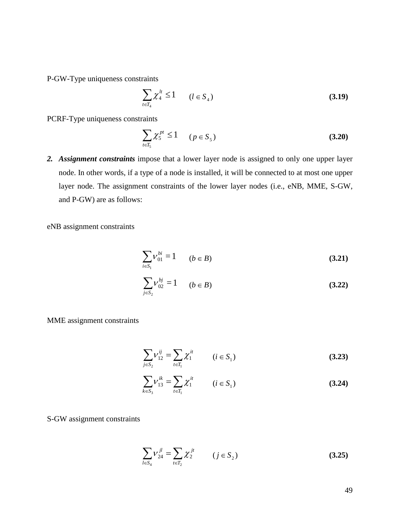P-GW-Type uniqueness constraints

$$
\sum_{t \in T_4} \chi_4^{lt} \le 1 \qquad (l \in S_4)
$$
\n
$$
(3.19)
$$

PCRF-Type uniqueness constraints

$$
\sum_{t \in T_5} \chi_5^{pt} \le 1 \qquad (p \in S_5)
$$
\n(3.20)

*2. Assignment constraints* impose that a lower layer node is assigned to only one upper layer node. In other words, if a type of a node is installed, it will be connected to at most one upper layer node. The assignment constraints of the lower layer nodes (i.e., eNB, MME, S-GW, and P-GW) are as follows:

eNB assignment constraints

$$
\sum_{i \in S_1} V_{01}^{bi} = 1 \qquad (b \in B)
$$
 (3.21)

$$
\sum_{j \in S_2} V_{02}^{bj} = 1 \qquad (b \in B)
$$
 (3.22)

MME assignment constraints

$$
\sum_{j \in S_2} V_{12}^{ij} = \sum_{t \in T_1} \chi_1^{it} \qquad (i \in S_1)
$$
 (3.23)

$$
\sum_{k \in S_3} V_{13}^{ik} = \sum_{t \in T_1} \chi_1^{it} \qquad (i \in S_1)
$$
 (3.24)

S-GW assignment constraints

$$
\sum_{l \in S_4} V_{24}^{jl} = \sum_{t \in T_2} \chi_2^{jt} \qquad (j \in S_2)
$$
 (3.25)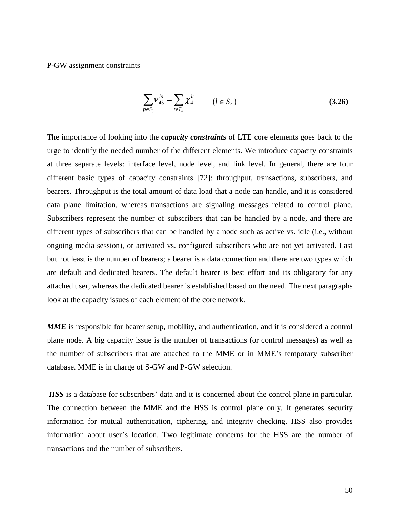P-GW assignment constraints

$$
\sum_{p \in S_5} V_{45}^{lp} = \sum_{t \in T_4} \chi_4^{lt} \qquad (l \in S_4)
$$
\n(3.26)

The importance of looking into the *capacity constraints* of LTE core elements goes back to the urge to identify the needed number of the different elements. We introduce capacity constraints at three separate levels: interface level, node level, and link level. In general, there are four different basic types of capacity constraints [72]: throughput, transactions, subscribers, and bearers. Throughput is the total amount of data load that a node can handle, and it is considered data plane limitation, whereas transactions are signaling messages related to control plane. Subscribers represent the number of subscribers that can be handled by a node, and there are different types of subscribers that can be handled by a node such as active vs. idle (i.e., without ongoing media session), or activated vs. configured subscribers who are not yet activated. Last but not least is the number of bearers; a bearer is a data connection and there are two types which are default and dedicated bearers. The default bearer is best effort and its obligatory for any attached user, whereas the dedicated bearer is established based on the need. The next paragraphs look at the capacity issues of each element of the core network.

*MME* is responsible for bearer setup, mobility, and authentication, and it is considered a control plane node. A big capacity issue is the number of transactions (or control messages) as well as the number of subscribers that are attached to the MME or in MME's temporary subscriber database. MME is in charge of S-GW and P-GW selection.

*HSS* is a database for subscribers' data and it is concerned about the control plane in particular. The connection between the MME and the HSS is control plane only. It generates security information for mutual authentication, ciphering, and integrity checking. HSS also provides information about user's location. Two legitimate concerns for the HSS are the number of transactions and the number of subscribers.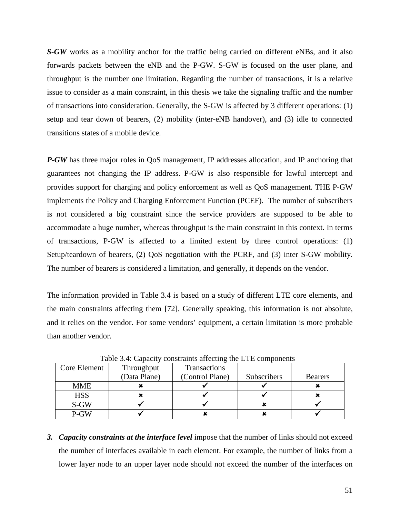*S-GW* works as a mobility anchor for the traffic being carried on different eNBs, and it also forwards packets between the eNB and the P-GW. S-GW is focused on the user plane, and throughput is the number one limitation. Regarding the number of transactions, it is a relative issue to consider as a main constraint, in this thesis we take the signaling traffic and the number of transactions into consideration. Generally, the S-GW is affected by 3 different operations: (1) setup and tear down of bearers, (2) mobility (inter-eNB handover), and (3) idle to connected transitions states of a mobile device.

*P-GW* has three major roles in QoS management, IP addresses allocation, and IP anchoring that guarantees not changing the IP address. P-GW is also responsible for lawful intercept and provides support for charging and policy enforcement as well as QoS management. THE P-GW implements the Policy and Charging Enforcement Function (PCEF). The number of subscribers is not considered a big constraint since the service providers are supposed to be able to accommodate a huge number, whereas throughput is the main constraint in this context. In terms of transactions, P-GW is affected to a limited extent by three control operations: (1) Setup/teardown of bearers, (2) QoS negotiation with the PCRF, and (3) inter S-GW mobility. The number of bearers is considered a limitation, and generally, it depends on the vendor.

The information provided in Table 3.4 is based on a study of different LTE core elements, and the main constraints affecting them [72]. Generally speaking, this information is not absolute, and it relies on the vendor. For some vendors' equipment, a certain limitation is more probable than another vendor.

| Core Element | Throughput<br>(Data Plane) | Transactions    | Subscribers |                |
|--------------|----------------------------|-----------------|-------------|----------------|
|              |                            | (Control Plane) |             | <b>Bearers</b> |
| <b>MME</b>   |                            |                 |             |                |
| <b>HSS</b>   |                            |                 |             |                |
| S-GW         |                            |                 |             |                |
| P-GW         |                            |                 |             |                |

Table 3.4: Capacity constraints affecting the LTE components

*3. Capacity constraints at the interface level* impose that the number of links should not exceed the number of interfaces available in each element. For example, the number of links from a lower layer node to an upper layer node should not exceed the number of the interfaces on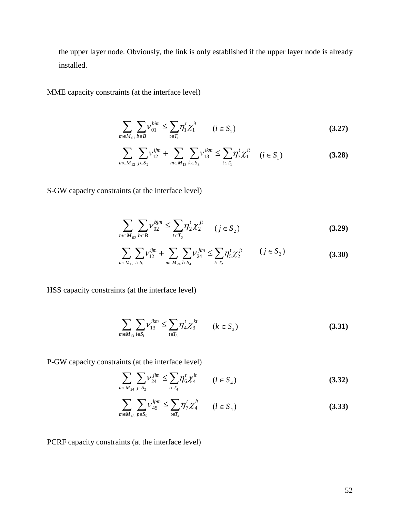the upper layer node. Obviously, the link is only established if the upper layer node is already installed.

MME capacity constraints (at the interface level)

$$
\sum_{m \in M_{01}} \sum_{b \in B} V_{01}^{bim} \le \sum_{t \in T_1} \eta_1^t \chi_1^{it} \qquad (i \in S_1)
$$
 (3.27)

$$
\sum_{m \in M_{12}} \sum_{j \in S_2} \nu_{12}^{ijm} + \sum_{m \in M_{13}} \sum_{k \in S_3} \nu_{13}^{ikm} \le \sum_{t \in T_1} \eta_3^t \chi_1^{it} \quad (i \in S_1)
$$
 (3.28)

S-GW capacity constraints (at the interface level)

$$
\sum_{m \in M_{02}} \sum_{b \in B} V_{02}^{bjm} \le \sum_{t \in T_2} \eta_2^t \chi_2^{jt} \qquad (j \in S_2)
$$
 (3.29)

$$
\sum_{m \in M_{12}} \sum_{i \in S_1} V_{12}^{ijm} + \sum_{m \in M_{24}} \sum_{l \in S_4} V_{24}^{jlm} \le \sum_{t \in T_2} \eta_5^t \chi_2^{jt} \qquad (j \in S_2)
$$
\n(3.30)

HSS capacity constraints (at the interface level)

$$
\sum_{m \in M_{13}} \sum_{i \in S_1} V_{13}^{ikm} \le \sum_{t \in T_3} \eta_4^t \chi_3^{kt} \qquad (k \in S_3)
$$
 (3.31)

P-GW capacity constraints (at the interface level)

$$
\sum_{m \in M_{24}} \sum_{j \in S_2} V_{24}^{jlm} \le \sum_{t \in T_4} \eta_6^t \chi_4^{lt} \qquad (l \in S_4)
$$
\n(3.32)

$$
\sum_{m \in M_{45}} \sum_{p \in S_5} V_{45}^{lpm} \le \sum_{t \in T_4} \eta_7^t \chi_4^{lt} \qquad (l \in S_4)
$$
\n(3.33)

PCRF capacity constraints (at the interface level)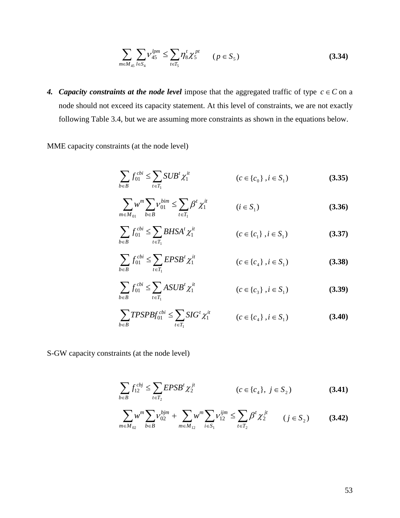$$
\sum_{m \in M_{45}} \sum_{l \in S_4} V_{45}^{lpm} \le \sum_{t \in T_5} \eta_8^t \chi_5^{pt} \qquad (p \in S_5)
$$
 (3.34)

*4. Capacity constraints at the node level* impose that the aggregated traffic of type  $c \in C$  on a node should not exceed its capacity statement. At this level of constraints, we are not exactly following Table 3.4, but we are assuming more constraints as shown in the equations below.

MME capacity constraints (at the node level)

$$
\sum_{b \in B} f_{01}^{cbi} \le \sum_{t \in T_1} SUB^t \chi_1^{it} \qquad (c \in \{c_0\}, i \in S_1)
$$
 (3.35)

$$
\sum_{m \in M_{01}} w^m \sum_{b \in B} V_{01}^{bim} \le \sum_{t \in T_1} \beta^t \chi_1^{it} \qquad (i \in S_1)
$$
 (3.36)

$$
\sum_{b \in B} f_{01}^{cbi} \le \sum_{t \in T_1} BHSA^t \chi_1^{it} \qquad (c \in \{c_1\}, i \in S_1)
$$
 (3.37)

$$
\sum_{b \in B} f_{01}^{cbi} \le \sum_{t \in T_1} EPSB^t \chi_1^{it} \qquad (c \in \{c_4\}, i \in S_1)
$$
 (3.38)

$$
\sum_{b \in B} f_{01}^{cbi} \le \sum_{t \in T_1} ASUB^t \chi_1^{it} \qquad (c \in \{c_3\}, i \in S_1)
$$
 (3.39)

$$
\sum_{b \in B} TPSPBf_{01}^{cbi} \le \sum_{t \in T_1} SIG^t \chi_1^{it} \qquad (c \in \{c_4\}, i \in S_1)
$$
 (3.40)

S-GW capacity constraints (at the node level)

$$
\sum_{b \in B} f_{12}^{cbj} \le \sum_{t \in T_2} EPSB^t \chi_2^{jt} \qquad (c \in \{c_4\}, \ j \in S_2)
$$
 (3.41)

$$
\sum_{m \in M_{02}} w^m \sum_{b \in B} \nu_{02}^{bjm} + \sum_{m \in M_{12}} w^m \sum_{i \in S_1} \nu_{12}^{ijm} \le \sum_{t \in T_2} \beta^t \chi_2^{jt} \qquad (j \in S_2)
$$
 (3.42)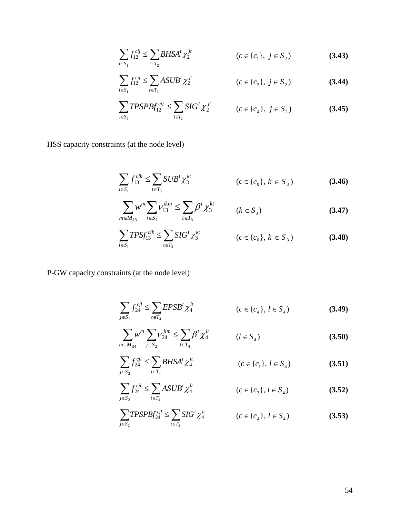$$
\sum_{i \in S_1} f_{12}^{cij} \le \sum_{t \in T_2} BHSA^t \chi_2^{jt} \qquad (c \in \{c_1\}, \ j \in S_2)
$$
 (3.43)

$$
\sum_{i \in S_1} f_{12}^{cij} \le \sum_{t \in T_2} ASUB^t \chi_2^{jt} \qquad (c \in \{c_3\}, \ j \in S_2)
$$
 (3.44)

$$
\sum_{i \in S_1} TPSPBf_{12}^{cij} \leq \sum_{t \in T_2} SIG^t \chi_2^{jt} \qquad (c \in \{c_4\}, \ j \in S_2)
$$
 (3.45)

HSS capacity constraints (at the node level)

$$
\sum_{i \in S_1} f_{13}^{cik} \le \sum_{t \in T_3} SUB^t \chi_3^{kt} \qquad (c \in \{c_0\}, k \in S_3)
$$
 (3.46)

$$
\sum_{m \in M_{13}} w^m \sum_{i \in S_1} v_{13}^{ikm} \le \sum_{t \in T_3} \beta^t \chi_3^{kt} \qquad (k \in S_3)
$$
 (3.47)

$$
\sum_{i \in S_1} TPSf_{13}^{cik} \le \sum_{t \in T_3} SIG^t \chi_3^{kt} \qquad (c \in \{c_0\}, k \in S_3)
$$
 (3.48)

P-GW capacity constraints (at the node level)

$$
\sum_{j \in S_2} f_{24}^{cjl} \le \sum_{t \in T_4} EPSB^t \chi_4^{lt} \qquad (c \in \{c_4\}, l \in S_4)
$$
 (3.49)

$$
\sum_{m \in M_{24}} w^m \sum_{j \in S_2} V_{24}^{jlm} \le \sum_{t \in T_4} \beta^t \chi_4^{lt} \qquad (l \in S_4)
$$
 (3.50)

$$
\sum_{j \in S_2} f_{24}^{cjl} \le \sum_{t \in T_4} BHSA^t \chi_4^{lt} \qquad (c \in \{c_1\}, l \in S_4)
$$
 (3.51)

$$
\sum_{j \in S_2} f_{24}^{cjl} \le \sum_{t \in T_4} ASUB^t \chi_4^{lt} \qquad (c \in \{c_3\}, l \in S_4)
$$
 (3.52)

$$
\sum_{j \in S_2} TPSPBf_{24}^{cjl} \le \sum_{t \in T_4} SIG^t \chi_4^{lt} \qquad (c \in \{c_4\}, l \in S_4)
$$
 (3.53)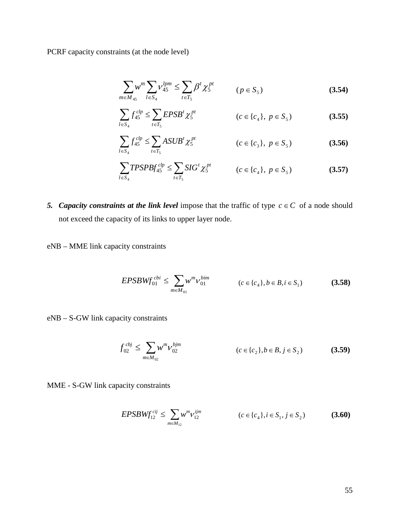PCRF capacity constraints (at the node level)

$$
\sum_{m \in M_{45}} w^m \sum_{l \in S_4} V_{45}^{lpm} \le \sum_{t \in T_5} \beta^t \chi_5^{pt} \qquad (p \in S_5)
$$
 (3.54)

$$
\sum_{l \in S_4} f_{45}^{clp} \le \sum_{t \in T_5} EPSB^t \chi_5^{pt} \qquad (c \in \{c_4\}, \ p \in S_5)
$$
 (3.55)

$$
\sum_{l \in S_4} f_{45}^{clp} \le \sum_{t \in T_5} ASUB^t \chi_5^{pt} \qquad (c \in \{c_3\}, \ p \in S_5)
$$
 (3.56)

$$
\sum_{l \in S_4} TPSPBf_{45}^{clp} \le \sum_{t \in T_5} SIG^t \chi_5^{pt} \qquad (c \in \{c_4\}, \ p \in S_5)
$$
 (3.57)

- *5. Capacity constraints at the link level* impose that the traffic of type  $c \in C$  of a node should not exceed the capacity of its links to upper layer node.
- eNB MME link capacity constraints

$$
EPSBWf_{01}^{cbi} \le \sum_{m \in M_{01}} w^m v_{01}^{bim} \qquad (c \in \{c_4\}, b \in B, i \in S_1)
$$
 (3.58)

eNB – S-GW link capacity constraints

$$
f_{02}^{cbj} \le \sum_{m \in M_{02}} w^m V_{02}^{bjm} \qquad (c \in \{c_2\}, b \in B, j \in S_2)
$$
 (3.59)

MME - S-GW link capacity constraints

$$
EPSBWf_{12}^{cij} \le \sum_{m \in M_{12}} w^m v_{12}^{ijm} \qquad (c \in \{c_4\}, i \in S_1, j \in S_2)
$$
 (3.60)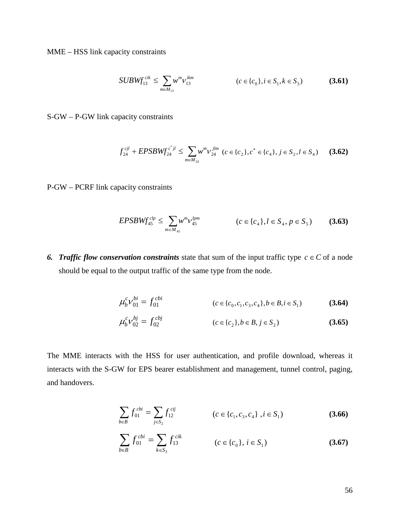MME – HSS link capacity constraints

$$
SUBWf_{13}^{cik} \le \sum_{m \in M_{13}} w^m v_{13}^{ikm} \qquad (c \in \{c_0\}, i \in S_1, k \in S_3)
$$
 (3.61)

S-GW – P-GW link capacity constraints

$$
f_{24}^{cjl} + EPSBW f_{24}^{c^*jl} \le \sum_{m \in M_{24}} w^m v_{24}^{jlm} \ (c \in \{c_2\}, c^* \in \{c_4\}, j \in S_2, l \in S_4)
$$
 (3.62)

P-GW – PCRF link capacity constraints

$$
EPSBWf_{45}^{clp} \le \sum_{m \in M_{45}} w^m v_{45}^{lpm} \qquad (c \in \{c_4\}, l \in S_4, p \in S_5)
$$
 (3.63)

*6. Traffic flow conservation constraints* state that sum of the input traffic type  $c \in C$  of a node should be equal to the output traffic of the same type from the node.

$$
\mu_b^c \nu_{01}^{bi} = f_{01}^{cbi} \qquad (c \in \{c_0, c_1, c_3, c_4\}, b \in B, i \in S_1)
$$
 (3.64)

$$
\mu_b^c \nu_{02}^{bj} = f_{02}^{cbj} \qquad (c \in \{c_2\}, b \in B, j \in S_2)
$$
 (3.65)

The MME interacts with the HSS for user authentication, and profile download, whereas it interacts with the S-GW for EPS bearer establishment and management, tunnel control, paging, and handovers.

$$
\sum_{b \in B} f_{01}^{cbi} = \sum_{j \in S_2} f_{12}^{cij} \qquad (c \in \{c_1, c_3, c_4\}, i \in S_1)
$$
 (3.66)

$$
\sum_{b \in B} f_{01}^{cbi} = \sum_{k \in S_3} f_{13}^{cik} \qquad (c \in \{c_0\}, i \in S_1)
$$
 (3.67)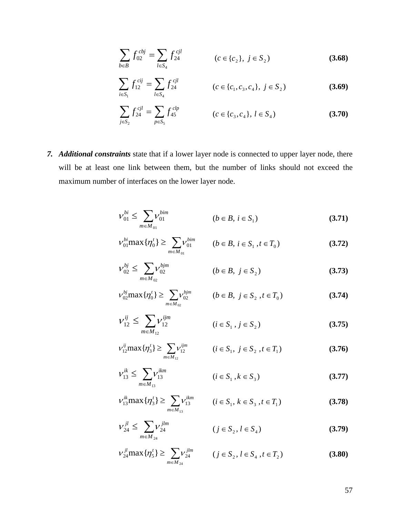$$
\sum_{b \in B} f_{02}^{cbj} = \sum_{l \in S_4} f_{24}^{cjl} \qquad (c \in \{c_2\}, \ j \in S_2)
$$
 (3.68)

$$
\sum_{i \in S_1} f_{12}^{cij} = \sum_{l \in S_4} f_{24}^{cjl} \qquad (c \in \{c_1, c_3, c_4\}, \ j \in S_2)
$$
 (3.69)

$$
\sum_{j \in S_2} f_{24}^{cjl} = \sum_{p \in S_5} f_{45}^{clp} \qquad (c \in \{c_3, c_4\}, l \in S_4)
$$
 (3.70)

*7. Additional constraints* state that if a lower layer node is connected to upper layer node, there will be at least one link between them, but the number of links should not exceed the maximum number of interfaces on the lower layer node.

$$
V_{01}^{bi} \le \sum_{m \in M_{01}} V_{01}^{bim} \qquad (b \in B, i \in S_1)
$$
 (3.71)

$$
v_{01}^{bi} \max\{\eta_0^t\} \ge \sum_{m \in M_{01}} v_{01}^{bim} \qquad (b \in B, i \in S_1, t \in T_0)
$$
 (3.72)

$$
V_{02}^{bj} \le \sum_{m \in M_{02}} V_{02}^{bjm} \qquad (b \in B, \ j \in S_2)
$$
 (3.73)

$$
v_{02}^{bj} \max \{ \eta_0^t \} \ge \sum_{m \in M_{02}} v_{02}^{bjm} \qquad (b \in B, \ j \in S_2 \ , t \in T_0)
$$
 (3.74)

$$
\mathcal{V}_{12}^{ij} \le \sum_{m \in M_{12}} \mathcal{V}_{12}^{ijm} \qquad (i \in S_1, j \in S_2)
$$
 (3.75)

$$
v_{12}^{ij} \max \{ \eta_3^t \} \ge \sum_{m \in M_{12}} v_{12}^{ijm} \qquad (i \in S_1, j \in S_2, t \in T_1)
$$
 (3.76)

$$
V_{13}^{ik} \le \sum_{m \in M_{13}} V_{13}^{ikm} \qquad (i \in S_1, k \in S_3)
$$
 (3.77)

$$
v_{13}^{ik} \max \{ \eta_3^t \} \ge \sum_{m \in M_{13}} v_{13}^{ikm} \qquad (i \in S_1, k \in S_3, t \in T_1)
$$
 (3.78)

$$
V_{24}^{jl} \le \sum_{m \in M_{24}} V_{24}^{jlm} \qquad (j \in S_2, l \in S_4)
$$
 (3.79)

$$
V_{24}^{jl} \max\{\eta_5^t\} \ge \sum_{m \in M_{24}} V_{24}^{jlm} \qquad (j \in S_2, l \in S_4, t \in T_2)
$$
 (3.80)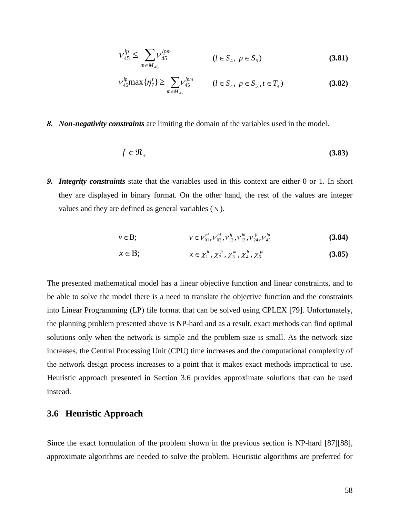$$
V_{45}^{lp} \le \sum_{m \in M_{45}} V_{45}^{lpm} \qquad (l \in S_4, \ p \in S_5)
$$
 (3.81)

$$
V_{45}^{lp} \max \{ \eta_7^t \} \ge \sum_{m \in M_{45}} V_{45}^{lpm} \qquad (l \in S_4, \ p \in S_5, t \in T_4)
$$
 (3.82)

#### *8. Non-negativity constraints* are limiting the domain of the variables used in the model.

$$
f \in \mathfrak{R}_+ \tag{3.83}
$$

*9. Integrity constraints* state that the variables used in this context are either 0 or 1. In short they are displayed in binary format. On the other hand, the rest of the values are integer values and they are defined as general variables ( Ν ).

$$
v \in B; \qquad v \in V_{01}^{bi}, V_{02}^{bj}, V_{12}^{ij}, V_{13}^{ik}, V_{24}^{jl}, V_{45}^{lp} \qquad (3.84)
$$

$$
x \in \mathbf{B}; \qquad \qquad x \in \chi_1^{it}, \chi_2^{jt}, \chi_3^{kt}, \chi_4^{lt}, \chi_5^{pt} \qquad (3.85)
$$

The presented mathematical model has a linear objective function and linear constraints, and to be able to solve the model there is a need to translate the objective function and the constraints into Linear Programming (LP) file format that can be solved using CPLEX [79]. Unfortunately, the planning problem presented above is NP-hard and as a result, exact methods can find optimal solutions only when the network is simple and the problem size is small. As the network size increases, the Central Processing Unit (CPU) time increases and the computational complexity of the network design process increases to a point that it makes exact methods impractical to use. Heuristic approach presented in Section 3.6 provides approximate solutions that can be used instead.

### **3.6 Heuristic Approach**

Since the exact formulation of the problem shown in the previous section is NP-hard [87][88], approximate algorithms are needed to solve the problem. Heuristic algorithms are preferred for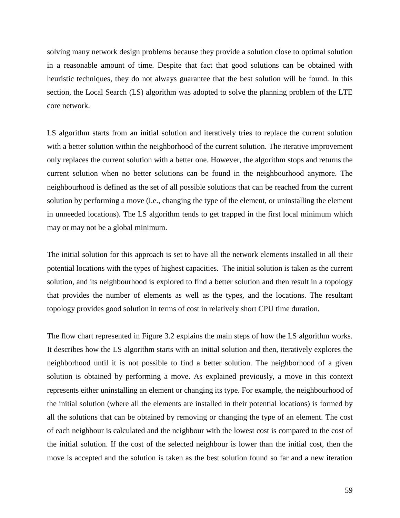solving many network design problems because they provide a solution close to optimal solution in a reasonable amount of time. Despite that fact that good solutions can be obtained with heuristic techniques, they do not always guarantee that the best solution will be found. In this section, the Local Search (LS) algorithm was adopted to solve the planning problem of the LTE core network.

LS algorithm starts from an initial solution and iteratively tries to replace the current solution with a better solution within the neighborhood of the current solution. The iterative improvement only replaces the current solution with a better one. However, the algorithm stops and returns the current solution when no better solutions can be found in the neighbourhood anymore. The neighbourhood is defined as the set of all possible solutions that can be reached from the current solution by performing a move (i.e., changing the type of the element, or uninstalling the element in unneeded locations). The LS algorithm tends to get trapped in the first local minimum which may or may not be a global minimum.

The initial solution for this approach is set to have all the network elements installed in all their potential locations with the types of highest capacities. The initial solution is taken as the current solution, and its neighbourhood is explored to find a better solution and then result in a topology that provides the number of elements as well as the types, and the locations. The resultant topology provides good solution in terms of cost in relatively short CPU time duration.

The flow chart represented in Figure 3.2 explains the main steps of how the LS algorithm works. It describes how the LS algorithm starts with an initial solution and then, iteratively explores the neighborhood until it is not possible to find a better solution. The neighborhood of a given solution is obtained by performing a move. As explained previously, a move in this context represents either uninstalling an element or changing its type. For example, the neighbourhood of the initial solution (where all the elements are installed in their potential locations) is formed by all the solutions that can be obtained by removing or changing the type of an element. The cost of each neighbour is calculated and the neighbour with the lowest cost is compared to the cost of the initial solution. If the cost of the selected neighbour is lower than the initial cost, then the move is accepted and the solution is taken as the best solution found so far and a new iteration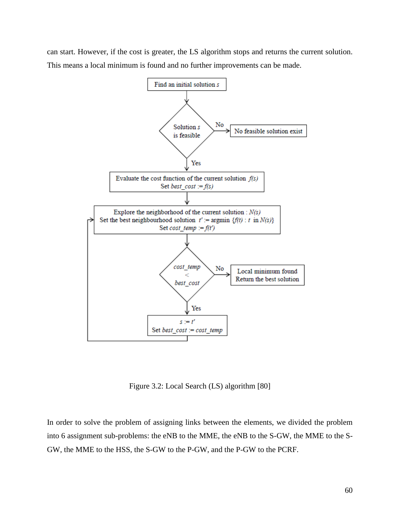can start. However, if the cost is greater, the LS algorithm stops and returns the current solution. This means a local minimum is found and no further improvements can be made.



Figure 3.2: Local Search (LS) algorithm [80]

In order to solve the problem of assigning links between the elements, we divided the problem into 6 assignment sub-problems: the eNB to the MME, the eNB to the S-GW, the MME to the S-GW, the MME to the HSS, the S-GW to the P-GW, and the P-GW to the PCRF.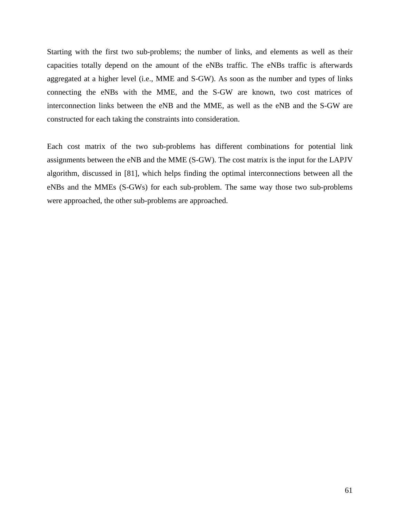Starting with the first two sub-problems; the number of links, and elements as well as their capacities totally depend on the amount of the eNBs traffic. The eNBs traffic is afterwards aggregated at a higher level (i.e., MME and S-GW). As soon as the number and types of links connecting the eNBs with the MME, and the S-GW are known, two cost matrices of interconnection links between the eNB and the MME, as well as the eNB and the S-GW are constructed for each taking the constraints into consideration.

Each cost matrix of the two sub-problems has different combinations for potential link assignments between the eNB and the MME (S-GW). The cost matrix is the input for the LAPJV algorithm, discussed in [81], which helps finding the optimal interconnections between all the eNBs and the MMEs (S-GWs) for each sub-problem. The same way those two sub-problems were approached, the other sub-problems are approached.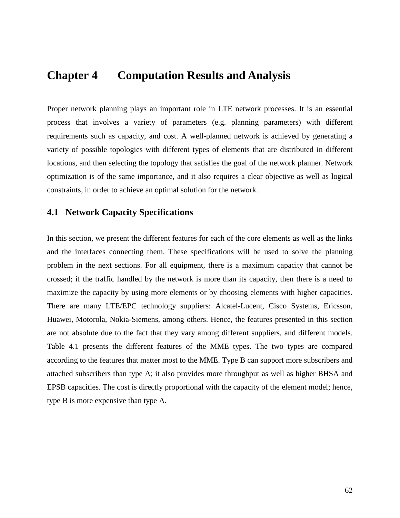## **Chapter 4 Computation Results and Analysis**

Proper network planning plays an important role in LTE network processes. It is an essential process that involves a variety of parameters (e.g. planning parameters) with different requirements such as capacity, and cost. A well-planned network is achieved by generating a variety of possible topologies with different types of elements that are distributed in different locations, and then selecting the topology that satisfies the goal of the network planner. Network optimization is of the same importance, and it also requires a clear objective as well as logical constraints, in order to achieve an optimal solution for the network.

### **4.1 Network Capacity Specifications**

In this section, we present the different features for each of the core elements as well as the links and the interfaces connecting them. These specifications will be used to solve the planning problem in the next sections. For all equipment, there is a maximum capacity that cannot be crossed; if the traffic handled by the network is more than its capacity, then there is a need to maximize the capacity by using more elements or by choosing elements with higher capacities. There are many LTE/EPC technology suppliers: Alcatel-Lucent, Cisco Systems, Ericsson, Huawei, Motorola, Nokia-Siemens, among others. Hence, the features presented in this section are not absolute due to the fact that they vary among different suppliers, and different models. Table 4.1 presents the different features of the MME types. The two types are compared according to the features that matter most to the MME. Type B can support more subscribers and attached subscribers than type A; it also provides more throughput as well as higher BHSA and EPSB capacities. The cost is directly proportional with the capacity of the element model; hence, type B is more expensive than type A.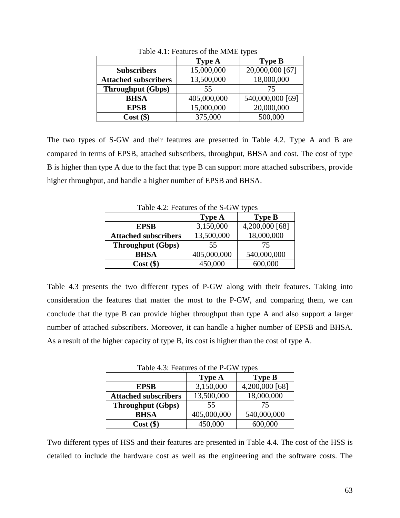|                             | <b>Type A</b> | <b>Type B</b>    |
|-----------------------------|---------------|------------------|
| <b>Subscribers</b>          | 15,000,000    | 20,000,000 [67]  |
| <b>Attached subscribers</b> | 13,500,000    | 18,000,000       |
| <b>Throughput (Gbps)</b>    | 55            | 75               |
| <b>BHSA</b>                 | 405,000,000   | 540,000,000 [69] |
| <b>EPSB</b>                 | 15,000,000    | 20,000,000       |
| $Cost$ (\$)                 | 375,000       | 500,000          |

Table 4.1: Features of the MME types

The two types of S-GW and their features are presented in Table 4.2. Type A and B are compared in terms of EPSB, attached subscribers, throughput, BHSA and cost. The cost of type B is higher than type A due to the fact that type B can support more attached subscribers, provide higher throughput, and handle a higher number of EPSB and BHSA.

Table 4.2: Features of the S-GW types

|                             | <b>Type A</b> | <b>Type B</b>  |
|-----------------------------|---------------|----------------|
| <b>EPSB</b>                 | 3,150,000     | 4,200,000 [68] |
| <b>Attached subscribers</b> | 13,500,000    | 18,000,000     |
| <b>Throughput (Gbps)</b>    | 55            | 75             |
| <b>BHSA</b>                 | 405,000,000   | 540,000,000    |
| $Cost$ (\$)                 | 450,000       | 600,000        |

Table 4.3 presents the two different types of P-GW along with their features. Taking into consideration the features that matter the most to the P-GW, and comparing them, we can conclude that the type B can provide higher throughput than type A and also support a larger number of attached subscribers. Moreover, it can handle a higher number of EPSB and BHSA. As a result of the higher capacity of type B, its cost is higher than the cost of type A.

Table 4.3: Features of the P-GW types

| . .                         |               |                |  |
|-----------------------------|---------------|----------------|--|
|                             | <b>Type A</b> | <b>Type B</b>  |  |
| <b>EPSB</b>                 | 3,150,000     | 4,200,000 [68] |  |
| <b>Attached subscribers</b> | 13,500,000    | 18,000,000     |  |
| <b>Throughput (Gbps)</b>    | 55            | 75             |  |
| <b>BHSA</b>                 | 405,000,000   | 540,000,000    |  |
| $Cost$ (\$)                 | 450,000       | 600,000        |  |

Two different types of HSS and their features are presented in Table 4.4. The cost of the HSS is detailed to include the hardware cost as well as the engineering and the software costs. The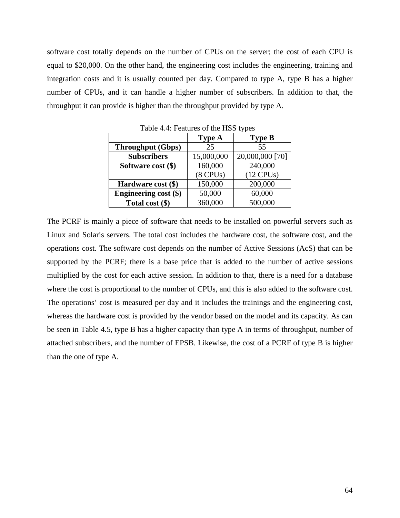software cost totally depends on the number of CPUs on the server; the cost of each CPU is equal to \$20,000. On the other hand, the engineering cost includes the engineering, training and integration costs and it is usually counted per day. Compared to type A, type B has a higher number of CPUs, and it can handle a higher number of subscribers. In addition to that, the throughput it can provide is higher than the throughput provided by type A.

| 1.001                    |               |                 |  |  |
|--------------------------|---------------|-----------------|--|--|
|                          | Type A        | <b>Type B</b>   |  |  |
| <b>Throughput (Gbps)</b> | 25            | 55              |  |  |
| <b>Subscribers</b>       | 15,000,000    | 20,000,000 [70] |  |  |
| Software cost (\$)       | 160,000       | 240,000         |  |  |
|                          | $(8$ CPUs $)$ | $(12$ CPUs)     |  |  |
| Hardware cost (\$)       | 150,000       | 200,000         |  |  |
| Engineering cost (\$)    | 50,000        | 60,000          |  |  |
| Total cost $(\$)$        | 360,000       | 500,000         |  |  |

Table 4.4: Features of the HSS types

The PCRF is mainly a piece of software that needs to be installed on powerful servers such as Linux and Solaris servers. The total cost includes the hardware cost, the software cost, and the operations cost. The software cost depends on the number of Active Sessions (AcS) that can be supported by the PCRF; there is a base price that is added to the number of active sessions multiplied by the cost for each active session. In addition to that, there is a need for a database where the cost is proportional to the number of CPUs, and this is also added to the software cost. The operations' cost is measured per day and it includes the trainings and the engineering cost, whereas the hardware cost is provided by the vendor based on the model and its capacity. As can be seen in Table 4.5, type B has a higher capacity than type A in terms of throughput, number of attached subscribers, and the number of EPSB. Likewise, the cost of a PCRF of type B is higher than the one of type A.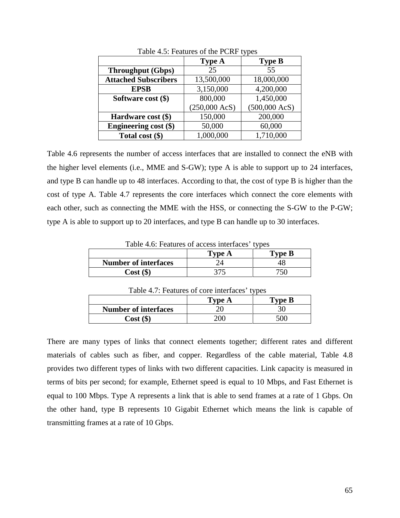|                              | <b>Type A</b>           | <b>Type B</b>           |
|------------------------------|-------------------------|-------------------------|
| <b>Throughput (Gbps)</b>     | 25                      | 55                      |
| <b>Attached Subscribers</b>  | 13,500,000              | 18,000,000              |
| <b>EPSB</b>                  | 3,150,000               | 4,200,000               |
| Software cost $(\$)$         | 800,000                 | 1,450,000               |
|                              | $(250,000 \text{ AcS})$ | $(500,000 \text{ AcS})$ |
| Hardware cost (\$)           | 150,000                 | 200,000                 |
| <b>Engineering cost (\$)</b> | 50,000                  | 60,000                  |
| Total cost (\$)              | 1,000,000               | 1,710,000               |

Table 4.5: Features of the PCRF types

Table 4.6 represents the number of access interfaces that are installed to connect the eNB with the higher level elements (i.e., MME and S-GW); type A is able to support up to 24 interfaces, and type B can handle up to 48 interfaces. According to that, the cost of type B is higher than the cost of type A. Table 4.7 represents the core interfaces which connect the core elements with each other, such as connecting the MME with the HSS, or connecting the S-GW to the P-GW; type A is able to support up to 20 interfaces, and type B can handle up to 30 interfaces.

| Table 4.6: Features of access interfaces' types |     |     |  |
|-------------------------------------------------|-----|-----|--|
| <b>Type B</b><br><b>Type A</b>                  |     |     |  |
| <b>Number of interfaces</b>                     |     | 48  |  |
| $Cost($ \$)                                     | 375 | 750 |  |

| Table 4.7. Features of core interfaces types |     |     |  |
|----------------------------------------------|-----|-----|--|
| Type B<br>Type A                             |     |     |  |
| <b>Number of interfaces</b>                  | 20  | 30  |  |
| $Cost($ \$)                                  | 200 | 500 |  |

Table 4.7: Features of core interfaces' types

There are many types of links that connect elements together; different rates and different materials of cables such as fiber, and copper. Regardless of the cable material, Table 4.8 provides two different types of links with two different capacities. Link capacity is measured in terms of bits per second; for example, Ethernet speed is equal to 10 Mbps, and Fast Ethernet is equal to 100 Mbps. Type A represents a link that is able to send frames at a rate of 1 Gbps. On the other hand, type B represents 10 Gigabit Ethernet which means the link is capable of transmitting frames at a rate of 10 Gbps.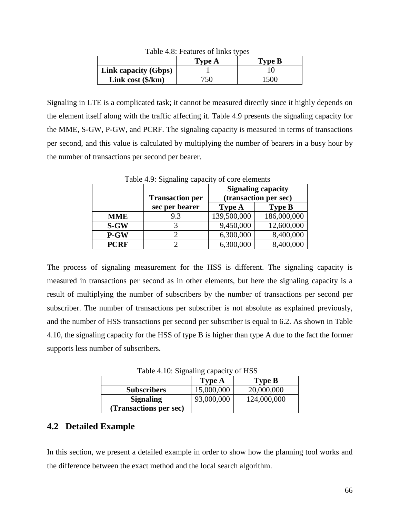| $1401C$ $7.0.1$ Catules 01 IIIINS types |        |        |
|-----------------------------------------|--------|--------|
|                                         | Type A | Type B |
| Link capacity (Gbps)                    |        |        |
| Link cost $(\frac{6}{km})$              | 750    | 1500   |

Table  $4.8$  Features of links types

Signaling in LTE is a complicated task; it cannot be measured directly since it highly depends on the element itself along with the traffic affecting it. Table 4.9 presents the signaling capacity for the MME, S-GW, P-GW, and PCRF. The signaling capacity is measured in terms of transactions per second, and this value is calculated by multiplying the number of bearers in a busy hour by the number of transactions per second per bearer.

| rable 4.7. Signaling capacity of core elements |                        |               |                           |  |
|------------------------------------------------|------------------------|---------------|---------------------------|--|
|                                                |                        |               | <b>Signaling capacity</b> |  |
|                                                | <b>Transaction per</b> |               | (transaction per sec)     |  |
|                                                | sec per bearer         | <b>Type A</b> | <b>Type B</b>             |  |
| <b>MME</b>                                     | 9.3                    | 139,500,000   | 186,000,000               |  |
| $S-GW$                                         |                        | 9,450,000     | 12,600,000                |  |
| P-GW                                           |                        | 6,300,000     | 8,400,000                 |  |
| <b>PCRF</b>                                    |                        | 6,300,000     | 8,400,000                 |  |

Table 4.9: Signaling capacity of core elements

The process of signaling measurement for the HSS is different. The signaling capacity is measured in transactions per second as in other elements, but here the signaling capacity is a result of multiplying the number of subscribers by the number of transactions per second per subscriber. The number of transactions per subscriber is not absolute as explained previously, and the number of HSS transactions per second per subscriber is equal to 6.2. As shown in Table 4.10, the signaling capacity for the HSS of type B is higher than type A due to the fact the former supports less number of subscribers.

Table 4.10: Signaling capacity of HSS

|                        | <b>Type A</b> | <b>Type B</b> |
|------------------------|---------------|---------------|
| <b>Subscribers</b>     | 15,000,000    | 20,000,000    |
| <b>Signaling</b>       | 93,000,000    | 124,000,000   |
| (Transactions per sec) |               |               |

### **4.2 Detailed Example**

In this section, we present a detailed example in order to show how the planning tool works and the difference between the exact method and the local search algorithm.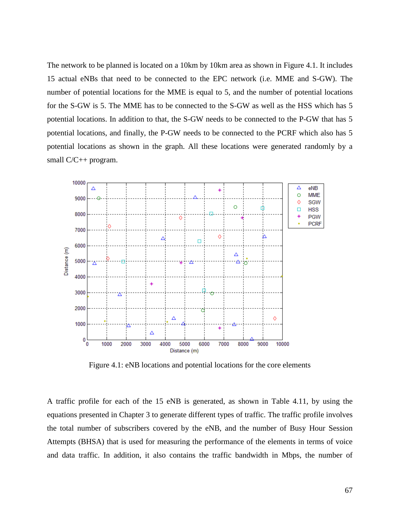The network to be planned is located on a 10km by 10km area as shown in Figure 4.1. It includes 15 actual eNBs that need to be connected to the EPC network (i.e. MME and S-GW). The number of potential locations for the MME is equal to 5, and the number of potential locations for the S-GW is 5. The MME has to be connected to the S-GW as well as the HSS which has 5 potential locations. In addition to that, the S-GW needs to be connected to the P-GW that has 5 potential locations, and finally, the P-GW needs to be connected to the PCRF which also has 5 potential locations as shown in the graph. All these locations were generated randomly by a small C/C++ program.



Figure 4.1: eNB locations and potential locations for the core elements

A traffic profile for each of the 15 eNB is generated, as shown in Table 4.11, by using the equations presented in Chapter 3 to generate different types of traffic. The traffic profile involves the total number of subscribers covered by the eNB, and the number of Busy Hour Session Attempts (BHSA) that is used for measuring the performance of the elements in terms of voice and data traffic. In addition, it also contains the traffic bandwidth in Mbps, the number of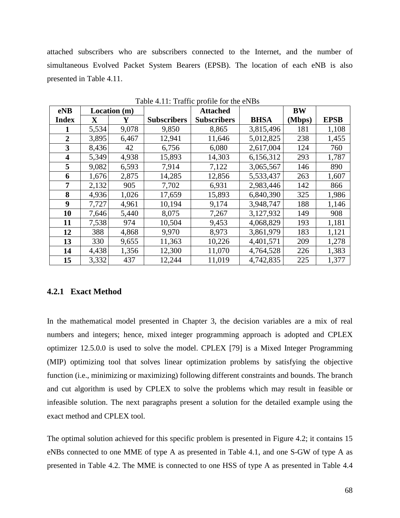attached subscribers who are subscribers connected to the Internet, and the number of simultaneous Evolved Packet System Bearers (EPSB). The location of each eNB is also presented in Table 4.11.

| eNB                     |             | Location (m) |                    | <b>Attached</b>    |             | <b>BW</b> |             |
|-------------------------|-------------|--------------|--------------------|--------------------|-------------|-----------|-------------|
| <b>Index</b>            | $\mathbf X$ | Y            | <b>Subscribers</b> | <b>Subscribers</b> | <b>BHSA</b> | (Mbps)    | <b>EPSB</b> |
| 1                       | 5,534       | 9,078        | 9,850              | 8,865              | 3,815,496   | 181       | 1,108       |
| $\overline{2}$          | 3,895       | 6,467        | 12,941             | 11,646             | 5,012,825   | 238       | 1,455       |
| 3                       | 8,436       | 42           | 6,756              | 6,080              | 2,617,004   | 124       | 760         |
| $\overline{\mathbf{4}}$ | 5,349       | 4,938        | 15,893             | 14,303             | 6,156,312   | 293       | 1,787       |
| 5                       | 9,082       | 6,593        | 7,914              | 7,122              | 3,065,567   | 146       | 890         |
| 6                       | 1,676       | 2,875        | 14,285             | 12,856             | 5,533,437   | 263       | 1,607       |
| 7                       | 2,132       | 905          | 7,702              | 6,931              | 2,983,446   | 142       | 866         |
| 8                       | 4,936       | 1,026        | 17,659             | 15,893             | 6,840,390   | 325       | 1,986       |
| $\boldsymbol{9}$        | 7,727       | 4,961        | 10,194             | 9,174              | 3,948,747   | 188       | 1,146       |
| 10                      | 7,646       | 5,440        | 8,075              | 7,267              | 3,127,932   | 149       | 908         |
| 11                      | 7,538       | 974          | 10,504             | 9,453              | 4,068,829   | 193       | 1,181       |
| 12                      | 388         | 4,868        | 9,970              | 8,973              | 3,861,979   | 183       | 1,121       |
| 13                      | 330         | 9,655        | 11,363             | 10,226             | 4,401,571   | 209       | 1,278       |
| 14                      | 4,438       | 1,356        | 12,300             | 11,070             | 4,764,528   | 226       | 1,383       |
| 15                      | 3,332       | 437          | 12,244             | 11,019             | 4,742,835   | 225       | 1,377       |

Table 4.11: Traffic profile for the eNBs

#### **4.2.1 Exact Method**

In the mathematical model presented in Chapter 3, the decision variables are a mix of real numbers and integers; hence, mixed integer programming approach is adopted and CPLEX optimizer 12.5.0.0 is used to solve the model. CPLEX [79] is a Mixed Integer Programming (MIP) optimizing tool that solves linear optimization problems by satisfying the objective function (i.e., minimizing or maximizing) following different constraints and bounds. The branch and cut algorithm is used by CPLEX to solve the problems which may result in feasible or infeasible solution. The next paragraphs present a solution for the detailed example using the exact method and CPLEX tool.

The optimal solution achieved for this specific problem is presented in Figure 4.2; it contains 15 eNBs connected to one MME of type A as presented in Table 4.1, and one S-GW of type A as presented in Table 4.2. The MME is connected to one HSS of type A as presented in Table 4.4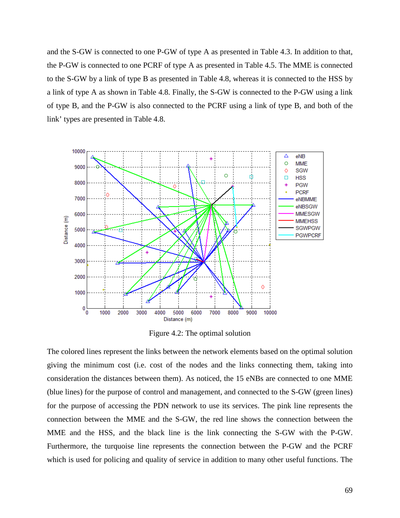and the S-GW is connected to one P-GW of type A as presented in Table 4.3. In addition to that, the P-GW is connected to one PCRF of type A as presented in Table 4.5. The MME is connected to the S-GW by a link of type B as presented in Table 4.8, whereas it is connected to the HSS by a link of type A as shown in Table 4.8. Finally, the S-GW is connected to the P-GW using a link of type B, and the P-GW is also connected to the PCRF using a link of type B, and both of the link' types are presented in Table 4.8.



Figure 4.2: The optimal solution

The colored lines represent the links between the network elements based on the optimal solution giving the minimum cost (i.e. cost of the nodes and the links connecting them, taking into consideration the distances between them). As noticed, the 15 eNBs are connected to one MME (blue lines) for the purpose of control and management, and connected to the S-GW (green lines) for the purpose of accessing the PDN network to use its services. The pink line represents the connection between the MME and the S-GW, the red line shows the connection between the MME and the HSS, and the black line is the link connecting the S-GW with the P-GW. Furthermore, the turquoise line represents the connection between the P-GW and the PCRF which is used for policing and quality of service in addition to many other useful functions. The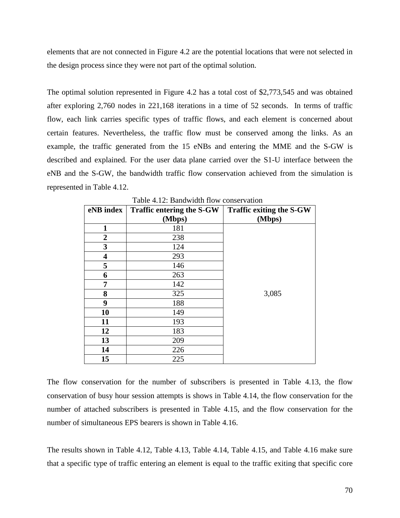elements that are not connected in Figure 4.2 are the potential locations that were not selected in the design process since they were not part of the optimal solution.

The optimal solution represented in Figure 4.2 has a total cost of \$2,773,545 and was obtained after exploring 2,760 nodes in 221,168 iterations in a time of 52 seconds. In terms of traffic flow, each link carries specific types of traffic flows, and each element is concerned about certain features. Nevertheless, the traffic flow must be conserved among the links. As an example, the traffic generated from the 15 eNBs and entering the MME and the S-GW is described and explained. For the user data plane carried over the S1-U interface between the eNB and the S-GW, the bandwidth traffic flow conservation achieved from the simulation is represented in Table 4.12.

| eNB index      | Traffic entering the S-GW<br>(Mbps) | <b>Traffic exiting the S-GW</b><br>(Mbps) |
|----------------|-------------------------------------|-------------------------------------------|
| 1              | 181                                 |                                           |
| $\overline{2}$ | 238                                 |                                           |
| 3              | 124                                 |                                           |
| 4              | 293                                 |                                           |
| 5              | 146                                 |                                           |
| 6              | 263                                 |                                           |
| 7              | 142                                 |                                           |
| 8              | 325                                 | 3,085                                     |
| 9              | 188                                 |                                           |
| 10             | 149                                 |                                           |
| 11             | 193                                 |                                           |
| 12             | 183                                 |                                           |
| 13             | 209                                 |                                           |
| 14             | 226                                 |                                           |
| 15             | 225                                 |                                           |

Table 4.12: Bandwidth flow conservation

The flow conservation for the number of subscribers is presented in Table 4.13, the flow conservation of busy hour session attempts is shows in Table 4.14, the flow conservation for the number of attached subscribers is presented in Table 4.15, and the flow conservation for the number of simultaneous EPS bearers is shown in Table 4.16.

The results shown in Table 4.12, Table 4.13, Table 4.14, Table 4.15, and Table 4.16 make sure that a specific type of traffic entering an element is equal to the traffic exiting that specific core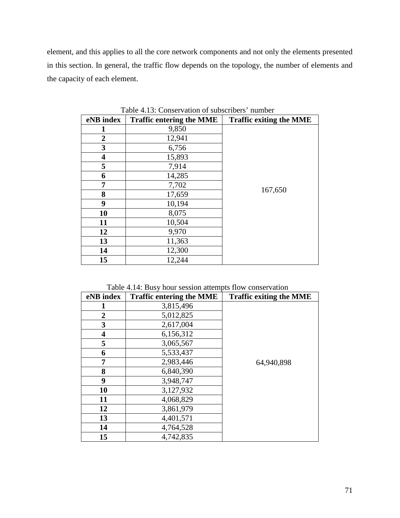element, and this applies to all the core network components and not only the elements presented in this section. In general, the traffic flow depends on the topology, the number of elements and the capacity of each element.

| eNB index      | <b>Traffic entering the MME</b> | <b>Traffic exiting the MME</b> |
|----------------|---------------------------------|--------------------------------|
| 1              | 9,850                           |                                |
| $\overline{2}$ | 12,941                          |                                |
| 3              | 6,756                           |                                |
| 4              | 15,893                          |                                |
| 5              | 7,914                           |                                |
| 6              | 14,285                          |                                |
| 7              | 7,702                           |                                |
| 8              | 17,659                          | 167,650                        |
| 9              | 10,194                          |                                |
| 10             | 8,075                           |                                |
| 11             | 10,504                          |                                |
| 12             | 9,970                           |                                |
| 13             | 11,363                          |                                |
| 14             | 12,300                          |                                |
| 15             | 12,244                          |                                |

Table 4.13: Conservation of subscribers' number

|  | Table 4.14: Busy hour session attempts flow conservation |
|--|----------------------------------------------------------|
|--|----------------------------------------------------------|

| eNB index    | <b>Traffic entering the MME</b> | <b>Traffic exiting the MME</b> |
|--------------|---------------------------------|--------------------------------|
|              | 3,815,496                       |                                |
| $\mathbf{2}$ | 5,012,825                       |                                |
| 3            | 2,617,004                       |                                |
| 4            | 6,156,312                       |                                |
| 5            | 3,065,567                       |                                |
| 6            | 5,533,437                       |                                |
| 7            | 2,983,446                       | 64,940,898                     |
| 8            | 6,840,390                       |                                |
| 9            | 3,948,747                       |                                |
| 10           | 3,127,932                       |                                |
| 11           | 4,068,829                       |                                |
| 12           | 3,861,979                       |                                |
| 13           | 4,401,571                       |                                |
| 14           | 4,764,528                       |                                |
| 15           | 4,742,835                       |                                |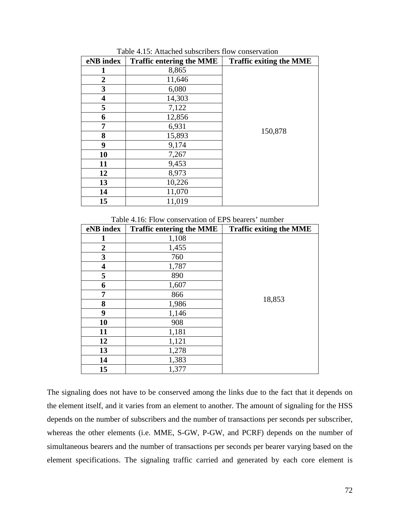| eNB index               | <b>Traffic entering the MME</b> | <b>Traffic exiting the MME</b> |
|-------------------------|---------------------------------|--------------------------------|
|                         | 8,865                           |                                |
| 2                       | 11,646                          |                                |
| 3                       | 6,080                           |                                |
| $\overline{\mathbf{4}}$ | 14,303                          |                                |
| 5                       | 7,122                           |                                |
| 6                       | 12,856                          |                                |
| 7                       | 6,931                           |                                |
| 8                       | 15,893                          | 150,878                        |
| 9                       | 9,174                           |                                |
| 10                      | 7,267                           |                                |
| 11                      | 9,453                           |                                |
| 12                      | 8,973                           |                                |
| 13                      | 10,226                          |                                |
| 14                      | 11,070                          |                                |
| 15                      | 11,019                          |                                |

Table 4.15: Attached subscribers flow conservation

Table 4.16: Flow conservation of EPS bearers' number

| eNB index      | <b>Traffic entering the MME</b> | <b>Traffic exiting the MME</b> |
|----------------|---------------------------------|--------------------------------|
| 1              | 1,108                           |                                |
| $\overline{2}$ | 1,455                           |                                |
| 3              | 760                             |                                |
| 4              | 1,787                           |                                |
| 5              | 890                             |                                |
| 6              | 1,607                           |                                |
| 7              | 866                             |                                |
| 8              | 1,986                           | 18,853                         |
| 9              | 1,146                           |                                |
| 10             | 908                             |                                |
| 11             | 1,181                           |                                |
| 12             | 1,121                           |                                |
| 13             | 1,278                           |                                |
| 14             | 1,383                           |                                |
| 15             | 1,377                           |                                |

The signaling does not have to be conserved among the links due to the fact that it depends on the element itself, and it varies from an element to another. The amount of signaling for the HSS depends on the number of subscribers and the number of transactions per seconds per subscriber, whereas the other elements (i.e. MME, S-GW, P-GW, and PCRF) depends on the number of simultaneous bearers and the number of transactions per seconds per bearer varying based on the element specifications. The signaling traffic carried and generated by each core element is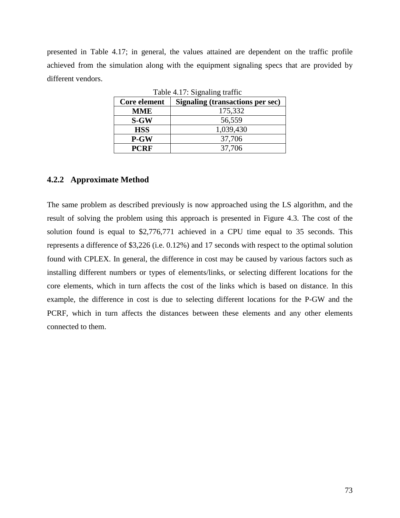presented in Table 4.17; in general, the values attained are dependent on the traffic profile achieved from the simulation along with the equipment signaling specs that are provided by different vendors.

| $1000$ $$ $17.$ $915$ $1000$ $1000$ |                                  |  |  |  |
|-------------------------------------|----------------------------------|--|--|--|
| Core element                        | Signaling (transactions per sec) |  |  |  |
| <b>MME</b>                          | 175,332                          |  |  |  |
| <b>S-GW</b>                         | 56,559                           |  |  |  |
| <b>HSS</b>                          | 1,039,430                        |  |  |  |
| P-GW                                | 37,706                           |  |  |  |
| <b>PCRF</b>                         | 37,706                           |  |  |  |

Table  $4.17:$  Signaling traffic

### **4.2.2 Approximate Method**

The same problem as described previously is now approached using the LS algorithm, and the result of solving the problem using this approach is presented in Figure 4.3. The cost of the solution found is equal to \$2,776,771 achieved in a CPU time equal to 35 seconds. This represents a difference of \$3,226 (i.e. 0.12%) and 17 seconds with respect to the optimal solution found with CPLEX. In general, the difference in cost may be caused by various factors such as installing different numbers or types of elements/links, or selecting different locations for the core elements, which in turn affects the cost of the links which is based on distance. In this example, the difference in cost is due to selecting different locations for the P-GW and the PCRF, which in turn affects the distances between these elements and any other elements connected to them.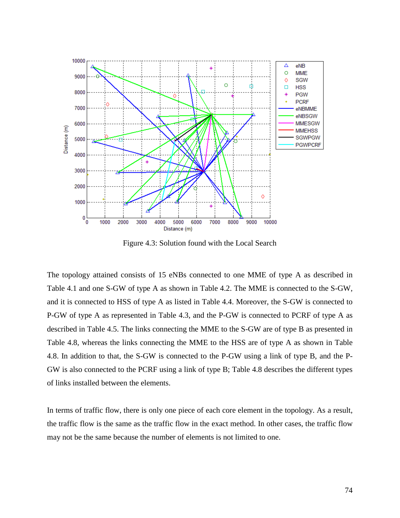

Figure 4.3: Solution found with the Local Search

The topology attained consists of 15 eNBs connected to one MME of type A as described in Table 4.1 and one S-GW of type A as shown in Table 4.2. The MME is connected to the S-GW, and it is connected to HSS of type A as listed in Table 4.4. Moreover, the S-GW is connected to P-GW of type A as represented in Table 4.3, and the P-GW is connected to PCRF of type A as described in Table 4.5. The links connecting the MME to the S-GW are of type B as presented in Table 4.8, whereas the links connecting the MME to the HSS are of type A as shown in Table 4.8. In addition to that, the S-GW is connected to the P-GW using a link of type B, and the P-GW is also connected to the PCRF using a link of type B; Table 4.8 describes the different types of links installed between the elements.

In terms of traffic flow, there is only one piece of each core element in the topology. As a result, the traffic flow is the same as the traffic flow in the exact method. In other cases, the traffic flow may not be the same because the number of elements is not limited to one.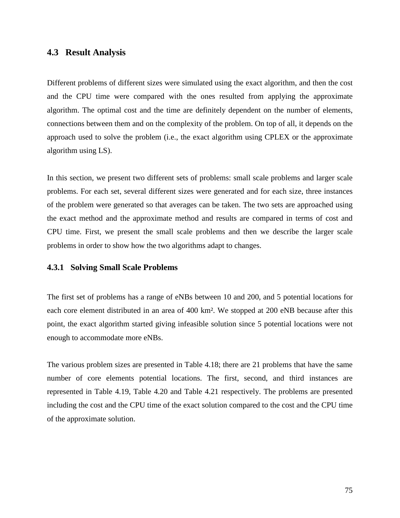#### **4.3 Result Analysis**

Different problems of different sizes were simulated using the exact algorithm, and then the cost and the CPU time were compared with the ones resulted from applying the approximate algorithm. The optimal cost and the time are definitely dependent on the number of elements, connections between them and on the complexity of the problem. On top of all, it depends on the approach used to solve the problem (i.e., the exact algorithm using CPLEX or the approximate algorithm using LS).

In this section, we present two different sets of problems: small scale problems and larger scale problems. For each set, several different sizes were generated and for each size, three instances of the problem were generated so that averages can be taken. The two sets are approached using the exact method and the approximate method and results are compared in terms of cost and CPU time. First, we present the small scale problems and then we describe the larger scale problems in order to show how the two algorithms adapt to changes.

#### **4.3.1 Solving Small Scale Problems**

The first set of problems has a range of eNBs between 10 and 200, and 5 potential locations for each core element distributed in an area of 400 km². We stopped at 200 eNB because after this point, the exact algorithm started giving infeasible solution since 5 potential locations were not enough to accommodate more eNBs.

The various problem sizes are presented in Table 4.18; there are 21 problems that have the same number of core elements potential locations. The first, second, and third instances are represented in Table 4.19, Table 4.20 and Table 4.21 respectively. The problems are presented including the cost and the CPU time of the exact solution compared to the cost and the CPU time of the approximate solution.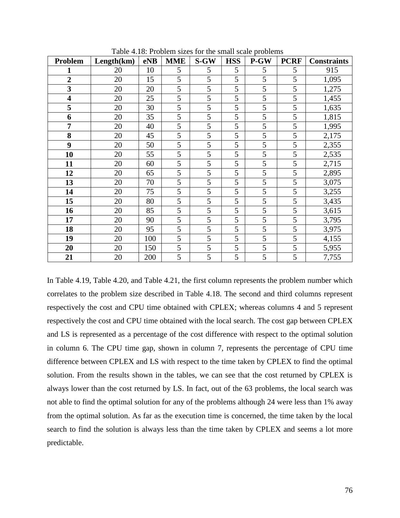| <b>Problem</b>          | Length(km) | eNB | <b>MME</b>     | S-GW | <b>HSS</b> | P-GW | <b>PCRF</b> | <b>Constraints</b> |
|-------------------------|------------|-----|----------------|------|------------|------|-------------|--------------------|
| 1                       | 20         | 10  | 5              | 5    | 5          | 5    | 5           | 915                |
| $\overline{2}$          | 20         | 15  | 5              | 5    | 5          | 5    | 5           | 1,095              |
| $\overline{\mathbf{3}}$ | 20         | 20  | 5              | 5    | 5          | 5    | 5           | 1,275              |
| $\overline{\mathbf{4}}$ | 20         | 25  | 5              | 5    | 5          | 5    | 5           | 1,455              |
| 5                       | 20         | 30  | 5              | 5    | 5          | 5    | 5           | 1,635              |
| 6                       | 20         | 35  | 5              | 5    | 5          | 5    | 5           | 1,815              |
| 7                       | 20         | 40  | 5              | 5    | 5          | 5    | 5           | 1,995              |
| 8                       | 20         | 45  | 5              | 5    | 5          | 5    | 5           | 2,175              |
| 9                       | 20         | 50  | 5              | 5    | 5          | 5    | 5           | 2,355              |
| 10                      | 20         | 55  | 5              | 5    | 5          | 5    | 5           | 2,535              |
| 11                      | 20         | 60  | 5              | 5    | 5          | 5    | 5           | 2,715              |
| 12                      | 20         | 65  | $\overline{5}$ | 5    | 5          | 5    | 5           | 2,895              |
| 13                      | 20         | 70  | 5              | 5    | 5          | 5    | 5           | 3,075              |
| 14                      | 20         | 75  | 5              | 5    | 5          | 5    | 5           | 3,255              |
| 15                      | 20         | 80  | 5              | 5    | 5          | 5    | 5           | 3,435              |
| 16                      | 20         | 85  | 5              | 5    | 5          | 5    | 5           | 3,615              |
| 17                      | 20         | 90  | 5              | 5    | 5          | 5    | 5           | 3,795              |
| 18                      | 20         | 95  | 5              | 5    | 5          | 5    | 5           | 3,975              |
| 19                      | 20         | 100 | 5              | 5    | 5          | 5    | 5           | 4,155              |
| 20                      | 20         | 150 | 5              | 5    | 5          | 5    | 5           | 5,955              |
| 21                      | 20         | 200 | 5              | 5    | 5          | 5    | 5           | 7,755              |

Table 4.18: Problem sizes for the small scale problems

In Table 4.19, Table 4.20, and Table 4.21, the first column represents the problem number which correlates to the problem size described in Table 4.18. The second and third columns represent respectively the cost and CPU time obtained with CPLEX; whereas columns 4 and 5 represent respectively the cost and CPU time obtained with the local search. The cost gap between CPLEX and LS is represented as a percentage of the cost difference with respect to the optimal solution in column 6. The CPU time gap, shown in column 7, represents the percentage of CPU time difference between CPLEX and LS with respect to the time taken by CPLEX to find the optimal solution. From the results shown in the tables, we can see that the cost returned by CPLEX is always lower than the cost returned by LS. In fact, out of the 63 problems, the local search was not able to find the optimal solution for any of the problems although 24 were less than 1% away from the optimal solution. As far as the execution time is concerned, the time taken by the local search to find the solution is always less than the time taken by CPLEX and seems a lot more predictable.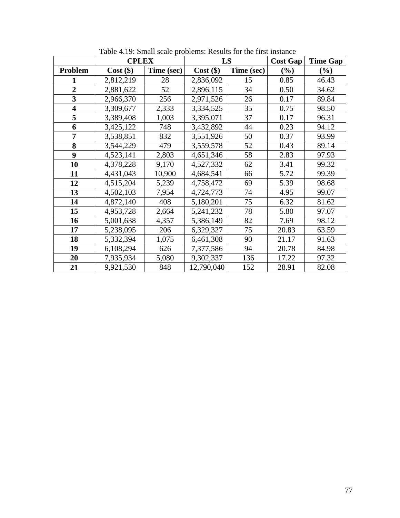|                         | <b>CPLEX</b> |            | LS          |            | <b>Cost Gap</b> | <b>Time Gap</b> |
|-------------------------|--------------|------------|-------------|------------|-----------------|-----------------|
| <b>Problem</b>          | $Cost$ (\$)  | Time (sec) | $Cost$ (\$) | Time (sec) | $(\%)$          | $(\%)$          |
| 1                       | 2,812,219    | 28         | 2,836,092   | 15         | 0.85            | 46.43           |
| $\overline{2}$          | 2,881,622    | 52         | 2,896,115   | 34         | 0.50            | 34.62           |
| $\overline{\mathbf{3}}$ | 2,966,370    | 256        | 2,971,526   | 26         | 0.17            | 89.84           |
| $\overline{\mathbf{4}}$ | 3,309,677    | 2,333      | 3,334,525   | 35         | 0.75            | 98.50           |
| 5                       | 3,389,408    | 1,003      | 3,395,071   | 37         | 0.17            | 96.31           |
| 6                       | 3,425,122    | 748        | 3,432,892   | 44         | 0.23            | 94.12           |
| 7                       | 3,538,851    | 832        | 3,551,926   | 50         | 0.37            | 93.99           |
| 8                       | 3,544,229    | 479        | 3,559,578   | 52         | 0.43            | 89.14           |
| 9                       | 4,523,141    | 2,803      | 4,651,346   | 58         | 2.83            | 97.93           |
| 10                      | 4,378,228    | 9,170      | 4,527,332   | 62         | 3.41            | 99.32           |
| 11                      | 4,431,043    | 10,900     | 4,684,541   | 66         | 5.72            | 99.39           |
| 12                      | 4,515,204    | 5,239      | 4,758,472   | 69         | 5.39            | 98.68           |
| 13                      | 4,502,103    | 7,954      | 4,724,773   | 74         | 4.95            | 99.07           |
| 14                      | 4,872,140    | 408        | 5,180,201   | 75         | 6.32            | 81.62           |
| 15                      | 4,953,728    | 2,664      | 5,241,232   | 78         | 5.80            | 97.07           |
| 16                      | 5,001,638    | 4,357      | 5,386,149   | 82         | 7.69            | 98.12           |
| 17                      | 5,238,095    | 206        | 6,329,327   | 75         | 20.83           | 63.59           |
| 18                      | 5,332,394    | 1,075      | 6,461,308   | 90         | 21.17           | 91.63           |
| 19                      | 6,108,294    | 626        | 7,377,586   | 94         | 20.78           | 84.98           |
| 20                      | 7,935,934    | 5,080      | 9,302,337   | 136        | 17.22           | 97.32           |
| 21                      | 9,921,530    | 848        | 12,790,040  | 152        | 28.91           | 82.08           |

Table 4.19: Small scale problems: Results for the first instance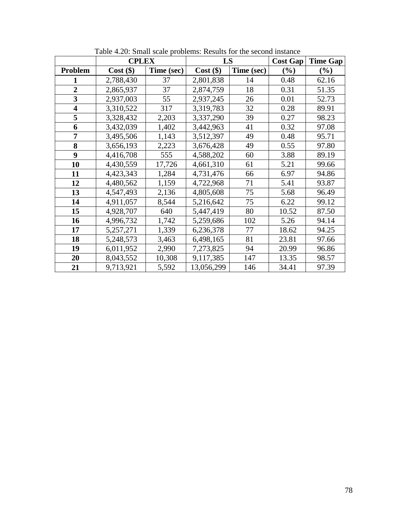|                         | <b>CPLEX</b> |            | LS          |            | <b>Cost Gap</b> | <b>Time Gap</b> |
|-------------------------|--------------|------------|-------------|------------|-----------------|-----------------|
| <b>Problem</b>          | $Cost$ (\$)  | Time (sec) | $Cost$ (\$) | Time (sec) | $(\%)$          | $(\%)$          |
| 1                       | 2,788,430    | 37         | 2,801,838   | 14         | 0.48            | 62.16           |
| $\overline{2}$          | 2,865,937    | 37         | 2,874,759   | 18         | 0.31            | 51.35           |
| $\overline{\mathbf{3}}$ | 2,937,003    | 55         | 2,937,245   | 26         | 0.01            | 52.73           |
| $\overline{\mathbf{4}}$ | 3,310,522    | 317        | 3,319,783   | 32         | 0.28            | 89.91           |
| 5                       | 3,328,432    | 2,203      | 3,337,290   | 39         | 0.27            | 98.23           |
| 6                       | 3,432,039    | 1,402      | 3,442,963   | 41         | 0.32            | 97.08           |
| 7                       | 3,495,506    | 1,143      | 3,512,397   | 49         | 0.48            | 95.71           |
| 8                       | 3,656,193    | 2,223      | 3,676,428   | 49         | 0.55            | 97.80           |
| 9                       | 4,416,708    | 555        | 4,588,202   | 60         | 3.88            | 89.19           |
| 10                      | 4,430,559    | 17,726     | 4,661,310   | 61         | 5.21            | 99.66           |
| 11                      | 4,423,343    | 1,284      | 4,731,476   | 66         | 6.97            | 94.86           |
| 12                      | 4,480,562    | 1,159      | 4,722,968   | 71         | 5.41            | 93.87           |
| 13                      | 4,547,493    | 2,136      | 4,805,608   | 75         | 5.68            | 96.49           |
| 14                      | 4,911,057    | 8,544      | 5,216,642   | 75         | 6.22            | 99.12           |
| 15                      | 4,928,707    | 640        | 5,447,419   | 80         | 10.52           | 87.50           |
| 16                      | 4,996,732    | 1,742      | 5,259,686   | 102        | 5.26            | 94.14           |
| 17                      | 5,257,271    | 1,339      | 6,236,378   | 77         | 18.62           | 94.25           |
| 18                      | 5,248,573    | 3,463      | 6,498,165   | 81         | 23.81           | 97.66           |
| 19                      | 6,011,952    | 2,990      | 7,273,825   | 94         | 20.99           | 96.86           |
| 20                      | 8,043,552    | 10,308     | 9,117,385   | 147        | 13.35           | 98.57           |
| 21                      | 9,713,921    | 5,592      | 13,056,299  | 146        | 34.41           | 97.39           |

Table 4.20: Small scale problems: Results for the second instance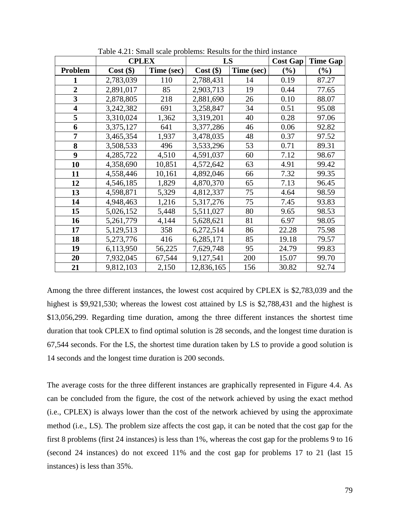|                         | <b>CPLEX</b> |            | LS          |            | <b>Cost Gap</b> | <b>Time Gap</b> |
|-------------------------|--------------|------------|-------------|------------|-----------------|-----------------|
| Problem                 | $Cost$ (\$)  | Time (sec) | $Cost$ (\$) | Time (sec) | (%)             | (%)             |
| 1                       | 2,783,039    | 110        | 2,788,431   | 14         | 0.19            | 87.27           |
| $\overline{2}$          | 2,891,017    | 85         | 2,903,713   | 19         | 0.44            | 77.65           |
| $\overline{\mathbf{3}}$ | 2,878,805    | 218        | 2,881,690   | 26         | 0.10            | 88.07           |
| $\overline{\mathbf{4}}$ | 3,242,382    | 691        | 3,258,847   | 34         | 0.51            | 95.08           |
| 5                       | 3,310,024    | 1,362      | 3,319,201   | 40         | 0.28            | 97.06           |
| 6                       | 3,375,127    | 641        | 3,377,286   | 46         | 0.06            | 92.82           |
| 7                       | 3,465,354    | 1,937      | 3,478,035   | 48         | 0.37            | 97.52           |
| 8                       | 3,508,533    | 496        | 3,533,296   | 53         | 0.71            | 89.31           |
| 9                       | 4,285,722    | 4,510      | 4,591,037   | 60         | 7.12            | 98.67           |
| 10                      | 4,358,690    | 10,851     | 4,572,642   | 63         | 4.91            | 99.42           |
| 11                      | 4,558,446    | 10,161     | 4,892,046   | 66         | 7.32            | 99.35           |
| 12                      | 4,546,185    | 1,829      | 4,870,370   | 65         | 7.13            | 96.45           |
| 13                      | 4,598,871    | 5,329      | 4,812,337   | 75         | 4.64            | 98.59           |
| 14                      | 4,948,463    | 1,216      | 5,317,276   | 75         | 7.45            | 93.83           |
| 15                      | 5,026,152    | 5,448      | 5,511,027   | 80         | 9.65            | 98.53           |
| 16                      | 5,261,779    | 4,144      | 5,628,621   | 81         | 6.97            | 98.05           |
| 17                      | 5,129,513    | 358        | 6,272,514   | 86         | 22.28           | 75.98           |
| 18                      | 5,273,776    | 416        | 6,285,171   | 85         | 19.18           | 79.57           |
| 19                      | 6,113,950    | 56,225     | 7,629,748   | 95         | 24.79           | 99.83           |
| 20                      | 7,932,045    | 67,544     | 9,127,541   | 200        | 15.07           | 99.70           |
| 21                      | 9,812,103    | 2,150      | 12,836,165  | 156        | 30.82           | 92.74           |

Table 4.21: Small scale problems: Results for the third instance

Among the three different instances, the lowest cost acquired by CPLEX is \$2,783,039 and the highest is \$9,921,530; whereas the lowest cost attained by LS is \$2,788,431 and the highest is \$13,056,299. Regarding time duration, among the three different instances the shortest time duration that took CPLEX to find optimal solution is 28 seconds, and the longest time duration is 67,544 seconds. For the LS, the shortest time duration taken by LS to provide a good solution is 14 seconds and the longest time duration is 200 seconds.

The average costs for the three different instances are graphically represented in Figure 4.4. As can be concluded from the figure, the cost of the network achieved by using the exact method (i.e., CPLEX) is always lower than the cost of the network achieved by using the approximate method (i.e., LS). The problem size affects the cost gap, it can be noted that the cost gap for the first 8 problems (first 24 instances) is less than 1%, whereas the cost gap for the problems 9 to 16 (second 24 instances) do not exceed 11% and the cost gap for problems 17 to 21 (last 15 instances) is less than 35%.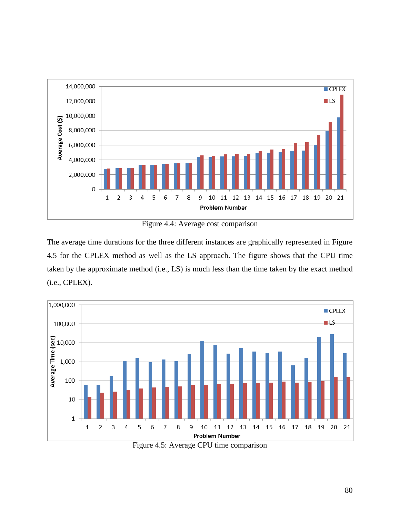

Figure 4.4: Average cost comparison

The average time durations for the three different instances are graphically represented in Figure 4.5 for the CPLEX method as well as the LS approach. The figure shows that the CPU time taken by the approximate method (i.e., LS) is much less than the time taken by the exact method (i.e., CPLEX).



Figure 4.5: Average CPU time comparison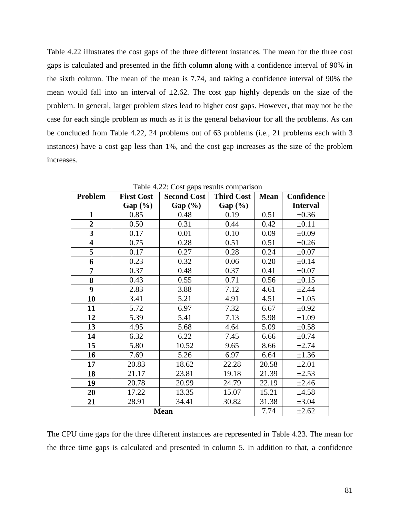Table 4.22 illustrates the cost gaps of the three different instances. The mean for the three cost gaps is calculated and presented in the fifth column along with a confidence interval of 90% in the sixth column. The mean of the mean is 7.74, and taking a confidence interval of 90% the mean would fall into an interval of  $\pm 2.62$ . The cost gap highly depends on the size of the problem. In general, larger problem sizes lead to higher cost gaps. However, that may not be the case for each single problem as much as it is the general behaviour for all the problems. As can be concluded from Table 4.22, 24 problems out of 63 problems (i.e., 21 problems each with 3 instances) have a cost gap less than 1%, and the cost gap increases as the size of the problem increases.

| Problem                 | <b>First Cost</b> | <b>Third Cost</b><br><b>Second Cost</b> |         | <b>Mean</b> | Confidence      |
|-------------------------|-------------------|-----------------------------------------|---------|-------------|-----------------|
|                         | Gap (%)           | Gap $(\%)$                              | Gap (%) |             | <b>Interval</b> |
| $\mathbf{1}$            | 0.85              | 0.48                                    | 0.19    | 0.51        | $\pm 0.36$      |
| $\overline{2}$          | 0.50              | 0.31                                    | 0.44    | 0.42        | $\pm 0.11$      |
| $\overline{\mathbf{3}}$ | 0.17              | 0.01                                    | 0.10    | 0.09        | $\pm 0.09$      |
| $\overline{\mathbf{4}}$ | 0.75              | 0.28                                    | 0.51    | 0.51        | $\pm 0.26$      |
| 5                       | 0.17              | 0.27                                    | 0.28    | 0.24        | $\pm 0.07$      |
| 6                       | 0.23              | 0.32                                    | 0.06    | 0.20        | $\pm 0.14$      |
| $\overline{7}$          | 0.37              | 0.48                                    | 0.37    | 0.41        | $\pm 0.07$      |
| 8                       | 0.43              | 0.55                                    | 0.71    | 0.56        | $\pm 0.15$      |
| 9                       | 2.83              | 3.88                                    | 7.12    | 4.61        | $\pm 2.44$      |
| 10                      | 3.41              | 5.21                                    | 4.91    | 4.51        | $\pm 1.05$      |
| 11                      | 5.72              | 6.97                                    | 7.32    | 6.67        | $\pm 0.92$      |
| 12                      | 5.39              | 5.41                                    | 7.13    | 5.98        | $\pm 1.09$      |
| 13                      | 4.95              | 5.68                                    | 4.64    | 5.09        | $\pm 0.58$      |
| 14                      | 6.32              | 6.22                                    | 7.45    | 6.66        | $\pm 0.74$      |
| 15                      | 5.80              | 10.52                                   | 9.65    | 8.66        | $\pm 2.74$      |
| 16                      | 7.69              | 5.26                                    | 6.97    | 6.64        | $\pm 1.36$      |
| 17                      | 20.83             | 18.62                                   | 22.28   | 20.58       | $\pm 2.01$      |
| 18                      | 21.17             | 23.81                                   | 19.18   | 21.39       | $\pm 2.53$      |
| 19                      | 20.78             | 20.99                                   | 24.79   | 22.19       | $\pm 2.46$      |
| 20                      | 17.22             | 13.35                                   | 15.07   | 15.21       | ±4.58           |
| 21                      | 28.91             | 34.41                                   | 30.82   | 31.38       | $\pm 3.04$      |
|                         |                   | <b>Mean</b>                             |         | 7.74        | $\pm 2.62$      |

Table 4.22: Cost gaps results comparison

The CPU time gaps for the three different instances are represented in Table 4.23. The mean for the three time gaps is calculated and presented in column 5. In addition to that, a confidence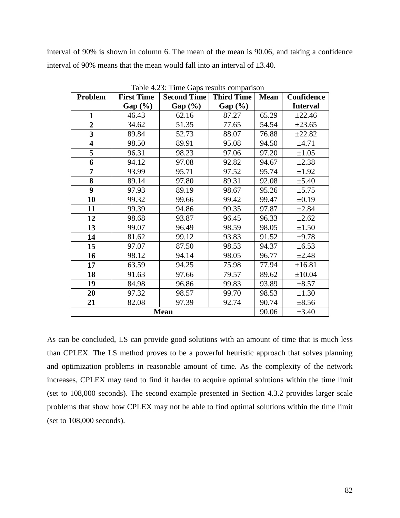interval of 90% is shown in column 6. The mean of the mean is 90.06, and taking a confidence interval of 90% means that the mean would fall into an interval of  $\pm 3.40$ .

| Problem                 | <b>First Time</b> | <b>Second Time</b> | <b>Third Time</b> | <b>Mean</b> | Confidence      |
|-------------------------|-------------------|--------------------|-------------------|-------------|-----------------|
|                         | Gap (%)           | Gap (%)            | Gap (%)           |             | <b>Interval</b> |
| 1                       | 46.43             | 62.16              | 87.27             | 65.29       | ±22.46          |
| $\overline{2}$          | 34.62             | 51.35              | 77.65             | 54.54       | ±23.65          |
| $\overline{\mathbf{3}}$ | 89.84             | 52.73              | 88.07             | 76.88       | ±22.82          |
| $\overline{\mathbf{4}}$ | 98.50             | 89.91              | 95.08             | 94.50       | $\pm 4.71$      |
| 5                       | 96.31             | 98.23              | 97.06             | 97.20       | $\pm 1.05$      |
| 6                       | 94.12             | 97.08              | 92.82             | 94.67       | $\pm 2.38$      |
| 7                       | 93.99             | 95.71              | 97.52             | 95.74       | $\pm 1.92$      |
| 8                       | 89.14             | 97.80              | 89.31             | 92.08       | $\pm$ 5.40      |
| 9                       | 97.93             | 89.19              | 98.67             | 95.26       | ±5.75           |
| 10                      | 99.32             | 99.66              | 99.42             | 99.47       | $\pm 0.19$      |
| 11                      | 99.39             | 94.86              | 99.35             | 97.87       | $\pm 2.84$      |
| 12                      | 98.68             | 93.87              | 96.45             | 96.33       | $\pm 2.62$      |
| 13                      | 99.07             | 96.49              | 98.59             | 98.05       | $\pm 1.50$      |
| 14                      | 81.62             | 99.12              | 93.83             | 91.52       | $\pm 9.78$      |
| 15                      | 97.07             | 87.50              | 98.53             | 94.37       | $\pm 6.53$      |
| 16                      | 98.12             | 94.14              | 98.05             | 96.77       | $\pm 2.48$      |
| 17                      | 63.59             | 94.25              | 75.98             | 77.94       | ±16.81          |
| 18                      | 91.63             | 97.66              | 79.57             | 89.62       | ±10.04          |
| 19                      | 84.98             | 96.86              | 99.83             | 93.89       | $\pm 8.57$      |
| 20                      | 97.32             | 98.57              | 99.70             | 98.53       | $\pm 1.30$      |
| 21                      | 82.08             | 97.39              | 92.74             | 90.74       | $\pm 8.56$      |
|                         |                   | <b>Mean</b>        |                   | 90.06       | $\pm 3.40$      |

Table 4.23: Time Gaps results comparison

As can be concluded, LS can provide good solutions with an amount of time that is much less than CPLEX. The LS method proves to be a powerful heuristic approach that solves planning and optimization problems in reasonable amount of time. As the complexity of the network increases, CPLEX may tend to find it harder to acquire optimal solutions within the time limit (set to 108,000 seconds). The second example presented in Section 4.3.2 provides larger scale problems that show how CPLEX may not be able to find optimal solutions within the time limit (set to 108,000 seconds).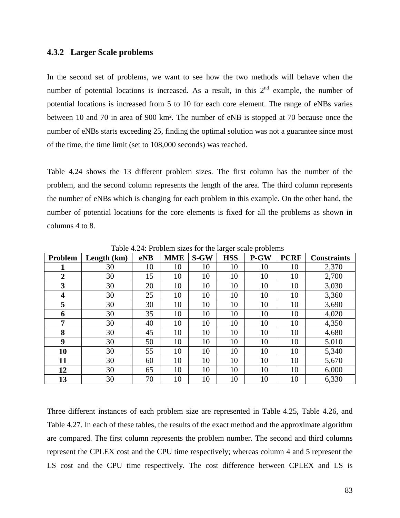#### **4.3.2 Larger Scale problems**

In the second set of problems, we want to see how the two methods will behave when the number of potential locations is increased. As a result, in this  $2<sup>nd</sup>$  example, the number of potential locations is increased from 5 to 10 for each core element. The range of eNBs varies between 10 and 70 in area of 900 km². The number of eNB is stopped at 70 because once the number of eNBs starts exceeding 25, finding the optimal solution was not a guarantee since most of the time, the time limit (set to 108,000 seconds) was reached.

Table 4.24 shows the 13 different problem sizes. The first column has the number of the problem, and the second column represents the length of the area. The third column represents the number of eNBs which is changing for each problem in this example. On the other hand, the number of potential locations for the core elements is fixed for all the problems as shown in columns 4 to 8.

| Problem        | Length (km) | eNB | <b>MME</b> | $S-GW$ | <b>HSS</b> | P-GW | <b>PCRF</b> | <b>Constraints</b> |
|----------------|-------------|-----|------------|--------|------------|------|-------------|--------------------|
| 1              | 30          | 10  | 10         | 10     | 10         | 10   | 10          | 2,370              |
| $\overline{2}$ | 30          | 15  | 10         | 10     | 10         | 10   | 10          | 2,700              |
| 3              | 30          | 20  | 10         | 10     | 10         | 10   | 10          | 3,030              |
| 4              | 30          | 25  | 10         | 10     | 10         | 10   | 10          | 3,360              |
| 5              | 30          | 30  | 10         | 10     | 10         | 10   | 10          | 3,690              |
| 6              | 30          | 35  | 10         | 10     | 10         | 10   | 10          | 4,020              |
| 7              | 30          | 40  | 10         | 10     | 10         | 10   | 10          | 4,350              |
| 8              | 30          | 45  | 10         | 10     | 10         | 10   | 10          | 4,680              |
| 9              | 30          | 50  | 10         | 10     | 10         | 10   | 10          | 5,010              |
| 10             | 30          | 55  | 10         | 10     | 10         | 10   | 10          | 5,340              |
| 11             | 30          | 60  | 10         | 10     | 10         | 10   | 10          | 5,670              |
| 12             | 30          | 65  | 10         | 10     | 10         | 10   | 10          | 6,000              |
| 13             | 30          | 70  | 10         | 10     | 10         | 10   | 10          | 6,330              |

Table 4.24: Problem sizes for the larger scale problems

Three different instances of each problem size are represented in Table 4.25, Table 4.26, and Table 4.27. In each of these tables, the results of the exact method and the approximate algorithm are compared. The first column represents the problem number. The second and third columns represent the CPLEX cost and the CPU time respectively; whereas column 4 and 5 represent the LS cost and the CPU time respectively. The cost difference between CPLEX and LS is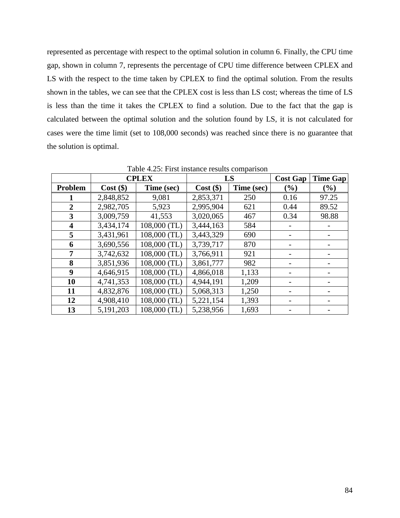represented as percentage with respect to the optimal solution in column 6. Finally, the CPU time gap, shown in column 7, represents the percentage of CPU time difference between CPLEX and LS with the respect to the time taken by CPLEX to find the optimal solution. From the results shown in the tables, we can see that the CPLEX cost is less than LS cost; whereas the time of LS is less than the time it takes the CPLEX to find a solution. Due to the fact that the gap is calculated between the optimal solution and the solution found by LS, it is not calculated for cases were the time limit (set to 108,000 seconds) was reached since there is no guarantee that the solution is optimal.

|                         | <b>CPLEX</b> |              |             | LS         | <b>Cost Gap</b> | <b>Time Gap</b> |
|-------------------------|--------------|--------------|-------------|------------|-----------------|-----------------|
| Problem                 | $Cost($ \$   | Time (sec)   | $Cost$ (\$) | Time (sec) | (%)             | (%)             |
|                         | 2,848,852    | 9,081        | 2,853,371   | 250        | 0.16            | 97.25           |
| $\overline{2}$          | 2,982,705    | 5,923        | 2,995,904   | 621        | 0.44            | 89.52           |
| 3                       | 3,009,759    | 41,553       | 3,020,065   | 467        | 0.34            | 98.88           |
| $\overline{\mathbf{4}}$ | 3,434,174    | 108,000 (TL) | 3,444,163   | 584        |                 |                 |
| 5                       | 3,431,961    | 108,000 (TL) | 3,443,329   | 690        |                 |                 |
| 6                       | 3,690,556    | 108,000 (TL) | 3,739,717   | 870        |                 |                 |
| 7                       | 3,742,632    | 108,000 (TL) | 3,766,911   | 921        |                 |                 |
| 8                       | 3,851,936    | 108,000 (TL) | 3,861,777   | 982        |                 |                 |
| $\boldsymbol{9}$        | 4,646,915    | 108,000 (TL) | 4,866,018   | 1,133      |                 |                 |
| 10                      | 4,741,353    | 108,000 (TL) | 4,944,191   | 1,209      |                 |                 |
| 11                      | 4,832,876    | 108,000 (TL) | 5,068,313   | 1,250      |                 |                 |
| 12                      | 4,908,410    | 108,000 (TL) | 5,221,154   | 1,393      |                 |                 |
| 13                      | 5,191,203    | 108,000 (TL) | 5,238,956   | 1,693      |                 |                 |

Table 4.25: First instance results comparison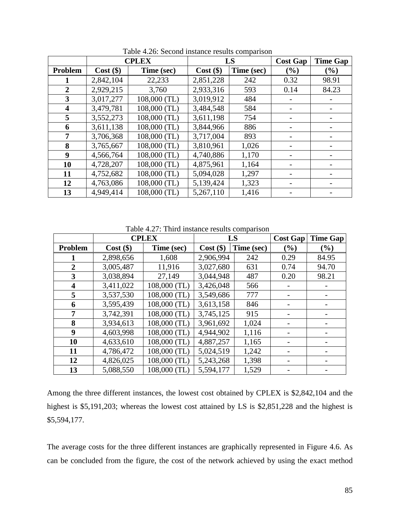|                         | <b>CPLEX</b> |              |             | LS         | <b>Cost Gap</b> | <b>Time Gap</b> |
|-------------------------|--------------|--------------|-------------|------------|-----------------|-----------------|
| Problem                 | $Cost($ \$)  | Time (sec)   | $Cost$ (\$) | Time (sec) | (%)             | $(\%)$          |
| 1                       | 2,842,104    | 22,233       | 2,851,228   | 242        | 0.32            | 98.91           |
| $\overline{2}$          | 2,929,215    | 3,760        | 2,933,316   | 593        | 0.14            | 84.23           |
| $\mathbf{3}$            | 3,017,277    | 108,000 (TL) | 3,019,912   | 484        |                 |                 |
| $\overline{\mathbf{4}}$ | 3,479,781    | 108,000 (TL) | 3,484,548   | 584        |                 |                 |
| 5                       | 3,552,273    | 108,000 (TL) | 3,611,198   | 754        |                 |                 |
| 6                       | 3,611,138    | 108,000 (TL) | 3,844,966   | 886        |                 |                 |
| 7                       | 3,706,368    | 108,000 (TL) | 3,717,004   | 893        |                 |                 |
| 8                       | 3,765,667    | 108,000 (TL) | 3,810,961   | 1,026      |                 |                 |
| $\boldsymbol{9}$        | 4,566,764    | 108,000 (TL) | 4,740,886   | 1,170      |                 |                 |
| 10                      | 4,728,207    | 108,000 (TL) | 4,875,961   | 1,164      |                 |                 |
| 11                      | 4,752,682    | 108,000 (TL) | 5,094,028   | 1,297      |                 |                 |
| 12                      | 4,763,086    | 108,000 (TL) | 5,139,424   | 1,323      |                 |                 |
| 13                      | 4,949,414    | 108,000 (TL) | 5,267,110   | 1,416      |                 |                 |

Table 4.26: Second instance results comparison

Table 4.27: Third instance results comparison

|         | <b>CPLEX</b> |              |             | LS         | <b>Cost Gap</b> | <b>Time Gap</b> |
|---------|--------------|--------------|-------------|------------|-----------------|-----------------|
| Problem | $Cost($ \$)  | Time (sec)   | $Cost$ (\$) | Time (sec) | (%)             | $(\%)$          |
|         | 2,898,656    | 1,608        | 2,906,994   | 242        | 0.29            | 84.95           |
| 2       | 3,005,487    | 11,916       | 3,027,680   | 631        | 0.74            | 94.70           |
| 3       | 3,038,894    | 27,149       | 3,044,948   | 487        | 0.20            | 98.21           |
| 4       | 3,411,022    | 108,000 (TL) | 3,426,048   | 566        |                 |                 |
| 5       | 3,537,530    | 108,000 (TL) | 3,549,686   | 777        |                 |                 |
| 6       | 3,595,439    | 108,000 (TL) | 3,613,158   | 846        |                 |                 |
| 7       | 3,742,391    | 108,000 (TL) | 3,745,125   | 915        |                 |                 |
| 8       | 3,934,613    | 108,000 (TL) | 3,961,692   | 1,024      |                 |                 |
| 9       | 4,603,998    | 108,000 (TL) | 4,944,902   | 1,116      |                 |                 |
| 10      | 4,633,610    | 108,000 (TL) | 4,887,257   | 1,165      |                 |                 |
| 11      | 4,786,472    | 108,000 (TL) | 5,024,519   | 1,242      |                 |                 |
| 12      | 4,826,025    | 108,000 (TL) | 5,243,268   | 1,398      |                 |                 |
| 13      | 5,088,550    | 108,000 (TL) | 5,594,177   | 1,529      |                 |                 |

| Among the three different instances, the lowest cost obtained by CPLEX is \$2,842,104 and the     |
|---------------------------------------------------------------------------------------------------|
| highest is \$5,191,203; whereas the lowest cost attained by LS is $$2,851,228$ and the highest is |
| \$5,594,177.                                                                                      |

The average costs for the three different instances are graphically represented in Figure 4.6. As can be concluded from the figure, the cost of the network achieved by using the exact method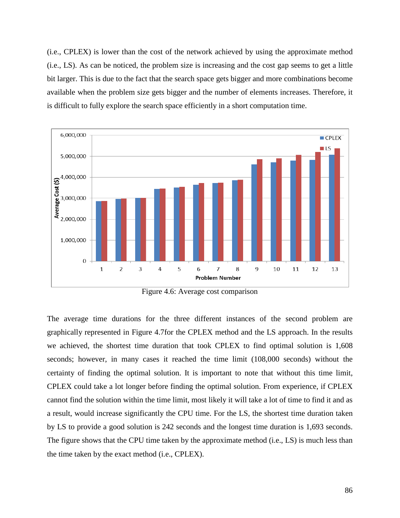(i.e., CPLEX) is lower than the cost of the network achieved by using the approximate method (i.e., LS). As can be noticed, the problem size is increasing and the cost gap seems to get a little bit larger. This is due to the fact that the search space gets bigger and more combinations become available when the problem size gets bigger and the number of elements increases. Therefore, it is difficult to fully explore the search space efficiently in a short computation time.



Figure 4.6: Average cost comparison

The average time durations for the three different instances of the second problem are graphically represented in Figure 4.7for the CPLEX method and the LS approach. In the results we achieved, the shortest time duration that took CPLEX to find optimal solution is 1,608 seconds; however, in many cases it reached the time limit (108,000 seconds) without the certainty of finding the optimal solution. It is important to note that without this time limit, CPLEX could take a lot longer before finding the optimal solution. From experience, if CPLEX cannot find the solution within the time limit, most likely it will take a lot of time to find it and as a result, would increase significantly the CPU time. For the LS, the shortest time duration taken by LS to provide a good solution is 242 seconds and the longest time duration is 1,693 seconds. The figure shows that the CPU time taken by the approximate method (i.e., LS) is much less than the time taken by the exact method (i.e., CPLEX).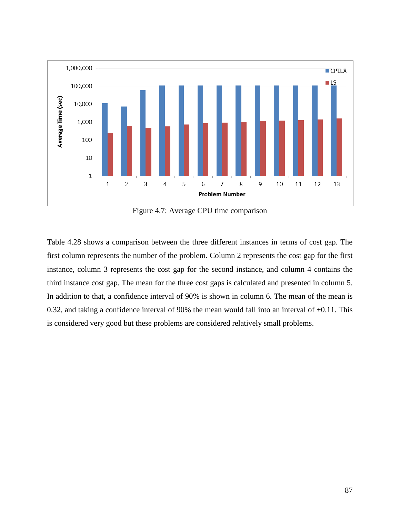

Figure 4.7: Average CPU time comparison

Table 4.28 shows a comparison between the three different instances in terms of cost gap. The first column represents the number of the problem. Column 2 represents the cost gap for the first instance, column 3 represents the cost gap for the second instance, and column 4 contains the third instance cost gap. The mean for the three cost gaps is calculated and presented in column 5. In addition to that, a confidence interval of 90% is shown in column 6. The mean of the mean is 0.32, and taking a confidence interval of 90% the mean would fall into an interval of  $\pm 0.11$ . This is considered very good but these problems are considered relatively small problems.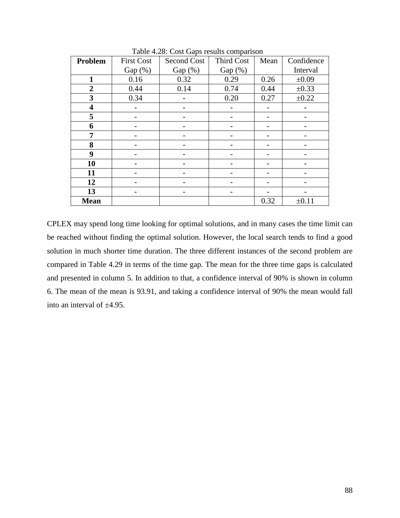| Problem                 | <b>First Cost</b> | Second Cost | <b>Third Cost</b> | Mean | Confidence |
|-------------------------|-------------------|-------------|-------------------|------|------------|
|                         | $Gap(\%)$         | Gap $(\%)$  | Gap $(\%)$        |      | Interval   |
| 1                       | 0.16              | 0.32        | 0.29              | 0.26 | $\pm 0.09$ |
| $\overline{2}$          | 0.44              | 0.14        | 0.74              | 0.44 | $\pm 0.33$ |
| 3                       | 0.34              |             | 0.20              | 0.27 | ±0.22      |
| $\overline{\mathbf{4}}$ |                   |             |                   |      |            |
| 5                       |                   |             |                   |      |            |
| 6                       |                   |             |                   |      |            |
| 7                       |                   |             |                   |      |            |
| 8                       |                   |             |                   |      |            |
| 9                       |                   |             |                   |      |            |
| 10                      |                   |             |                   |      |            |
| 11                      |                   |             |                   |      |            |
| 12                      |                   |             |                   |      |            |
| 13                      |                   |             |                   |      |            |
| <b>Mean</b>             |                   |             |                   | 0.32 | $\pm 0.11$ |

Table 4.28: Cost Gaps results comparison

CPLEX may spend long time looking for optimal solutions, and in many cases the time limit can be reached without finding the optimal solution. However, the local search tends to find a good solution in much shorter time duration. The three different instances of the second problem are compared in Table 4.29 in terms of the time gap. The mean for the three time gaps is calculated and presented in column 5. In addition to that, a confidence interval of 90% is shown in column 6. The mean of the mean is 93.91, and taking a confidence interval of 90% the mean would fall into an interval of ±4.95.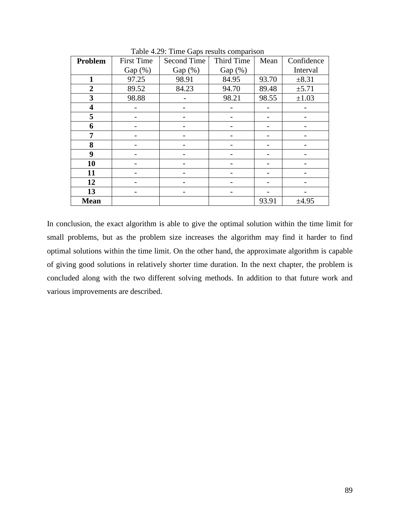| <b>Problem</b>          | <b>First Time</b> | Second Time | Third Time | Mean  | Confidence |
|-------------------------|-------------------|-------------|------------|-------|------------|
|                         | Gap $(\%)$        | Gap $(\%)$  | Gap $(\%)$ |       | Interval   |
| 1                       | 97.25             | 98.91       | 84.95      | 93.70 | $\pm 8.31$ |
| $\overline{2}$          | 89.52             | 84.23       | 94.70      | 89.48 | $\pm$ 5.71 |
| 3                       | 98.88             |             | 98.21      | 98.55 | $\pm 1.03$ |
| $\overline{\mathbf{4}}$ |                   |             |            |       |            |
| 5                       |                   |             |            |       |            |
| 6                       |                   |             |            |       |            |
| 7                       |                   |             |            |       |            |
| 8                       |                   |             |            |       |            |
| 9                       |                   |             |            |       |            |
| 10                      |                   |             |            |       |            |
| 11                      |                   |             |            |       |            |
| 12                      |                   |             |            |       |            |
| 13                      |                   |             |            |       |            |
| <b>Mean</b>             |                   |             |            | 93.91 | $\pm 4.95$ |

Table 4.29: Time Gaps results comparison

In conclusion, the exact algorithm is able to give the optimal solution within the time limit for small problems, but as the problem size increases the algorithm may find it harder to find optimal solutions within the time limit. On the other hand, the approximate algorithm is capable of giving good solutions in relatively shorter time duration. In the next chapter, the problem is concluded along with the two different solving methods. In addition to that future work and various improvements are described.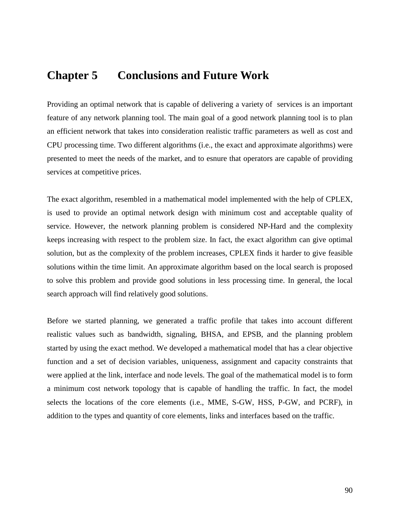# **Chapter 5 Conclusions and Future Work**

Providing an optimal network that is capable of delivering a variety of services is an important feature of any network planning tool. The main goal of a good network planning tool is to plan an efficient network that takes into consideration realistic traffic parameters as well as cost and CPU processing time. Two different algorithms (i.e., the exact and approximate algorithms) were presented to meet the needs of the market, and to esnure that operators are capable of providing services at competitive prices.

The exact algorithm, resembled in a mathematical model implemented with the help of CPLEX, is used to provide an optimal network design with minimum cost and acceptable quality of service. However, the network planning problem is considered NP-Hard and the complexity keeps increasing with respect to the problem size. In fact, the exact algorithm can give optimal solution, but as the complexity of the problem increases, CPLEX finds it harder to give feasible solutions within the time limit. An approximate algorithm based on the local search is proposed to solve this problem and provide good solutions in less processing time. In general, the local search approach will find relatively good solutions.

Before we started planning, we generated a traffic profile that takes into account different realistic values such as bandwidth, signaling, BHSA, and EPSB, and the planning problem started by using the exact method. We developed a mathematical model that has a clear objective function and a set of decision variables, uniqueness, assignment and capacity constraints that were applied at the link, interface and node levels. The goal of the mathematical model is to form a minimum cost network topology that is capable of handling the traffic. In fact, the model selects the locations of the core elements (i.e., MME, S-GW, HSS, P-GW, and PCRF), in addition to the types and quantity of core elements, links and interfaces based on the traffic.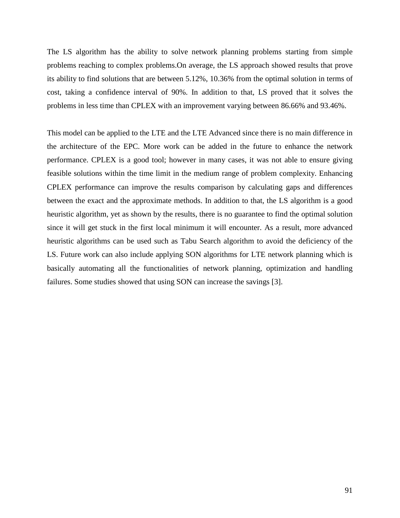The LS algorithm has the ability to solve network planning problems starting from simple problems reaching to complex problems.On average, the LS approach showed results that prove its ability to find solutions that are between 5.12%, 10.36% from the optimal solution in terms of cost, taking a confidence interval of 90%. In addition to that, LS proved that it solves the problems in less time than CPLEX with an improvement varying between 86.66% and 93.46%.

This model can be applied to the LTE and the LTE Advanced since there is no main difference in the architecture of the EPC. More work can be added in the future to enhance the network performance. CPLEX is a good tool; however in many cases, it was not able to ensure giving feasible solutions within the time limit in the medium range of problem complexity. Enhancing CPLEX performance can improve the results comparison by calculating gaps and differences between the exact and the approximate methods. In addition to that, the LS algorithm is a good heuristic algorithm, yet as shown by the results, there is no guarantee to find the optimal solution since it will get stuck in the first local minimum it will encounter. As a result, more advanced heuristic algorithms can be used such as Tabu Search algorithm to avoid the deficiency of the LS. Future work can also include applying SON algorithms for LTE network planning which is basically automating all the functionalities of network planning, optimization and handling failures. Some studies showed that using SON can increase the savings [3].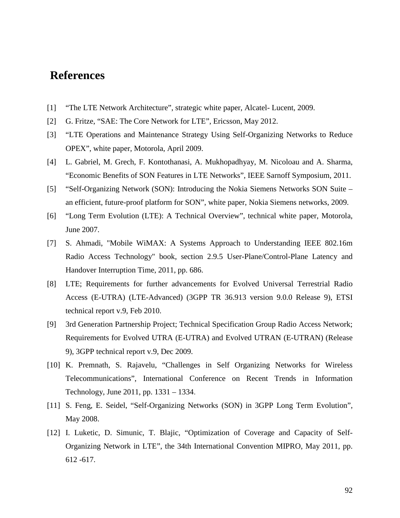# **References**

- [1] "The LTE Network Architecture", strategic white paper, Alcatel- Lucent, 2009.
- [2] G. Fritze, "SAE: The Core Network for LTE", Ericsson, May 2012.
- [3] "LTE Operations and Maintenance Strategy Using Self-Organizing Networks to Reduce OPEX", white paper, Motorola, April 2009.
- [4] L. Gabriel, M. Grech, F. Kontothanasi, A. Mukhopadhyay, M. Nicoloau and A. Sharma, "Economic Benefits of SON Features in LTE Networks", IEEE Sarnoff Symposium, 2011.
- [5] "Self-Organizing Network (SON): Introducing the Nokia Siemens Networks SON Suite an efficient, future-proof platform for SON", white paper, Nokia Siemens networks, 2009.
- [6] "Long Term Evolution (LTE): A Technical Overview", technical white paper, Motorola, June 2007.
- [7] S. Ahmadi, "Mobile WiMAX: A Systems Approach to Understanding IEEE 802.16m Radio Access Technology" book, section 2.9.5 User-Plane/Control-Plane Latency and Handover Interruption Time, 2011, pp. 686.
- [8] LTE; Requirements for further advancements for Evolved Universal Terrestrial Radio Access (E-UTRA) (LTE-Advanced) (3GPP TR 36.913 version 9.0.0 Release 9), ETSI technical report v.9, Feb 2010.
- [9] 3rd Generation Partnership Project; Technical Specification Group Radio Access Network; Requirements for Evolved UTRA (E-UTRA) and Evolved UTRAN (E-UTRAN) (Release 9), 3GPP technical report v.9, Dec 2009.
- [10] K. Premnath, S. Rajavelu, "Challenges in Self Organizing Networks for Wireless Telecommunications", International Conference on Recent Trends in Information Technology, June 2011, pp. 1331 – 1334.
- [11] S. Feng, E. Seidel, "Self-Organizing Networks (SON) in 3GPP Long Term Evolution", May 2008.
- [12] I. Luketic, D. Simunic, T. Blajic, "Optimization of Coverage and Capacity of Self-Organizing Network in LTE", the 34th International Convention MIPRO, May 2011, pp. 612 -617.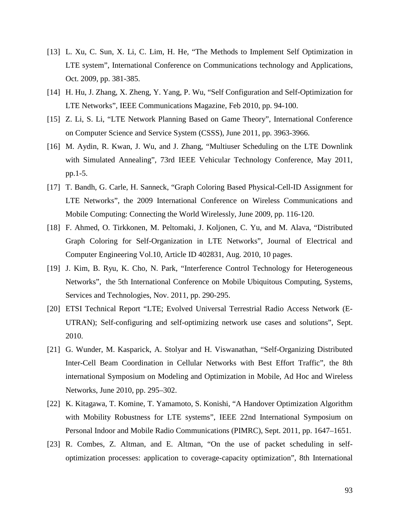- [13] L. Xu, C. Sun, X. Li, C. Lim, H. He, "The Methods to Implement Self Optimization in LTE system", International Conference on Communications technology and Applications, Oct. 2009, pp. 381-385.
- [14] H. Hu, J. Zhang, X. Zheng, Y. Yang, P. Wu, "Self Configuration and Self-Optimization for LTE Networks", IEEE Communications Magazine, Feb 2010, pp. 94-100.
- [15] Z. Li, S. Li, "LTE Network Planning Based on Game Theory", International Conference on Computer Science and Service System (CSSS), June 2011, pp. 3963-3966.
- [16] M. Aydin, R. Kwan, J. Wu, and J. Zhang, "Multiuser Scheduling on the LTE Downlink with Simulated Annealing", 73rd IEEE Vehicular Technology Conference, May 2011, pp.1-5.
- [17] T. Bandh, G. Carle, H. Sanneck, "Graph Coloring Based Physical-Cell-ID Assignment for LTE Networks", the 2009 International Conference on Wireless Communications and Mobile Computing: Connecting the World Wirelessly, June 2009, pp. 116-120.
- [18] F. Ahmed, O. Tirkkonen, M. Peltomaki, J. Koljonen, C. Yu, and M. Alava, "Distributed Graph Coloring for Self-Organization in LTE Networks", Journal of Electrical and Computer Engineering Vol.10, Article ID 402831, Aug. 2010, 10 pages.
- [19] J. Kim, B. Ryu, K. Cho, N. Park, "Interference Control Technology for Heterogeneous Networks", the 5th International Conference on Mobile Ubiquitous Computing, Systems, Services and Technologies, Nov. 2011, pp. 290-295.
- [20] ETSI Technical Report "LTE; Evolved Universal Terrestrial Radio Access Network (E-UTRAN); Self-configuring and self-optimizing network use cases and solutions", Sept. 2010.
- [21] G. Wunder, M. Kasparick, A. Stolyar and H. Viswanathan, "Self-Organizing Distributed Inter-Cell Beam Coordination in Cellular Networks with Best Effort Traffic", the 8th international Symposium on Modeling and Optimization in Mobile, Ad Hoc and Wireless Networks, June 2010, pp. 295–302.
- [22] K. Kitagawa, T. Komine, T. Yamamoto, S. Konishi, "A Handover Optimization Algorithm with Mobility Robustness for LTE systems", IEEE 22nd International Symposium on Personal Indoor and Mobile Radio Communications (PIMRC), Sept. 2011, pp. 1647–1651.
- [23] R. Combes, Z. Altman, and E. Altman, "On the use of packet scheduling in selfoptimization processes: application to coverage-capacity optimization", 8th International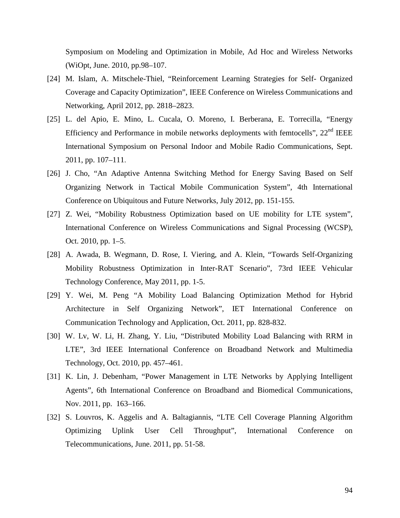Symposium on Modeling and Optimization in Mobile, Ad Hoc and Wireless Networks (WiOpt, June. 2010, pp.98–107.

- [24] M. Islam, A. Mitschele-Thiel, "Reinforcement Learning Strategies for Self- Organized Coverage and Capacity Optimization", IEEE Conference on Wireless Communications and Networking, April 2012, pp. 2818–2823.
- [25] L. del Apio, E. Mino, L. Cucala, O. Moreno, I. Berberana, E. Torrecilla, "Energy Efficiency and Performance in mobile networks deployments with femtocells", 22<sup>nd</sup> IEEE International Symposium on Personal Indoor and Mobile Radio Communications, Sept. 2011, pp. 107–111.
- [26] J. Cho, "An Adaptive Antenna Switching Method for Energy Saving Based on Self Organizing Network in Tactical Mobile Communication System", 4th International Conference on Ubiquitous and Future Networks, July 2012, pp. 151-155.
- [27] Z. Wei, "Mobility Robustness Optimization based on UE mobility for LTE system", International Conference on Wireless Communications and Signal Processing (WCSP), Oct. 2010, pp. 1–5.
- [28] A. Awada, B. Wegmann, D. Rose, I. Viering, and A. Klein, "Towards Self-Organizing Mobility Robustness Optimization in Inter-RAT Scenario", 73rd IEEE Vehicular Technology Conference, May 2011, pp. 1-5.
- [29] Y. Wei, M. Peng "A Mobility Load Balancing Optimization Method for Hybrid Architecture in Self Organizing Network", IET International Conference on Communication Technology and Application, Oct. 2011, pp. 828-832.
- [30] W. Lv, W. Li, H. Zhang, Y. Liu, "Distributed Mobility Load Balancing with RRM in LTE", 3rd IEEE International Conference on Broadband Network and Multimedia Technology, Oct. 2010, pp. 457–461.
- [31] K. Lin, J. Debenham, "Power Management in LTE Networks by Applying Intelligent Agents", 6th International Conference on Broadband and Biomedical Communications, Nov. 2011, pp. 163–166.
- [32] S. Louvros, K. Aggelis and A. Baltagiannis, "LTE Cell Coverage Planning Algorithm Optimizing Uplink User Cell Throughput", International Conference on Telecommunications, June. 2011, pp. 51-58.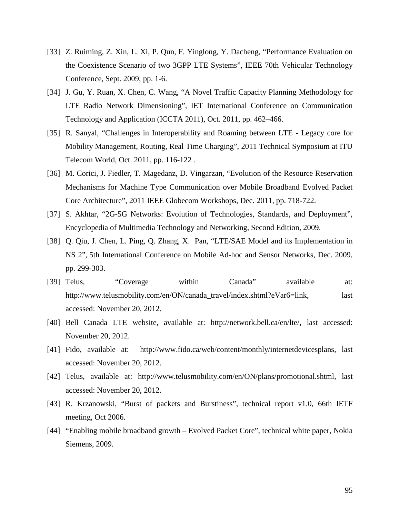- [33] Z. Ruiming, Z. Xin, L. Xi, P. Qun, F. Yinglong, Y. Dacheng, "Performance Evaluation on the Coexistence Scenario of two 3GPP LTE Systems", IEEE 70th Vehicular Technology Conference, Sept. 2009, pp. 1-6.
- [34] J. Gu, Y. Ruan, X. Chen, C. Wang, "A Novel Traffic Capacity Planning Methodology for LTE Radio Network Dimensioning", IET International Conference on Communication Technology and Application (ICCTA 2011), Oct. 2011, pp. 462–466.
- [35] R. Sanyal, "Challenges in Interoperability and Roaming between LTE Legacy core for Mobility Management, Routing, Real Time Charging", 2011 Technical Symposium at ITU Telecom World, Oct. 2011, pp. 116-122 .
- [36] M. Corici, J. Fiedler, T. Magedanz, D. Vingarzan, "Evolution of the Resource Reservation Mechanisms for Machine Type Communication over Mobile Broadband Evolved Packet Core Architecture", 2011 IEEE Globecom Workshops, Dec. 2011, pp. 718-722.
- [37] S. Akhtar, "2G-5G Networks: Evolution of Technologies, Standards, and Deployment", Encyclopedia of Multimedia Technology and Networking, Second Edition, 2009.
- [38] Q. Qiu, J. Chen, L. Ping, Q. Zhang, X. Pan, "LTE/SAE Model and its Implementation in NS 2", 5th International Conference on Mobile Ad-hoc and Sensor Networks, Dec. 2009, pp. 299-303.
- [39] Telus, "Coverage within Canada" available at: http://www.telusmobility.com/en/ON/canada\_travel/index.shtml?eVar6=link, last accessed: November 20, 2012.
- [40] Bell Canada LTE website, available at: http://network.bell.ca/en/lte/, last accessed: November 20, 2012.
- [41] Fido, available at: http://www.fido.ca/web/content/monthly/internetdevicesplans, last accessed: November 20, 2012.
- [42] Telus, available at: http://www.telusmobility.com/en/ON/plans/promotional.shtml, last accessed: November 20, 2012.
- [43] R. Krzanowski, "Burst of packets and Burstiness", technical report v1.0, 66th IETF meeting, Oct 2006.
- [44] "Enabling mobile broadband growth Evolved Packet Core", technical white paper, Nokia Siemens, 2009.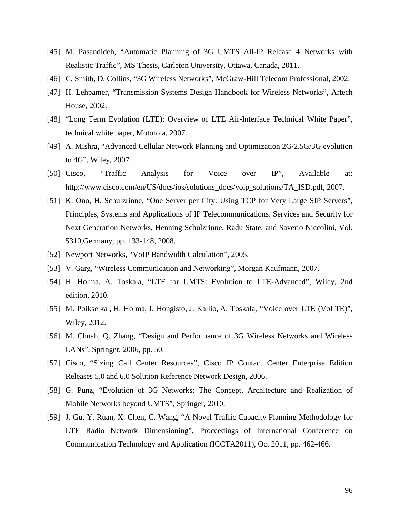- [45] M. Pasandideh, "Automatic Planning of 3G UMTS All-IP Release 4 Networks with Realistic Traffic", MS Thesis, Carleton University, Ottawa, Canada, 2011.
- [46] C. Smith, D. Collins, "3G Wireless Networks", McGraw-Hill Telecom Professional, 2002.
- [47] H. Lehpamer, "Transmission Systems Design Handbook for Wireless Networks", Artech House, 2002.
- [48] "Long Term Evolution (LTE): Overview of LTE Air-Interface Technical White Paper", technical white paper, Motorola, 2007.
- [49] A. Mishra, "Advanced Cellular Network Planning and Optimization 2G/2.5G/3G evolution to 4G", Wiley, 2007.
- [50] Cisco, "Traffic Analysis for Voice over IP", Available at: http://www.cisco.com/en/US/docs/ios/solutions\_docs/voip\_solutions/TA\_ISD.pdf, 2007.
- [51] K. Ono, H. Schulzrinne, "One Server per City: Using TCP for Very Large SIP Servers", Principles, Systems and Applications of IP Telecommunications. Services and Security for Next Generation Networks, Henning Schulzrinne, Radu State, and Saverio Niccolini, Vol. 5310,Germany, pp. 133-148, 2008.
- [52] Newport Networks, "VoIP Bandwidth Calculation", 2005.
- [53] V. Garg, "Wireless Communication and Networking", Morgan Kaufmann, 2007.
- [54] H. Holma, A. Toskala, "LTE for UMTS: Evolution to LTE-Advanced", Wiley, 2nd edition, 2010.
- [55] M. Poikselka , H. Holma, J. Hongisto, J. Kallio, A. Toskala, "Voice over LTE (VoLTE)", Wiley, 2012.
- [56] M. Chuah, Q. Zhang, "Design and Performance of 3G Wireless Networks and Wireless LANs", Springer, 2006, pp. 50.
- [57] Cisco, "Sizing Call Center Resources", Cisco IP Contact Center Enterprise Edition Releases 5.0 and 6.0 Solution Reference Network Design, 2006.
- [58] G. Punz, "Evolution of 3G Networks: The Concept, Architecture and Realization of Mobile Networks beyond UMTS", Springer, 2010.
- [59] J. Gu, Y. Ruan, X. Chen, C. Wang, "A Novel Traffic Capacity Planning Methodology for LTE Radio Network Dimensioning", Proceedings of International Conference on Communication Technology and Application (ICCTA2011), Oct 2011, pp. 462-466.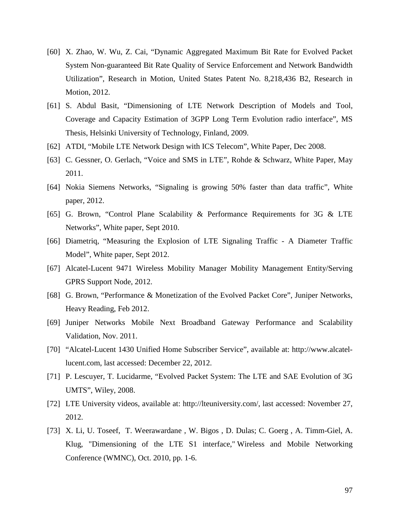- [60] X. Zhao, W. Wu, Z. Cai, "Dynamic Aggregated Maximum Bit Rate for Evolved Packet System Non-guaranteed Bit Rate Quality of Service Enforcement and Network Bandwidth Utilization", Research in Motion, United States Patent No. 8,218,436 B2, Research in Motion, 2012.
- [61] S. Abdul Basit, "Dimensioning of LTE Network Description of Models and Tool, Coverage and Capacity Estimation of 3GPP Long Term Evolution radio interface", MS Thesis, Helsinki University of Technology, Finland, 2009.
- [62] ATDI, "Mobile LTE Network Design with ICS Telecom", White Paper, Dec 2008.
- [63] C. Gessner, O. Gerlach, "Voice and SMS in LTE", Rohde & Schwarz, White Paper, May 2011.
- [64] Nokia Siemens Networks, "Signaling is growing 50% faster than data traffic", White paper, 2012.
- [65] G. Brown, "Control Plane Scalability & Performance Requirements for 3G & LTE Networks", White paper, Sept 2010.
- [66] Diametriq, "Measuring the Explosion of LTE Signaling Traffic A Diameter Traffic Model", White paper, Sept 2012.
- [67] Alcatel-Lucent 9471 Wireless Mobility Manager Mobility Management Entity/Serving GPRS Support Node, 2012.
- [68] G. Brown, "Performance & Monetization of the Evolved Packet Core", Juniper Networks, Heavy Reading, Feb 2012.
- [69] Juniper Networks Mobile Next Broadband Gateway Performance and Scalability Validation, Nov. 2011.
- [70] "Alcatel-Lucent 1430 Unified Home Subscriber Service", available at: http://www.alcatellucent.com, last accessed: December 22, 2012.
- [71] P. Lescuyer, T. Lucidarme, "Evolved Packet System: The LTE and SAE Evolution of 3G UMTS", Wiley, 2008.
- [72] LTE University videos, available at: http://lteuniversity.com/, last accessed: November 27, 2012.
- [73] X. Li, U. Toseef, T. Weerawardane , W. Bigos , D. Dulas; C. Goerg , A. Timm-Giel, A. Klug, "Dimensioning of the LTE S1 interface," Wireless and Mobile Networking Conference (WMNC), Oct. 2010, pp. 1-6.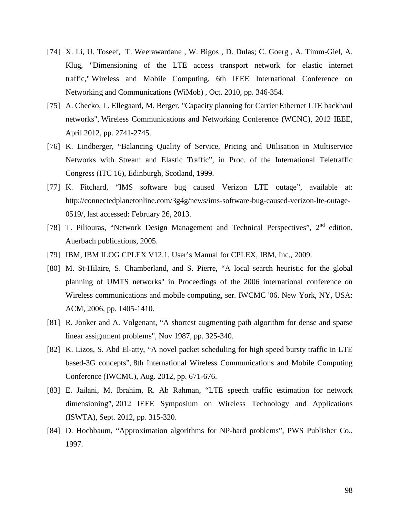- [74] X. Li, U. Toseef, T. Weerawardane , W. Bigos , D. Dulas; C. Goerg , A. Timm-Giel, A. Klug, "Dimensioning of the LTE access transport network for elastic internet traffic," Wireless and Mobile Computing, 6th IEEE International Conference on Networking and Communications (WiMob) , Oct. 2010, pp. 346-354.
- [75] A. Checko, L. Ellegaard, M. Berger, "Capacity planning for Carrier Ethernet LTE backhaul networks", Wireless Communications and Networking Conference (WCNC), 2012 IEEE, April 2012, pp. 2741-2745.
- [76] K. Lindberger, "Balancing Quality of Service, Pricing and Utilisation in Multiservice Networks with Stream and Elastic Traffic", in Proc. of the International Teletraffic Congress (ITC 16), Edinburgh, Scotland, 1999.
- [77] K. Fitchard, "IMS software bug caused Verizon LTE outage", available at: http://connectedplanetonline.com/3g4g/news/ims-software-bug-caused-verizon-lte-outage-0519/, last accessed: February 26, 2013.
- [78] T. Piliouras, "Network Design Management and Technical Perspectives",  $2<sup>nd</sup>$  edition, Auerbach publications, 2005.
- [79] IBM, IBM ILOG CPLEX V12.1, User's Manual for CPLEX, IBM, Inc., 2009.
- [80] M. St-Hilaire, S. Chamberland, and S. Pierre, "A local search heuristic for the global planning of UMTS networks" in Proceedings of the 2006 international conference on Wireless communications and mobile computing, ser. IWCMC '06. New York, NY, USA: ACM, 2006, pp. 1405-1410.
- [81] R. Jonker and A. Volgenant, "A shortest augmenting path algorithm for dense and sparse linear assignment problems", Nov 1987, pp. 325-340.
- [82] K. Lizos, S. Abd El-atty, "A novel packet scheduling for high speed bursty traffic in LTE based-3G concepts", 8th International Wireless Communications and Mobile Computing Conference (IWCMC), Aug. 2012, pp. 671-676.
- [83] E. Jailani, M. Ibrahim, R. Ab Rahman, "LTE speech traffic estimation for network dimensioning", 2012 IEEE Symposium on Wireless Technology and Applications (ISWTA), Sept. 2012, pp. 315-320.
- [84] D. Hochbaum, "Approximation algorithms for NP-hard problems", PWS Publisher Co., 1997.